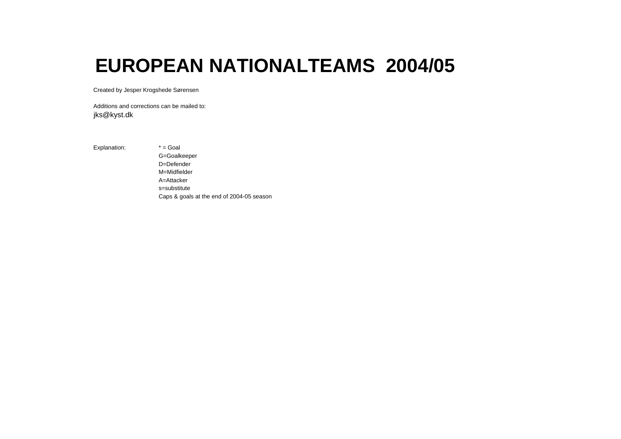# **EUROPEAN NATIONALTEAMS 2004/05**

Created by Jesper Krogshede Sørensen

Additions and corrections can be mailed to: jks@kyst.dk

Explanation: \* = Goal

G=Goalkeeper D=Defender M=Midfielder A=Attackers=substituteCaps & goals at the end of 2004-05 season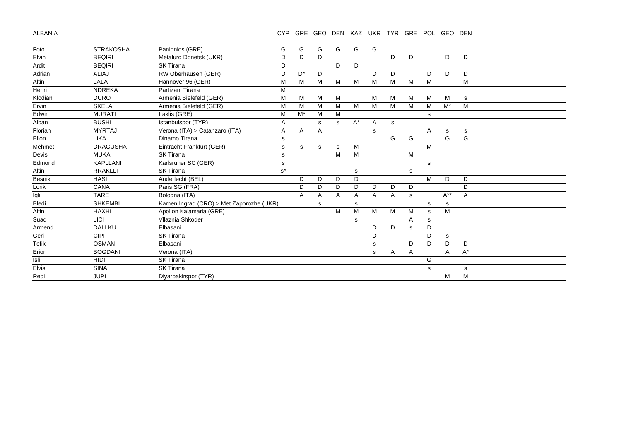ALBANIA

CYP GRE GEO DEN KAZ UKR TYR GRE POL GEO DEN

| Foto         | <b>STRAKOSHA</b> | Panionios (GRE)                          | G     | G     | G | G | G     | G            |   |             |   |             |       |
|--------------|------------------|------------------------------------------|-------|-------|---|---|-------|--------------|---|-------------|---|-------------|-------|
| Elvin        | <b>BEQIRI</b>    | Metalurg Donetsk (UKR)                   | D     | D     | D |   |       |              | D | D           |   | D           | D     |
| Ardit        | <b>BEQIRI</b>    | <b>SK Tirana</b>                         | D     |       |   | D | D     |              |   |             |   |             |       |
| Adrian       | <b>ALIAJ</b>     | RW Oberhausen (GER)                      | D     | $D^*$ | D |   |       | D            | D |             | D | D           | D     |
| Altin        | LALA             | Hannover 96 (GER)                        | M     | M     | M | M | M     | М            | M | M           | M |             | M     |
| Henri        | <b>NDREKA</b>    | Partizani Tirana                         | M     |       |   |   |       |              |   |             |   |             |       |
| Klodian      | <b>DURO</b>      | Armenia Bielefeld (GER)                  | M     | м     | M | M |       | М            | м | M           | M | M           | s     |
| Ervin        | <b>SKELA</b>     | Armenia Bielefeld (GER)                  | M     | M     | M | M | M     | M            | M | M           | M | $M^*$       | M     |
| Edwin        | <b>MURATI</b>    | Iraklis (GRE)                            | M     | $M^*$ | M | М |       |              |   |             | s |             |       |
| Alban        | <b>BUSHI</b>     | Istanbulspor (TYR)                       | Α     |       | s | s | $A^*$ | A            | s |             |   |             |       |
| Florian      | <b>MYRTAJ</b>    | Verona (ITA) > Catanzaro (ITA)           | A     | A     | Α |   |       | s            |   |             | A | s           | s     |
| Elion        | <b>LIKA</b>      | Dinamo Tirana                            | s     |       |   |   |       |              | G | G           |   | G           | G     |
| Mehmet       | <b>DRAGUSHA</b>  | Eintracht Frankfurt (GER)                | s     | s     | s | s | M     |              |   |             | M |             |       |
| Devis        | <b>MUKA</b>      | <b>SK Tirana</b>                         | s     |       |   | М | M     |              |   | М           |   |             |       |
| Edmond       | <b>KAPLLANI</b>  | Karlsruher SC (GER)                      | s     |       |   |   |       |              |   |             | s |             |       |
| Altin        | <b>RRAKLLI</b>   | <b>SK Tirana</b>                         | $s^*$ |       |   |   | s     |              |   | s           |   |             |       |
| Besnik       | <b>HASI</b>      | Anderlecht (BEL)                         |       | D     | D | D | D     |              |   |             | M | D           | D     |
| Lorik        | CANA             | Paris SG (FRA)                           |       | D     | D | D | D     | D            | D | D           |   |             | D     |
| Igli         | <b>TARE</b>      | Bologna (ITA)                            |       | Α     | Α | A | Α     | $\mathsf{A}$ | Α | $\mathbf s$ |   | $A^{**}$    | Α     |
| Bledi        | <b>SHKEMBI</b>   | Kamen Ingrad (CRO) > Met.Zaporozhe (UKR) |       |       | s |   | s     |              |   |             | s | s           |       |
| Altin        | <b>HAXHI</b>     | Apollon Kalamaria (GRE)                  |       |       |   | м | M     | M            | M | M           | s | M           |       |
| Suad         | LICI             | Vllaznia Shkoder                         |       |       |   |   | s     |              |   | A           | s |             |       |
| Armend       | <b>DALLKU</b>    | Elbasani                                 |       |       |   |   |       | D            | D | s           | D |             |       |
| Geri         | <b>CIPI</b>      | <b>SK Tirana</b>                         |       |       |   |   |       | D            |   |             | D | $\mathbf S$ |       |
| <b>Tefik</b> | <b>OSMANI</b>    | Elbasani                                 |       |       |   |   |       | s            |   | D           | D | D           | D     |
| Erion        | <b>BOGDANI</b>   | Verona (ITA)                             |       |       |   |   |       | s            | A | Α           |   | A           | $A^*$ |
| Isli         | <b>HIDI</b>      | <b>SK Tirana</b>                         |       |       |   |   |       |              |   |             | G |             |       |
| <b>Elvis</b> | <b>SINA</b>      | <b>SK Tirana</b>                         |       |       |   |   |       |              |   |             | s |             | s     |
| Redi         | <b>JUPI</b>      | Diyarbakirspor (TYR)                     |       |       |   |   |       |              |   |             |   | M           | M     |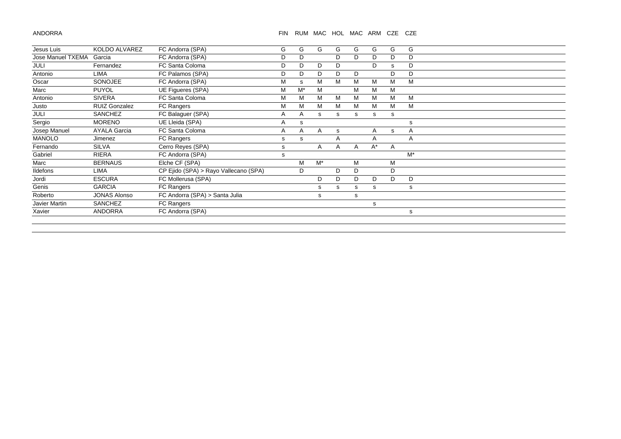ANDORRA

## FIN RUM MAC HOL MAC ARM CZE CZE

| Jesus Luis        | KOLDO ALVAREZ        | FC Andorra (SPA)                      | G | G  | G            | G  | G | G     | G | G     |  |  |
|-------------------|----------------------|---------------------------------------|---|----|--------------|----|---|-------|---|-------|--|--|
| Jose Manuel TXEMA | Garcia               | FC Andorra (SPA)                      | D | D  |              | D  | D | D     | D | D     |  |  |
| JULI              | Fernandez            | FC Santa Coloma                       | D | D  | D            | D  |   | D     | s | D     |  |  |
| Antonio           | <b>LIMA</b>          | FC Palamos (SPA)                      | D | D  | D            | D  | D |       | D | D     |  |  |
| Oscar             | <b>SONOJEE</b>       | FC Andorra (SPA)                      | M | s  | м            | м  | M | м     | M | M     |  |  |
| Marc              | <b>PUYOL</b>         | UE Figueres (SPA)                     | M | M* | M            |    | м | м     | M |       |  |  |
| Antonio           | <b>SIVERA</b>        | FC Santa Coloma                       | M | м  | м            | м  | м | М     | M | M     |  |  |
| Justo             | <b>RUIZ Gonzalez</b> | <b>FC Rangers</b>                     | M | м  | М            | м  | м | М     | M | м     |  |  |
| <b>JULI</b>       | SANCHEZ              | FC Balaguer (SPA)                     | Α | A  | s            | s  | s | s     | s |       |  |  |
| Sergio            | <b>MORENO</b>        | UE Lleida (SPA)                       | A | s  |              |    |   |       |   | s     |  |  |
| Josep Manuel      | <b>AYALA Garcia</b>  | FC Santa Coloma                       | A | A  | $\mathsf{A}$ | s  |   | A     | s | A     |  |  |
| <b>MANOLO</b>     | Jimenez              | FC Rangers                            | s | s  |              | Α  |   | Α     |   | Α     |  |  |
| Fernando          | SILVA                | Cerro Reyes (SPA)                     | s |    | A            | A  | A | $A^*$ | A |       |  |  |
| Gabriel           | <b>RIERA</b>         | FC Andorra (SPA)                      | s |    |              |    |   |       |   | $M^*$ |  |  |
| Marc              | <b>BERNAUS</b>       | Elche CF (SPA)                        |   | M  | $M^*$        |    | м |       | м |       |  |  |
| <b>Ildefons</b>   | LIMA                 | CP Ejido (SPA) > Rayo Vallecano (SPA) |   | D  |              | D. | D |       | D |       |  |  |
| Jordi             | <b>ESCURA</b>        | FC Mollerusa (SPA)                    |   |    | D            | D  | D | D     | D | D     |  |  |
| Genis             | <b>GARCIA</b>        | <b>FC Rangers</b>                     |   |    | s            | s  | s | s     |   | s     |  |  |
| Roberto           | <b>JONAS Alonso</b>  | FC Andorra (SPA) > Santa Julia        |   |    | s            |    | s |       |   |       |  |  |
| Javier Martin     | SANCHEZ              | FC Rangers                            |   |    |              |    |   | s     |   |       |  |  |
| Xavier            | <b>ANDORRA</b>       | FC Andorra (SPA)                      |   |    |              |    |   |       |   | s     |  |  |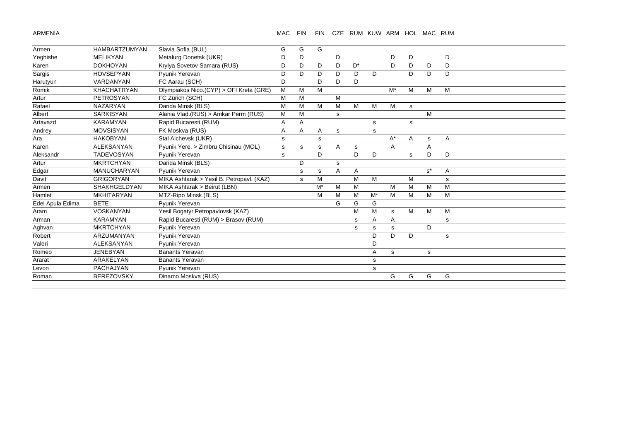ARMENIA

#### MAC FIN FIN CZE RUM KUW ARM HOL MAC RUM

| Armen            | <b>HAMBARTZUMYAN</b> | Slavia Sofia (BUL)                        | G           | G | G     |   |       |       |       |    |             |   |
|------------------|----------------------|-------------------------------------------|-------------|---|-------|---|-------|-------|-------|----|-------------|---|
| Yeghishe         | <b>MELIKYAN</b>      | Metalurg Donetsk (UKR)                    | D           | D |       | D |       |       | D     | D  |             | D |
| Karen            | <b>DOKHOYAN</b>      | Krylya Sovetov Samara (RUS)               | D           | D | D     | D | $D^*$ |       | D     | D  | D           | D |
| Sargis           | <b>HOVSEPYAN</b>     | Pyunik Yerevan                            | D           | D | D     | D | D     | D     |       | D. | D           | D |
| Harutyun         | VARDANYAN            | FC Aarau (SCH)                            | D           |   | D     | D | D     |       |       |    |             |   |
| Romik            | <b>KHACHATRYAN</b>   | Olympiakos Nico.(CYP) > OFI Kreta (GRE)   | M           | M | M     |   |       |       | $M^*$ | M  | M           | М |
| Artur            | <b>PETROSYAN</b>     | FC Zürich (SCH)                           | M           | M |       | M |       |       |       |    |             |   |
| Rafael           | <b>NAZARYAN</b>      | Darida Minsk (BLS)                        | M           | M | M     | M | M     | M     | M     | s  |             |   |
| Albert           | <b>SARKISYAN</b>     | Alania Vlad. (RUS) > Amkar Perm (RUS)     | M           | M |       | s |       |       |       |    | M           |   |
| Artavazd         | <b>KARAMYAN</b>      | Rapid Bucaresti (RUM)                     | A           | A |       |   |       | s     |       | s  |             |   |
| Andrey           | <b>MOVSISYAN</b>     | FK Moskva (RUS)                           | A           | A | Α     | s |       | s     |       |    |             |   |
| Ara              | <b>HAKOBYAN</b>      | Stal Alchevsk (UKR)                       | $\mathbf s$ |   | s     |   |       |       | $A^*$ | A  | $\mathbf s$ | Α |
| Karen            | <b>ALEKSANYAN</b>    | Pyunik Yere. > Zimbru Chisinau (MOL)      | s           | s | s     | A | s     |       | Α     |    | A           |   |
| Aleksandr        | <b>TADEVOSYAN</b>    | Pyunik Yerevan                            | s           |   | D     |   | D.    | D     |       | s  | D           | D |
| Artur            | <b>MKRTCHYAN</b>     | Darida Minsk (BLS)                        |             | D |       | s |       |       |       |    |             |   |
| Edgar            | <b>MANUCHARYAN</b>   | Pyunik Yerevan                            |             | s | s     | A | Α     |       |       |    | $s^*$       | Α |
| Davit            | <b>GRIGORYAN</b>     | MIKA Ashtarak > Yesil B. Petropavl. (KAZ) |             | s | M     |   | M     | M     |       | M  |             | s |
| Armen            | <b>SHAKHGELDYAN</b>  | MIKA Ashtarak > Beirut (LBN)              |             |   | $M^*$ | M | M     |       | M     | M  | M           | M |
| Hamlet           | <b>MKHITARYAN</b>    | MTZ-Ripo Minsk (BLS)                      |             |   | M     | м | м     | $M^*$ | M     | м  | M           | М |
| Edel Apula Edima | <b>BETE</b>          | Pvunik Yerevan                            |             |   |       | G | G     | G     |       |    |             |   |
| Aram             | <b>VOSKANYAN</b>     | Yesil Bogatyr Petropavlovsk (KAZ)         |             |   |       |   | M     | M     | s     | M  | M           | М |
| Arman            | <b>KARAMYAN</b>      | Rapid Bucaresti (RUM) > Brasov (RUM)      |             |   |       |   | s     | Α     | A     |    |             | s |
| Aghvan           | <b>MKRTCHYAN</b>     | Pyunik Yerevan                            |             |   |       |   | s     | s     | s     |    | D           |   |
| Robert           | ARZUMANYAN           | Pyunik Yerevan                            |             |   |       |   |       | D     | D     | D  |             | s |
| Valeri           | <b>ALEKSANYAN</b>    | Pvunik Yerevan                            |             |   |       |   |       | D     |       |    |             |   |
| Romeo            | <b>JENEBYAN</b>      | <b>Banants Yeravan</b>                    |             |   |       |   |       | A     | s     |    | s           |   |
| Ararat           | ARAKELYAN            | <b>Banants Yeravan</b>                    |             |   |       |   |       | s     |       |    |             |   |
| Levon            | <b>PACHAJYAN</b>     | Pyunik Yerevan                            |             |   |       |   |       | s     |       |    |             |   |
| Roman            | <b>BEREZOVSKY</b>    | Dinamo Moskva (RUS)                       |             |   |       |   |       |       | G     | G  | G           | G |
|                  |                      |                                           |             |   |       |   |       |       |       |    |             |   |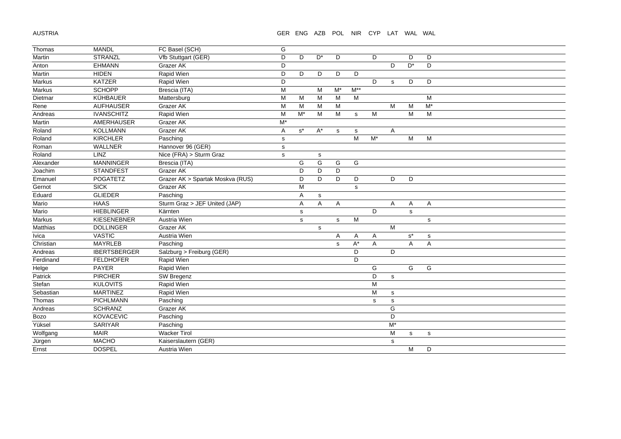AUSTRIA

## GER ENG AZB POL NIR CYP LAT WAL WAL

| Thomas      | <b>MANDL</b>        | FC Basel (SCH)                   | G            |             |                      |             |             |                |                                                                                       |                      |             |  |
|-------------|---------------------|----------------------------------|--------------|-------------|----------------------|-------------|-------------|----------------|---------------------------------------------------------------------------------------|----------------------|-------------|--|
| Martin      | <b>STRANZL</b>      | Vfb Stuttgart (GER)              | D            | D           | $\mathsf{D}^{\star}$ | D           |             | D              |                                                                                       | D                    | D           |  |
| Anton       | <b>EHMANN</b>       | Grazer AK                        | D            |             |                      |             |             |                | D                                                                                     | $\mathsf{D}^{\star}$ | D           |  |
| Martin      | <b>HIDEN</b>        | Rapid Wien                       | D            | D           | D                    | D           | D           |                |                                                                                       |                      |             |  |
| Markus      | <b>KATZER</b>       | Rapid Wien                       | D            |             |                      |             |             | D              | s                                                                                     | D                    | D           |  |
| Markus      | <b>SCHOPP</b>       | Brescia (ITA)                    | M            |             | M                    | $M^*$       | $M^{**}$    |                |                                                                                       |                      |             |  |
| Dietmar     | <b>KÜHBAUER</b>     | Mattersburg                      | M            | M           | M                    | M           | M           |                |                                                                                       |                      | M           |  |
| Rene        | <b>AUFHAUSER</b>    | Grazer AK                        | M            | M           | M                    | M           |             |                | M                                                                                     | M                    | $M^*$       |  |
| Andreas     | <b>IVANSCHITZ</b>   | Rapid Wien                       | M            | $M^*$       | M                    | M           | $\mathbf s$ | M              |                                                                                       | M                    | M           |  |
| Martin      | AMERHAUSER          | Grazer AK                        | $M^*$        |             |                      |             |             |                |                                                                                       |                      |             |  |
| Roland      | <b>KOLLMANN</b>     | Grazer AK                        | Α            | $s^*$       | $\mathsf{A}^{\star}$ | $\mathbf s$ | s           |                | A                                                                                     |                      |             |  |
| Roland      | <b>KIRCHLER</b>     | Pasching                         | $\mathbf S$  |             |                      |             | M           | $M^*$          |                                                                                       | M                    | M           |  |
| Roman       | WALLNER             | Hannover 96 (GER)                | $\mathbf S$  |             |                      |             |             |                |                                                                                       |                      |             |  |
| Roland      | LINZ                | Nice (FRA) > Sturm Graz          | $\mathsf{s}$ |             | s                    |             |             |                |                                                                                       |                      |             |  |
| Alexander   | <b>MANNINGER</b>    | Brescia (ITA)                    |              | G           | G                    | G           | G           |                |                                                                                       |                      |             |  |
| Joachim     | <b>STANDFEST</b>    | Grazer AK                        |              | D           | D                    | D           |             |                |                                                                                       |                      |             |  |
| Emanuel     | POGATETZ            | Grazer AK > Spartak Moskva (RUS) |              | D           | D                    | D           | D           |                | D                                                                                     | D                    |             |  |
| Gernot      | <b>SICK</b>         | Grazer AK                        |              | M           |                      |             | $\mathbf s$ |                |                                                                                       |                      |             |  |
| Eduard      | <b>GLIEDER</b>      | Pasching                         |              | A           | $\mathbf s$          |             |             |                |                                                                                       |                      |             |  |
| Mario       | <b>HAAS</b>         | Sturm Graz > JEF United (JAP)    |              | A           | A                    | A           |             |                | A                                                                                     | Α                    | A           |  |
| Mario       | <b>HIEBLINGER</b>   | Kärnten                          |              | $\mathbf S$ |                      |             |             | D              |                                                                                       | s                    |             |  |
| Markus      | KIESENEBNER         | Austria Wien                     |              | s           |                      | $\mathbf s$ | M           |                |                                                                                       |                      | s           |  |
| Matthias    | <b>DOLLINGER</b>    | Grazer AK                        |              |             | s                    |             |             |                | M                                                                                     |                      |             |  |
| Ivica       | <b>VASTIC</b>       | Austria Wien                     |              |             |                      | A           | Α           | A              |                                                                                       | $\texttt{s}^{\star}$ | $\mathbf s$ |  |
| Christian   | <b>MAYRLEB</b>      | Pasching                         |              |             |                      | s           | $A^*$       | $\overline{A}$ |                                                                                       | A                    | Α           |  |
| Andreas     | <b>IBERTSBERGER</b> | Salzburg > Freiburg (GER)        |              |             |                      |             | D           |                | D                                                                                     |                      |             |  |
| Ferdinand   | <b>FELDHOFER</b>    | Rapid Wien                       |              |             |                      |             | D           |                |                                                                                       |                      |             |  |
| Helge       | <b>PAYER</b>        | Rapid Wien                       |              |             |                      |             |             | G              |                                                                                       | G                    | G           |  |
| Patrick     | <b>PIRCHER</b>      | SW Bregenz                       |              |             |                      |             |             | D              | s                                                                                     |                      |             |  |
| Stefan      | <b>KULOVITS</b>     | Rapid Wien                       |              |             |                      |             |             | М              |                                                                                       |                      |             |  |
| Sebastian   | <b>MARTINEZ</b>     | Rapid Wien                       |              |             |                      |             |             | M              | s                                                                                     |                      |             |  |
| Thomas      | <b>PICHLMANN</b>    | Pasching                         |              |             |                      |             |             | $\mathbf s$    | s                                                                                     |                      |             |  |
| Andreas     | <b>SCHRANZ</b>      | Grazer AK                        |              |             |                      |             |             |                | G                                                                                     |                      |             |  |
| <b>Bozo</b> | <b>KOVACEVIC</b>    | Pasching                         |              |             |                      |             |             |                | D                                                                                     |                      |             |  |
| Yüksel      | <b>SARIYAR</b>      | Pasching                         |              |             |                      |             |             |                | $M^*$                                                                                 |                      |             |  |
| Wolfgang    | <b>MAIR</b>         | <b>Wacker Tirol</b>              |              |             |                      |             |             |                | $\mathsf{M}% _{T}=\mathsf{M}_{T}\!\left( a,b\right) ,\ \mathsf{M}_{T}=\mathsf{M}_{T}$ | s                    | s           |  |
| Jürgen      | <b>MACHO</b>        | Kaiserslautern (GER)             |              |             |                      |             |             |                | s                                                                                     |                      |             |  |
| Ernst       | <b>DOSPEL</b>       | Austria Wien                     |              |             |                      |             |             |                |                                                                                       | M                    | D           |  |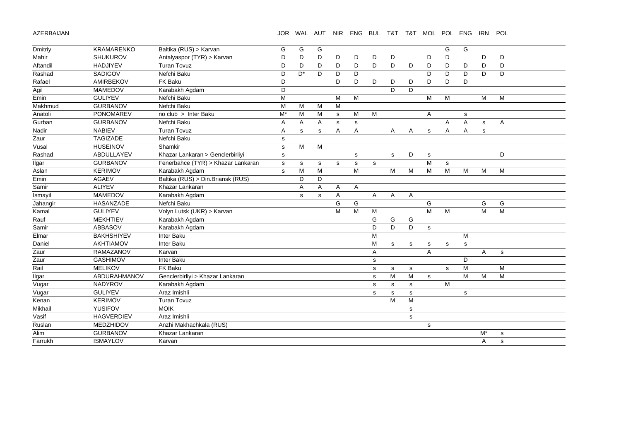AZERBAIJAN

## JOR WAL AUT NIR ENG BUL T&T T&T MOL POL ENG IRN POL

| Dmitriy  | <b>KRAMARENKO</b> | Baltika (RUS) > Karvan             | G           | G            | G              |                |             |                |             |                |              | G | G           |              |   |
|----------|-------------------|------------------------------------|-------------|--------------|----------------|----------------|-------------|----------------|-------------|----------------|--------------|---|-------------|--------------|---|
| Mahir    | <b>SHUKUROV</b>   | Antalyaspor (TYR) > Karvan         | D           | D            | D              | D              | D           | D              | D           |                | D            | D |             | D            | D |
| Aftandil | <b>HADJIYEV</b>   | <b>Turan Tovuz</b>                 | D           | D            | D              | D              | D           | D              | D           | D              | D            | D | D           | D            | D |
| Rashad   | <b>SADIGOV</b>    | Nefchi Baku                        | D           | $D^*$        | D              | D              | D           |                |             |                | D            | D | D           | D            | D |
| Rafael   | AMIRBEKOV         | FK Baku                            | D           |              |                | D              | D           | D              | D           | D              | D            | D | D           |              |   |
| Agil     | <b>MAMEDOV</b>    | Karabakh Agdam                     | D           |              |                |                |             |                | D           | D              |              |   |             |              |   |
| Emin     | <b>GULIYEV</b>    | Nefchi Baku                        | M           |              |                | M              | M           |                |             |                | M            | M |             | M            | M |
| Makhmud  | <b>GURBANOV</b>   | Nefchi Baku                        | M           | M            | M              | M              |             |                |             |                |              |   |             |              |   |
| Anatoli  | <b>PONOMAREV</b>  | no club > Inter Baku               | $M^*$       | M            | М              | s              | M           | M              |             |                | $\mathsf{A}$ |   |             |              |   |
| Gurban   | <b>GURBANOV</b>   | Nefchi Baku                        | A           | Α            | $\overline{A}$ | s              | $\mathbf s$ |                |             |                |              | A | s<br>A      | $\mathsf{s}$ | A |
| Nadir    | <b>NABIEV</b>     | <b>Turan Tovuz</b>                 | A           | $\mathbf s$  | $\mathbf s$    | A              | A           |                | A           | A              | $\mathbf s$  | A | A           | $\mathbf{s}$ |   |
| Zaur     | <b>TAGIZADE</b>   | Nefchi Baku                        |             |              |                |                |             |                |             |                |              |   |             |              |   |
| Vusal    | <b>HUSEINOV</b>   | Shamkir                            | $\mathbf S$ | M            | M              |                |             |                |             |                |              |   |             |              |   |
|          | ABDULLAYEV        |                                    | $\mathbf s$ |              |                |                |             |                |             |                |              |   |             |              | D |
| Rashad   |                   | Khazar Lankaran > Genclerbirliyi   | $\mathbf s$ |              |                |                | $\mathbf s$ |                | $\mathbf s$ | D              | s            |   |             |              |   |
| Ilgar    | <b>GURBANOV</b>   | Fenerbahce (TYR) > Khazar Lankaran | $\mathbf s$ | s            | s              | $\mathbf s$    | $\mathbf s$ | $\mathsf{s}$   |             |                | M            | s |             |              |   |
| Aslan    | <b>KERIMOV</b>    | Karabakh Agdam                     | $\mathbf s$ | M            | M              |                | M           |                | M           | M              | M            | M | M           | M            | M |
| Emin     | <b>AGAEV</b>      | Baltika (RUS) > Din.Briansk (RUS)  |             | D            | D              |                |             |                |             |                |              |   |             |              |   |
| Samir    | <b>ALIYEV</b>     | Khazar Lankaran                    |             | A            | A              | A              | A           |                |             |                |              |   |             |              |   |
| Ismayil  | <b>MAMEDOV</b>    | Karabakh Agdam                     |             | $\mathsf{s}$ | s              | $\overline{A}$ |             | $\overline{A}$ | A           | $\overline{A}$ |              |   |             |              |   |
| Jahangir | HASANZADE         | Nefchi Baku                        |             |              |                | G              | G           |                |             |                | G            |   |             | G            | G |
| Kamal    | <b>GULIYEV</b>    | Volyn Lutsk (UKR) > Karvan         |             |              |                | M              | M           | M              |             |                | M            | M |             | M            | M |
| Rauf     | <b>MEKHTIEV</b>   | Karabakh Agdam                     |             |              |                |                |             | G              | G           | G              |              |   |             |              |   |
| Samir    | <b>ABBASOV</b>    | Karabakh Agdam                     |             |              |                |                |             | D              | D           | D              | s            |   |             |              |   |
| Elmar    | <b>BAKHSHIYEV</b> | Inter Baku                         |             |              |                |                |             | M              |             |                |              |   | M           |              |   |
| Daniel   | AKHTIAMOV         | Inter Baku                         |             |              |                |                |             | M              | $\mathbf s$ | s              | $\mathbf s$  | s | $\mathbf s$ |              |   |
| Zaur     | RAMAZANOV         | Karvan                             |             |              |                |                |             | Α              |             |                | A            |   |             | A            | s |
| Zaur     | <b>GASHIMOV</b>   | Inter Baku                         |             |              |                |                |             | s              |             |                |              |   | D           |              |   |
| Rail     | <b>MELIKOV</b>    | <b>FK Baku</b>                     |             |              |                |                |             | s              | s           | $\mathbf s$    |              | s | M           |              | M |
| Ilgar    | ABDURAHMANOV      | Genclerbirliyi > Khazar Lankaran   |             |              |                |                |             | s              | M           | M              | $\mathbf s$  |   | M           | M            | M |
| Vugar    | <b>NADYROV</b>    | Karabakh Agdam                     |             |              |                |                |             | s              | s           | $\mathbf s$    |              | M |             |              |   |
| Vugar    | <b>GULIYEV</b>    | Araz Imishli                       |             |              |                |                |             | s              | s           | s              |              |   | $\mathbf s$ |              |   |
| Kenan    | <b>KERIMOV</b>    | <b>Turan Tovuz</b>                 |             |              |                |                |             |                | M           | M              |              |   |             |              |   |
| Mikhail  | YUSIFOV           | <b>MOIK</b>                        |             |              |                |                |             |                |             | $\mathbf s$    |              |   |             |              |   |
| Vasif    | <b>HAGVERDIEV</b> | Araz Imishli                       |             |              |                |                |             |                |             | $\mathbf s$    |              |   |             |              |   |
| Ruslan   | MEDZHIDOV         | Anzhi Makhachkala (RUS)            |             |              |                |                |             |                |             |                | $\mathbf s$  |   |             |              |   |
| Alim     | <b>GURBANOV</b>   | Khazar Lankaran                    |             |              |                |                |             |                |             |                |              |   |             | $M^*$        | s |
| Farrukh  |                   |                                    |             |              |                |                |             |                |             |                |              |   |             |              |   |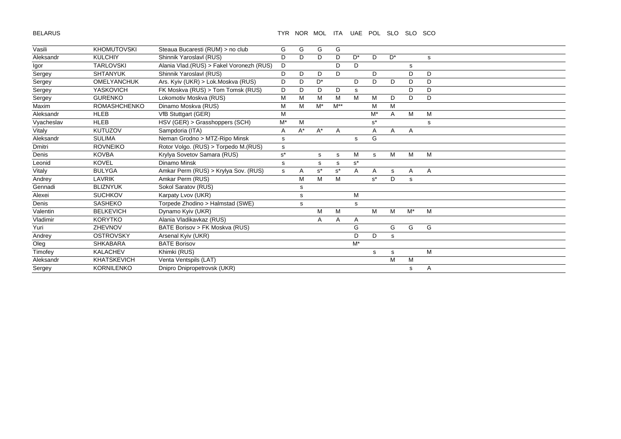BELARUS

| Vasili     | <b>KHOMUTOVSKI</b>  | Steaua Bucaresti (RUM) > no club          | G     | G     | G              | G        |                |       |       |       |   |  |
|------------|---------------------|-------------------------------------------|-------|-------|----------------|----------|----------------|-------|-------|-------|---|--|
| Aleksandr  | <b>KULCHIY</b>      | Shinnik Yaroslavl (RUS)                   | D     | D.    | D              | D        | D*             | D     | $D^*$ |       | s |  |
| Igor       | <b>TARLOVSKI</b>    | Alania Vlad. (RUS) > Fakel Voronezh (RUS) | D     |       |                | D        | D              |       |       | s     |   |  |
| Sergey     | <b>SHTANYUK</b>     | Shinnik Yaroslavl (RUS)                   | D     | D     | D              | D        |                | D     |       | D     | D |  |
| Sergey     | <b>OMELYANCHUK</b>  | Ars. Kyiv (UKR) > Lok.Moskva (RUS)        | D     | D     | D <sup>*</sup> |          | D              | D     | D     | D     | D |  |
| Sergey     | <b>YASKOVICH</b>    | FK Moskva (RUS) > Tom Tomsk (RUS)         | D     | D     | D              | D        | s              |       |       | D     | D |  |
| Sergey     | <b>GURENKO</b>      | Lokomotiv Moskva (RUS)                    | M     | M     | M              | M        | M              | M     | D     | D     | D |  |
| Maxim      | <b>ROMASHCHENKO</b> | Dinamo Moskva (RUS)                       | M     | M     | $M^*$          | $M^{**}$ |                | M     | M     |       |   |  |
| Aleksandr  | <b>HLEB</b>         | VfB Stuttgart (GER)                       | M     |       |                |          |                | $M^*$ | A     | M     | M |  |
| Vyacheslav | <b>HLEB</b>         | HSV (GER) > Grasshoppers (SCH)            | M*    | M     |                |          |                | $s^*$ |       |       | s |  |
| Vitaly     | <b>KUTUZOV</b>      | Sampdoria (ITA)                           | A     | $A^*$ | $A^*$          | A        |                | Α     | A     | Α     |   |  |
| Aleksandr  | <b>SULIMA</b>       | Neman Grodno > MTZ-Ripo Minsk             | s     |       |                |          | s              | G     |       |       |   |  |
| Dmitri     | <b>ROVNEIKO</b>     | Rotor Volgo. (RUS) > Torpedo M.(RUS)      | s     |       |                |          |                |       |       |       |   |  |
| Denis      | <b>KOVBA</b>        | Krylya Sovetov Samara (RUS)               | $s^*$ |       | s              | s        | M              | s     | M     | М     | M |  |
| Leonid     | <b>KOVEL</b>        | Dinamo Minsk                              | s     |       | s              | s        | $s^*$          |       |       |       |   |  |
| Vitaly     | <b>BULYGA</b>       | Amkar Perm (RUS) > Krylya Sov. (RUS)      | s     | A     | $s^*$          | $s^*$    | $\overline{A}$ | A     | s     | A     | A |  |
| Andrey     | LAVRIK              | Amkar Perm (RUS)                          |       | M     | M              | M        |                | $s^*$ | D     | s     |   |  |
| Gennadi    | <b>BLIZNYUK</b>     | Sokol Saratov (RUS)                       |       | s     |                |          |                |       |       |       |   |  |
| Alexei     | <b>SUCHKOV</b>      | Karpaty Lvov (UKR)                        |       | s     |                |          | M              |       |       |       |   |  |
| Denis      | <b>SASHEKO</b>      | Torpede Zhodino > Halmstad (SWE)          |       | s     |                |          | s              |       |       |       |   |  |
| Valentin   | <b>BELKEVICH</b>    | Dynamo Kyiv (UKR)                         |       |       | M              | M        |                | M     | M     | $M^*$ | M |  |
| Vladimir   | <b>KORYTKO</b>      | Alania Vladikavkaz (RUS)                  |       |       | Α              | A        | Α              |       |       |       |   |  |
| Yuri       | ZHEVNOV             | BATE Borisov > FK Moskva (RUS)            |       |       |                |          | G              |       | G     | G     | G |  |
| Andrey     | <b>OSTROVSKY</b>    | Arsenal Kyiv (UKR)                        |       |       |                |          | D              | D     | s     |       |   |  |
| Oleg       | <b>SHKABARA</b>     | <b>BATE Borisov</b>                       |       |       |                |          | $M^*$          |       |       |       |   |  |
| Timofey    | <b>KALACHEV</b>     | Khimki (RUS)                              |       |       |                |          |                | s     | s     |       | М |  |
| Aleksandr  | <b>KHATSKEVICH</b>  | Venta Ventspils (LAT)                     |       |       |                |          |                |       | M     | M     |   |  |
| Sergey     | <b>KORNILENKO</b>   | Dnipro Dnipropetrovsk (UKR)               |       |       |                |          |                |       |       | s     | Α |  |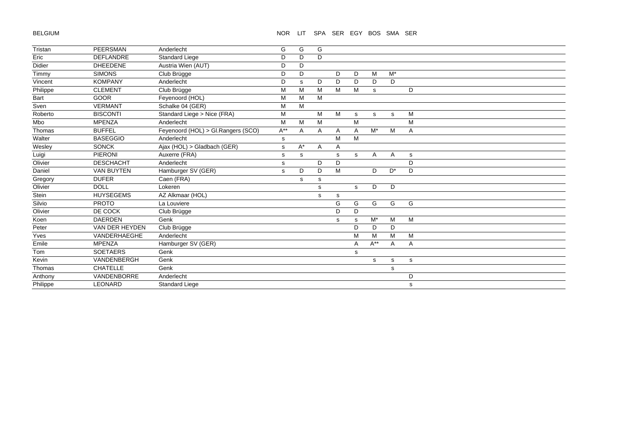BELGIUM

# NOR LIT SPA SER EGY BOS SMA SER

| Tristan  | <b>PEERSMAN</b>   | Anderlecht                         | G        | G     | G |   |   |          |       |              |  |  |
|----------|-------------------|------------------------------------|----------|-------|---|---|---|----------|-------|--------------|--|--|
| Eric     | <b>DEFLANDRE</b>  | Standard Liege                     | D        | D     | D |   |   |          |       |              |  |  |
| Didier   | <b>DHEEDENE</b>   | Austria Wien (AUT)                 | D        | D     |   |   |   |          |       |              |  |  |
| Timmy    | <b>SIMONS</b>     | Club Brügge                        | D        | D     |   | D | D | M        | $M^*$ |              |  |  |
| Vincent  | <b>KOMPANY</b>    | Anderlecht                         | D        | s     | D | D | D | D        | D     |              |  |  |
| Philippe | <b>CLEMENT</b>    | Club Brügge                        | M        | M     | M | M | M | s        |       | D            |  |  |
| Bart     | <b>GOOR</b>       | Feyenoord (HOL)                    | M        | M     | M |   |   |          |       |              |  |  |
| Sven     | <b>VERMANT</b>    | Schalke 04 (GER)                   | М        | M     |   |   |   |          |       |              |  |  |
| Roberto  | <b>BISCONTI</b>   | Standard Liege > Nice (FRA)        | M        |       | M | М | s | s        | s     | M            |  |  |
| Mbo      | <b>MPENZA</b>     | Anderlecht                         | M        | M     | M |   | M |          |       | M            |  |  |
| Thomas   | <b>BUFFEL</b>     | Feyenoord (HOL) > Gl.Rangers (SCO) | $A^{**}$ | Α     | A | A | Α | $M^*$    | M     | A            |  |  |
| Walter   | <b>BASEGGIO</b>   | Anderlecht                         | s        |       |   | M | M |          |       |              |  |  |
| Wesley   | <b>SONCK</b>      | Ajax (HOL) > Gladbach (GER)        | s        | $A^*$ | A | Α |   |          |       |              |  |  |
| Luigi    | <b>PIERONI</b>    | Auxerre (FRA)                      | s        | s     |   | s | s | A        | A     | s            |  |  |
| Olivier  | <b>DESCHACHT</b>  | Anderlecht                         | s        |       | D | D |   |          |       | D            |  |  |
| Daniel   | <b>VAN BUYTEN</b> | Hamburger SV (GER)                 | s        | D     | D | M |   | D        | $D^*$ | D            |  |  |
| Gregory  | <b>DUFER</b>      | Caen (FRA)                         |          | s     | s |   |   |          |       |              |  |  |
| Olivier  | <b>DOLL</b>       | Lokeren                            |          |       | s |   | s | D        | D     |              |  |  |
| Stein    | <b>HUYSEGEMS</b>  | AZ Alkmaar (HOL)                   |          |       | s | s |   |          |       |              |  |  |
| Silvio   | <b>PROTO</b>      | La Louviere                        |          |       |   | G | G | G        | G     | G            |  |  |
| Olivier  | DE COCK           | Club Brügge                        |          |       |   | D | D |          |       |              |  |  |
| Koen     | <b>DAERDEN</b>    | Genk                               |          |       |   | s | s | $M^*$    | M     | M            |  |  |
| Peter    | VAN DER HEYDEN    | Club Brügge                        |          |       |   |   | D | D        | D     |              |  |  |
| Yves     | VANDERHAEGHE      | Anderlecht                         |          |       |   |   | M | M        | M     | M            |  |  |
| Emile    | <b>MPENZA</b>     | Hamburger SV (GER)                 |          |       |   |   | Α | $A^{**}$ | A     | A            |  |  |
| Tom      | <b>SOETAERS</b>   | Genk                               |          |       |   |   | s |          |       |              |  |  |
| Kevin    | VANDENBERGH       | Genk                               |          |       |   |   |   | s        | s     | $\mathbf{s}$ |  |  |
| Thomas   | <b>CHATELLE</b>   | Genk                               |          |       |   |   |   |          | s     |              |  |  |
| Anthony  | VANDENBORRE       | Anderlecht                         |          |       |   |   |   |          |       | D            |  |  |
| Philippe | <b>LEONARD</b>    | <b>Standard Liege</b>              |          |       |   |   |   |          |       | s            |  |  |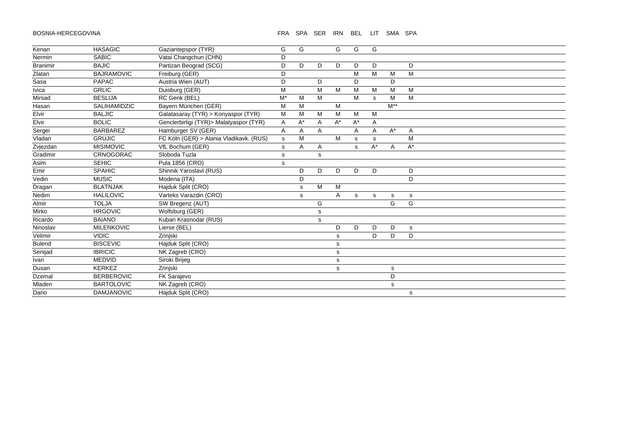#### BOSNIA-HERCEGOVINA FRA SPA SER IRN BEL LIT SMA SPA

| Kenan           | <b>HASAGIC</b>      | Gaziantepspor (TYR)                      | G            | G  |   | G           | G     | G     |          |       |
|-----------------|---------------------|------------------------------------------|--------------|----|---|-------------|-------|-------|----------|-------|
| Nermin          | <b>SABIC</b>        | Vatai Changchun (CHN)                    | D            |    |   |             |       |       |          |       |
| <b>Branimir</b> | <b>BAJIC</b>        | Partizan Beograd (SCG)                   | D            | D  | D | D           | D     | D     |          | D     |
| Zlatan          | <b>BAJRAMOVIC</b>   | Freiburg (GER)                           | D            |    |   |             | M     | M     | M        | M     |
| Sasa            | <b>PAPAC</b>        | Austria Wien (AUT)                       | D            |    | D |             | D     |       | D        |       |
| <b>Ivica</b>    | <b>GRLIC</b>        | Duisburg (GER)                           | M            |    | M | M           | M     | м     | M        | м     |
| Mirsad          | <b>BESLIJA</b>      | RC Genk (BEL)                            | $M^*$        | M  | M |             | M     | s     | M        | M     |
| Hasan           | <b>SALIHAMIDZIC</b> | Bayern München (GER)                     | М            | M  |   | M           |       |       | $M^{**}$ |       |
| Elvir           | <b>BALJIC</b>       | Galatasaray (TYR) > Konyaspor (TYR)      | M            | M  | M | M           | M     | M     |          |       |
| Elvir           | <b>BOLIC</b>        | Genclerbirligi (TYR) > Malatyaspor (TYR) | Α            | A* | Α | $A^*$       | $A^*$ | Α     |          |       |
| Sergei          | <b>BARBAREZ</b>     | Hamburger SV (GER)                       | A            | Α  | Α |             | Α     | Α     | $A^*$    | Α     |
| Vladan          | <b>GRUJIC</b>       | FC Köln (GER) > Alania Vladikavk. (RUS)  | $\mathbf{s}$ | M  |   | M           | s     | s     |          | M     |
| Zvjezdan        | <b>MISIMOVIC</b>    | VfL Bochum (GER)                         | s            | Α  | Α |             | s     | $A^*$ | A        | $A^*$ |
| Gradimir        | CRNOGORAC           | Sloboda Tuzla                            | s            |    | s |             |       |       |          |       |
| Asim            | <b>SEHIC</b>        | Pula 1856 (CRO)                          | s            |    |   |             |       |       |          |       |
| Emir            | <b>SPAHIC</b>       | Shinnik Yaroslavl (RUS)                  |              | D  | D | D           | D     | D     |          | D     |
| Vedin           | <b>MUSIC</b>        | Modena (ITA)                             |              | D  |   |             |       |       |          | D     |
| Dragan          | <b>BLATNJAK</b>     | Hajduk Split (CRO)                       |              | s  | M | M           |       |       |          |       |
| Nedim           | <b>HALILOVIC</b>    | Varteks Varazdin (CRO)                   |              | s  |   | A           | s     | s     | s        | s     |
| Almir           | <b>TOLJA</b>        | SW Bregenz (AUT)                         |              |    | G |             |       |       | G        | G     |
| Mirko           | <b>HRGOVIC</b>      | Wolfsburg (GER)                          |              |    | s |             |       |       |          |       |
| Ricardo         | <b>BAIANO</b>       | Kuban Krasnodar (RUS)                    |              |    | s |             |       |       |          |       |
| Ninoslav        | <b>MILENKOVIC</b>   | Lierse (BEL)                             |              |    |   | D           | D     | D     | D        | s     |
| Velimir         | <b>VIDIC</b>        | Zrinjski                                 |              |    |   | s           |       | D.    | D        | D.    |
| <b>Bulend</b>   | <b>BISCEVIC</b>     | Hajduk Split (CRO)                       |              |    |   | s           |       |       |          |       |
| Senijad         | <b>IBRICIC</b>      | NK Zagreb (CRO)                          |              |    |   | $\mathbf s$ |       |       |          |       |
| Ivan            | <b>MEDVID</b>       | Siroki Brijeg                            |              |    |   | s           |       |       |          |       |
| Dusan           | <b>KERKEZ</b>       | Zrinjski                                 |              |    |   | s           |       |       | s        |       |
| Dzemal          | <b>BERBEROVIC</b>   | FK Sarajevo                              |              |    |   |             |       |       | D        |       |
| Mladen          | <b>BARTOLOVIC</b>   | NK Zagreb (CRO)                          |              |    |   |             |       |       | s        |       |
| Dario           | <b>DAMJANOVIC</b>   | Hajduk Split (CRO)                       |              |    |   |             |       |       |          | s     |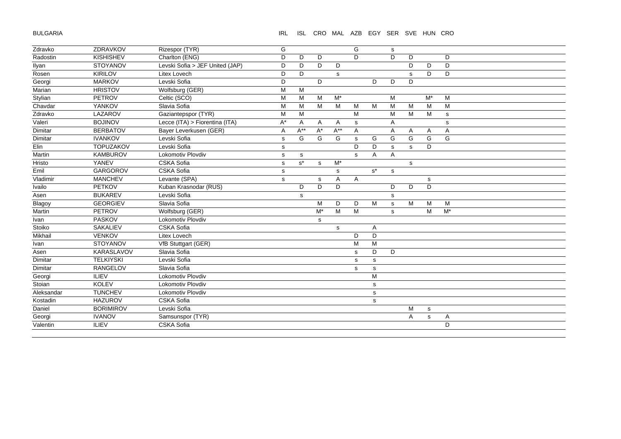BULGARIA

IRL ISL CRO MAL AZB EGY SER SVE HUN CRO

| Zdravko    | ZDRAVKOV         | Rizespor (TYR)                  | G            |          |       |                  | G           |                      | s            |             |             |             |
|------------|------------------|---------------------------------|--------------|----------|-------|------------------|-------------|----------------------|--------------|-------------|-------------|-------------|
| Radostin   | <b>KISHISHEV</b> | Charlton (ENG)                  | D            | D        | D     |                  | D           |                      | D            | D           |             | D           |
| Ilyan      | STOYANOV         | Levski Sofia > JEF United (JAP) | D            | D        | D     | D                |             |                      |              | D           | D           | D           |
| Rosen      | <b>KIRILOV</b>   | Litex Lovech                    | D            | D        |       | s                |             |                      |              | s           | D           | D           |
| Georgi     | <b>MARKOV</b>    | Levski Sofia                    | D            |          | D     |                  |             | D                    | D            | D           |             |             |
| Marian     | <b>HRISTOV</b>   | Wolfsburg (GER)                 | M            | M        |       |                  |             |                      |              |             |             |             |
| Stylian    | <b>PETROV</b>    | Celtic (SCO)                    | M            | M        | M     | $M^*$            |             |                      | M            |             | $M^*$       | M           |
| Chavdar    | YANKOV           | Slavia Sofia                    | M            | M        | M     | M                | M           | M                    | M            | M           | M           | M           |
| Zdravko    | LAZAROV          | Gaziantepspor (TYR)             | M            | M        |       |                  | M           |                      | M            | M           | M           | s           |
| Valeri     | <b>BOJINOV</b>   | Lecce (ITA) > Fiorentina (ITA)  | A*           | Α        | A     | A                | $\mathbf s$ |                      | Α            |             |             | $\mathbf s$ |
| Dimitar    | <b>BERBATOV</b>  | Bayer Leverkusen (GER)          | Α            | $A^{**}$ | $A^*$ | $A^{**}$         | A           |                      | Α            | Α           | Α           | A           |
| Dimitar    | <b>IVANKOV</b>   | Levski Sofia                    | $\mathbf s$  | G        | G     | G                | $\mathbf s$ | G                    | G            | G           | G           | G           |
| Elin       | <b>TOPUZAKOV</b> | Levski Sofia                    | $\mathsf{s}$ |          |       |                  | D           | D                    | s            | s           | D           |             |
| Martin     | KAMBUROV         | Lokomotiv Plovdiv               | $\mathbf s$  | s        |       |                  | $\mathbf s$ | Α                    | A            |             |             |             |
| Hristo     | YANEV            | CSKA Sofia                      | $\mathsf{s}$ | $s^*$    | s     | $\overline{M^*}$ |             |                      |              | $\mathbf s$ |             |             |
| Emil       | <b>GARGOROV</b>  | CSKA Sofia                      | s            |          |       | s                |             | $\texttt{s}^{\star}$ | s            |             |             |             |
| Vladimir   | <b>MANCHEV</b>   | Levante (SPA)                   | s            |          | s     | Α                | A           |                      |              |             | s           |             |
| Ivailo     | <b>PETKOV</b>    | Kuban Krasnodar (RUS)           |              | D        | D     | D                |             |                      | D            | D           | D           |             |
| Asen       | <b>BUKAREV</b>   | Levski Sofia                    |              | s        |       |                  |             |                      | s            |             |             |             |
| Blagoy     | <b>GEORGIEV</b>  | Slavia Sofia                    |              |          | M     | D                | D           | M                    | $\mathsf{s}$ | M           | M           | M           |
| Martin     | PETROV           | Wolfsburg (GER)                 |              |          | $M^*$ | M                | M           |                      | $\mathbf s$  |             | M           | $M^*$       |
| Ivan       | <b>PASKOV</b>    | <b>Lokomotiv Plovdiv</b>        |              |          | s     |                  |             |                      |              |             |             |             |
| Stoiko     | <b>SAKALIEV</b>  | CSKA Sofia                      |              |          |       | $\mathbf s$      |             | A                    |              |             |             |             |
| Mikhail    | <b>VENKOV</b>    | Litex Lovech                    |              |          |       |                  | D           | D                    |              |             |             |             |
| Ivan       | <b>STOYANOV</b>  | VfB Stuttgart (GER)             |              |          |       |                  | M           | M                    |              |             |             |             |
| Asen       | KARASLAVOV       | Slavia Sofia                    |              |          |       |                  | s           | D                    | D            |             |             |             |
| Dimitar    | <b>TELKIYSKI</b> | Levski Sofia                    |              |          |       |                  | s           | $\mathbf{s}$         |              |             |             |             |
| Dimitar    | <b>RANGELOV</b>  | Slavia Sofia                    |              |          |       |                  | s           | s                    |              |             |             |             |
| Georgi     | <b>ILIEV</b>     | Lokomotiv Plovdiv               |              |          |       |                  |             | M                    |              |             |             |             |
| Stoian     | <b>KOLEV</b>     | Lokomotiv Plovdiv               |              |          |       |                  |             | $\mathbf s$          |              |             |             |             |
| Aleksandar | <b>TUNCHEV</b>   | <b>Lokomotiv Plovdiv</b>        |              |          |       |                  |             | $\mathbf s$          |              |             |             |             |
| Kostadin   | <b>HAZUROV</b>   | CSKA Sofia                      |              |          |       |                  |             | $\mathbf s$          |              |             |             |             |
| Daniel     | <b>BORIMIROV</b> | Levski Sofia                    |              |          |       |                  |             |                      |              | M           | $\mathbf s$ |             |
| Georgi     | <b>IVANOV</b>    | Samsunspor (TYR)                |              |          |       |                  |             |                      |              | Α           | $\mathbf s$ | Α           |
| Valentin   | <b>ILIEV</b>     | CSKA Sofia                      |              |          |       |                  |             |                      |              |             |             | D           |
|            |                  |                                 |              |          |       |                  |             |                      |              |             |             |             |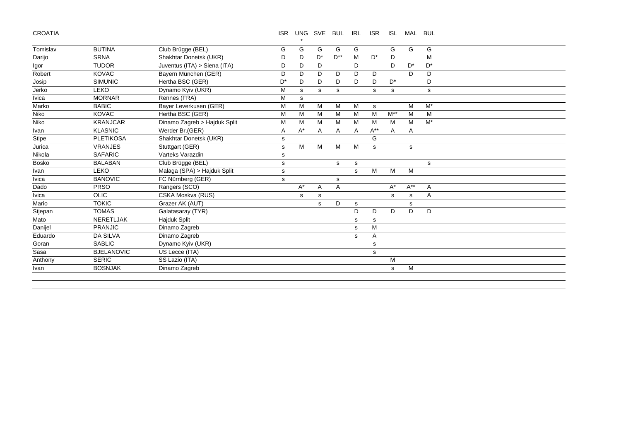CROATIA

ISR UNG SVE BUL IRL ISR ISL MAL BUL

|              |                   |                              |       | $\star$ |       |              |   |          |          |          |       |  |
|--------------|-------------------|------------------------------|-------|---------|-------|--------------|---|----------|----------|----------|-------|--|
| Tomislav     | <b>BUTINA</b>     | Club Brügge (BEL)            | G     | G       | G     | G            | G |          | G        | G        | G     |  |
| Darijo       | <b>SRNA</b>       | Shakhtar Donetsk (UKR)       | D     | D       | $D^*$ | $D^{**}$     | M | $D^*$    | D        |          | M     |  |
| Igor         | <b>TUDOR</b>      | Juventus (ITA) > Siena (ITA) | D     | D       | D     |              | D |          | D        | $D^*$    | $D^*$ |  |
| Robert       | <b>KOVAC</b>      | Bayern München (GER)         | D     | D       | D     | D            | D | D        |          | D.       | D     |  |
| Josip        | <b>SIMUNIC</b>    | Hertha BSC (GER)             | $D^*$ | D       | D     | D.           | D | D.       | $D^*$    |          | D     |  |
| Jerko        | <b>LEKO</b>       | Dynamo Kyiv (UKR)            | M     | s       | s     | s            |   | s        | s        |          | s     |  |
| Ivica        | <b>MORNAR</b>     | Rennes (FRA)                 | M     | s       |       |              |   |          |          |          |       |  |
| Marko        | <b>BABIC</b>      | Bayer Leverkusen (GER)       | M     | M       | M     | M            | M | s        |          | M        | $M^*$ |  |
| Niko         | <b>KOVAC</b>      | Hertha BSC (GER)             | M     | M       | M     | M            | M | M        | $M^{**}$ | M        | M     |  |
| Niko         | <b>KRANJCAR</b>   | Dinamo Zagreb > Hajduk Split | М     | M       | M     | M            | M | м        | м        | м        | $M^*$ |  |
| Ivan         | <b>KLASNIC</b>    | Werder Br.(GER)              | Α     | $A^*$   | Α     | A            | Α | $A^{**}$ | A        | Α        |       |  |
| <b>Stipe</b> | <b>PLETIKOSA</b>  | Shakhtar Donetsk (UKR)       | s     |         |       |              |   | G        |          |          |       |  |
| Jurica       | <b>VRANJES</b>    | Stuttgart (GER)              | s     | M       | M     | M            | M | s        |          | s        |       |  |
| Nikola       | <b>SAFARIC</b>    | Varteks Varazdin             | s     |         |       |              |   |          |          |          |       |  |
| <b>Bosko</b> | <b>BALABAN</b>    | Club Brügge (BEL)            | s     |         |       | s            | s |          |          |          | s     |  |
| Ivan         | LEKO              | Malaga (SPA) > Hajduk Split  | s     |         |       |              | s | M        | M        | M        |       |  |
| Ivica        | <b>BANOVIC</b>    | FC Nürnberg (GER)            | s     |         |       | s            |   |          |          |          |       |  |
| Dado         | <b>PRSO</b>       | Rangers (SCO)                |       | $A^*$   | Α     | $\mathsf{A}$ |   |          | $A^*$    | $A^{**}$ | Α     |  |
| Ivica        | <b>OLIC</b>       | CSKA Moskva (RUS)            |       | s       | s     |              |   |          | s        | s        | A     |  |
| Mario        | <b>TOKIC</b>      | Grazer AK (AUT)              |       |         | s     | D            | s |          |          | s        |       |  |
| Stjepan      | <b>TOMAS</b>      | Galatasaray (TYR)            |       |         |       |              | D | D        | D        | D        | D     |  |
| Mato         | <b>NERETLJAK</b>  | Hajduk Split                 |       |         |       |              | s | s        |          |          |       |  |
| Danijel      | <b>PRANJIC</b>    | Dinamo Zagreb                |       |         |       |              | s | M        |          |          |       |  |
| Eduardo      | <b>DA SILVA</b>   | Dinamo Zagreb                |       |         |       |              | s | A        |          |          |       |  |
| Goran        | <b>SABLIC</b>     | Dynamo Kyiv (UKR)            |       |         |       |              |   | s        |          |          |       |  |
| Sasa         | <b>BJELANOVIC</b> | US Lecce (ITA)               |       |         |       |              |   | s        |          |          |       |  |
| Anthony      | <b>SERIC</b>      | SS Lazio (ITA)               |       |         |       |              |   |          | M        |          |       |  |
| Ivan         | <b>BOSNJAK</b>    | Dinamo Zagreb                |       |         |       |              |   |          | s        | м        |       |  |
|              |                   |                              |       |         |       |              |   |          |          |          |       |  |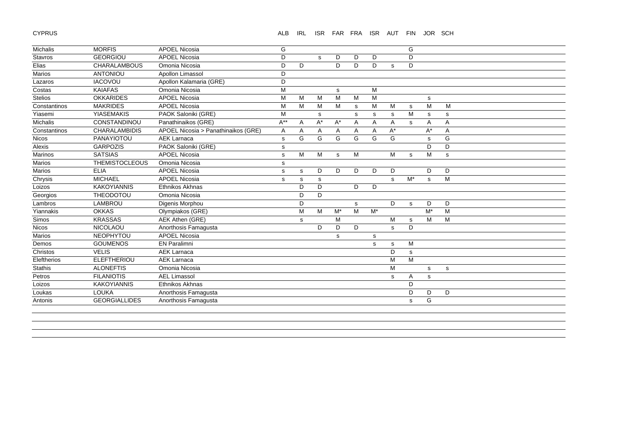CYPRUS

ALB IRL ISR FAR FRA ISR AUT FIN JOR SCH

| Michalis       | <b>MORFIS</b>         | <b>APOEL Nicosia</b>                | G           |   |       |              |   |       |              | G           |             |             |
|----------------|-----------------------|-------------------------------------|-------------|---|-------|--------------|---|-------|--------------|-------------|-------------|-------------|
| Stavros        | <b>GEORGIOU</b>       | <b>APOEL Nicosia</b>                | D           |   | s     | D            | D | D     |              | D           |             |             |
| Elias          | CHARALAMBOUS          | Omonia Nicosia                      | D           | D |       | D.           | D | D     | s            | D           |             |             |
| Marios         | ANTONIOU              | Apollon Limassol                    | D           |   |       |              |   |       |              |             |             |             |
| Lazaros        | <b>IACOVOU</b>        | Apollon Kalamaria (GRE)             | D           |   |       |              |   |       |              |             |             |             |
| Costas         | <b>KAIAFAS</b>        | Omonia Nicosia                      | M           |   |       | s            |   | M     |              |             |             |             |
| <b>Stelios</b> | <b>OKKARIDES</b>      | <b>APOEL Nicosia</b>                | M           | M | M     | M            | M | M     |              |             | s           |             |
| Constantinos   | <b>MAKRIDES</b>       | <b>APOEL Nicosia</b>                | M           | M | M     | M            | s | М     | M            | s           | M           | M           |
| Yiasemi        | <b>YIASEMAKIS</b>     | PAOK Saloniki (GRE)                 | M           |   | s     |              | s | s     | s            | M           | s           | s           |
| Michalis       | CONSTANDINOU          | Panathinaikos (GRE)                 | $A^{**}$    | Α | $A^*$ | $A^*$        | Α | Α     | A            | s           | Α           | Α           |
| Constantinos   | <b>CHARALAMBIDIS</b>  | APOEL Nicosia > Panathinaikos (GRE) | A           | A | A     | A            | A | A     | $A^*$        |             | $A^*$       | A           |
| Nicos          | PANAYIOTOU            | <b>AEK Larnaca</b>                  | $\mathbf s$ | G | G     | G            | G | G     | G            |             | $\mathbf s$ | G           |
| Alexis         | <b>GARPOZIS</b>       | PAOK Saloniki (GRE)                 | s           |   |       |              |   |       |              |             | D           | D           |
| Marinos        | <b>SATSIAS</b>        | <b>APOEL Nicosia</b>                | s           | М | M     | $\mathbf{s}$ | M |       | M            | s           | M           | s           |
| Marios         | <b>THEMISTOCLEOUS</b> | Omonia Nicosia                      | s           |   |       |              |   |       |              |             |             |             |
| Marios         | <b>ELIA</b>           | <b>APOEL Nicosia</b>                | s           | s | D     | D            | D | D     | D            |             | D           | D           |
| Chrysis        | <b>MICHAEL</b>        | <b>APOEL Nicosia</b>                | s           | s | s     |              |   |       | s            | $M^*$       | s           | M           |
| Loizos         | <b>KAKOYIANNIS</b>    | Ethnikos Akhnas                     |             | D | D     |              | D | D     |              |             |             |             |
| Georgios       | THEODOTOU             | Omonia Nicosia                      |             | D | D     |              |   |       |              |             |             |             |
| Lambros        | LAMBROU               | Digenis Morphou                     |             | D |       |              | s |       | D            | $\mathbf s$ | D           | D           |
| Yiannakis      | <b>OKKAS</b>          | Olympiakos (GRE)                    |             | M | M     | $M^*$        | M | $M^*$ |              |             | $M^*$       | M           |
| Simos          | <b>KRASSAS</b>        | AEK Athen (GRE)                     |             | s |       | M            |   |       | M            | s           | M           | M           |
| <b>Nicos</b>   | <b>NICOLAOU</b>       | Anorthosis Famagusta                |             |   | D     | D            | D |       | $\mathbf{s}$ | D           |             |             |
| Marios         | <b>NEOPHYTOU</b>      | <b>APOEL Nicosia</b>                |             |   |       | s            |   | s     |              |             |             |             |
| Demos          | <b>GOUMENOS</b>       | <b>EN Paralimni</b>                 |             |   |       |              |   | s     | s            | M           |             |             |
| Christos       | <b>VELIS</b>          | <b>AEK Larnaca</b>                  |             |   |       |              |   |       | D            | s           |             |             |
| Eleftherios    | <b>ELEFTHERIOU</b>    | <b>AEK Larnaca</b>                  |             |   |       |              |   |       | M            | M           |             |             |
| Stathis        | <b>ALONEFTIS</b>      | Omonia Nicosia                      |             |   |       |              |   |       | M            |             | s           | $\mathbf s$ |
| Petros         | <b>FILANIOTIS</b>     | <b>AEL Limassol</b>                 |             |   |       |              |   |       | s            | Α           | s           |             |
| Loizos         | <b>KAKOYIANNIS</b>    | Ethnikos Akhnas                     |             |   |       |              |   |       |              | D           |             |             |
| Loukas         | LOUKA                 | Anorthosis Famagusta                |             |   |       |              |   |       |              | D           | D           | D           |
| Antonis        | <b>GEORGIALLIDES</b>  | Anorthosis Famagusta                |             |   |       |              |   |       |              | s           | G           |             |
|                |                       |                                     |             |   |       |              |   |       |              |             |             |             |
|                |                       |                                     |             |   |       |              |   |       |              |             |             |             |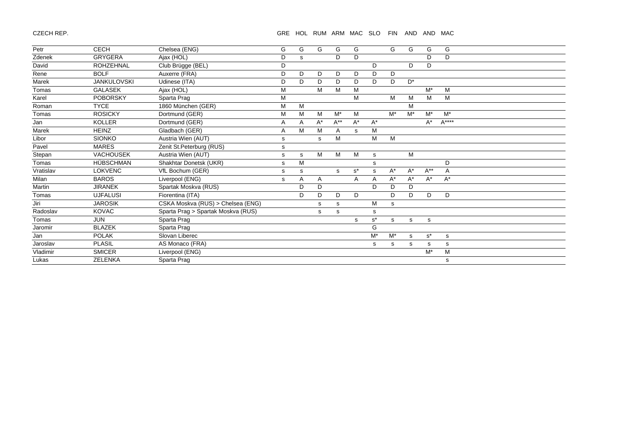CZECH REP.

GRE HOL RUM ARM MAC SLO FIN AND AND MAC

| Petr      | CECH               | Chelsea (ENG)                      | G | G | G     | G        | G     |                      | G     | G     | G        | G      |  |  |
|-----------|--------------------|------------------------------------|---|---|-------|----------|-------|----------------------|-------|-------|----------|--------|--|--|
| Zdenek    | <b>GRYGERA</b>     | Ajax (HOL)                         | D | s |       | D        | D     |                      |       |       | D        | D      |  |  |
| David     | <b>ROHZEHNAL</b>   | Club Brügge (BEL)                  | D |   |       |          |       | D                    |       | D     | D        |        |  |  |
| Rene      | <b>BOLF</b>        | Auxerre (FRA)                      | D | D | D     | D        | D     | D                    | D     |       |          |        |  |  |
| Marek     | <b>JANKULOVSKI</b> | Udinese (ITA)                      | D | D | D     | D        | D     | D                    | D     | $D^*$ |          |        |  |  |
| Tomas     | <b>GALASEK</b>     | Ajax (HOL)                         | M |   | M     | M        | M     |                      |       |       | $M^*$    | M      |  |  |
| Karel     | <b>POBORSKY</b>    | Sparta Prag                        | M |   |       |          | M     |                      | M     | м     | M        | M      |  |  |
| Roman     | <b>TYCE</b>        | 1860 München (GER)                 | M | M |       |          |       |                      |       | M     |          |        |  |  |
| Tomas     | <b>ROSICKY</b>     | Dortmund (GER)                     | M | M | M     | $M^*$    | M     |                      | $M^*$ | $M^*$ | $M^*$    | $M^*$  |  |  |
| Jan       | <b>KOLLER</b>      | Dortmund (GER)                     | A | A | $A^*$ | $A^{**}$ | $A^*$ | $A^*$                |       |       | $A^*$    | $A***$ |  |  |
| Marek     | <b>HEINZ</b>       | Gladbach (GER)                     | Α | M | M     | A        | s     | M                    |       |       |          |        |  |  |
| Libor     | <b>SIONKO</b>      | Austria Wien (AUT)                 | s |   | s     | M        |       | M                    | M     |       |          |        |  |  |
| Pavel     | <b>MARES</b>       | Zenit St.Peterburg (RUS)           | s |   |       |          |       |                      |       |       |          |        |  |  |
| Stepan    | <b>VACHOUSEK</b>   | Austria Wien (AUT)                 | s | s | M     | M        | M     | s                    |       | М     |          |        |  |  |
| Tomas     | <b>HÜBSCHMAN</b>   | Shakhtar Donetsk (UKR)             | s | M |       |          |       | s                    |       |       |          | D      |  |  |
| Vratislav | <b>LOKVENC</b>     | VfL Bochum (GER)                   | s | s |       | S.       | $s^*$ | s                    | $A^*$ | $A^*$ | $A^{**}$ | A      |  |  |
| Milan     | <b>BAROS</b>       | Liverpool (ENG)                    | s | Α | A     |          | A     | A                    | $A^*$ | $A^*$ | $A^*$    | $A^*$  |  |  |
| Martin    | <b>JIRANEK</b>     | Spartak Moskva (RUS)               |   | D | D     |          |       | D                    | D     | D     |          |        |  |  |
| Tomas     | <b>UJFALUSI</b>    | Fiorentina (ITA)                   |   | D | D     | D        | D     |                      | D     | D     | D        | D      |  |  |
| Jiri      | <b>JAROSIK</b>     | CSKA Moskva (RUS) > Chelsea (ENG)  |   |   | s     | s        |       | м                    | s     |       |          |        |  |  |
| Radoslav  | <b>KOVAC</b>       | Sparta Prag > Spartak Moskva (RUS) |   |   | s     | s        |       | s                    |       |       |          |        |  |  |
| Tomas     | <b>JUN</b>         | Sparta Prag                        |   |   |       |          | s     | $\texttt{s}^{\star}$ | s.    | s     | s        |        |  |  |
| Jaromir   | <b>BLAZEK</b>      | Sparta Prag                        |   |   |       |          |       | G                    |       |       |          |        |  |  |
| Jan       | <b>POLAK</b>       | Slovan Liberec                     |   |   |       |          |       | $M^*$                | $M^*$ | s     | $s^*$    | s      |  |  |
| Jaroslav  | <b>PLASIL</b>      | AS Monaco (FRA)                    |   |   |       |          |       | s                    | s     | s     | s        | s      |  |  |
| Vladimir  | <b>SMICER</b>      | Liverpool (ENG)                    |   |   |       |          |       |                      |       |       | $M^*$    | M      |  |  |
| Lukas     | <b>ZELENKA</b>     | Sparta Prag                        |   |   |       |          |       |                      |       |       |          | s      |  |  |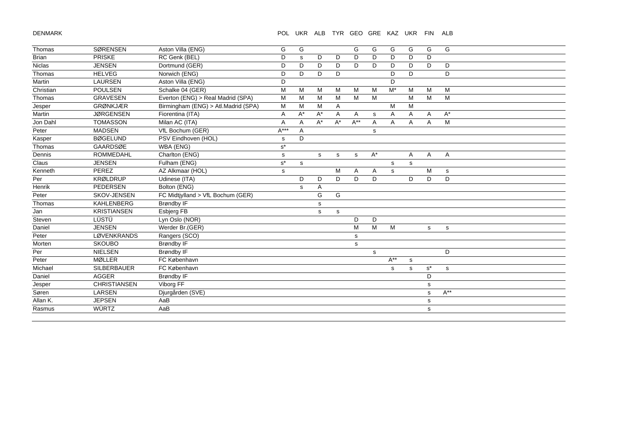DENMARK

| Thomas       | <b>SØRENSEN</b>     | Aston Villa (ENG)                   | G           | G     |             |              | G           | G     | G                | G           | G                    | G           |
|--------------|---------------------|-------------------------------------|-------------|-------|-------------|--------------|-------------|-------|------------------|-------------|----------------------|-------------|
| <b>Brian</b> | <b>PRISKE</b>       | RC Genk (BEL)                       | D           | s     | D           | D            | D           | D     | D                | D           | D                    |             |
| Niclas       | <b>JENSEN</b>       | Dortmund (GER)                      | D           | D     | D           | D            | D           | D     | D                | D           | D                    | D           |
| Thomas       | <b>HELVEG</b>       | Norwich (ENG)                       | D           | D     | D           | D            |             |       | D                | D           |                      | D           |
| Martin       | <b>LAURSEN</b>      | Aston Villa (ENG)                   | D           |       |             |              |             |       | D                |             |                      |             |
| Christian    | <b>POULSEN</b>      | Schalke 04 (GER)                    | M           | M     | M           | M            | M           | M     | $\overline{M^*}$ | M           | M                    | M           |
| Thomas       | <b>GRAVESEN</b>     | Everton (ENG) > Real Madrid (SPA)   | M           | M     | M           | M            | M           | M     |                  | M           | M                    | M           |
| Jesper       | <b>GRØNKJÆR</b>     | Birmingham (ENG) > Atl.Madrid (SPA) | M           | M     | M           | $\mathsf{A}$ |             |       | M                | M           |                      |             |
| Martin       | <b>JØRGENSEN</b>    | Fiorentina (ITA)                    | Α           | $A^*$ | $A^*$       | Α            | Α           | s     | Α                | Α           | Α                    | $A^*$       |
| Jon Dahl     | <b>TOMASSON</b>     | Milan AC (ITA)                      | A           | A     | $A^*$       | $A^*$        | $A^{**}$    | A     | A                | A           | A                    | M           |
| Peter        | <b>MADSEN</b>       | VfL Bochum (GER)                    | $A***$      | Α     |             |              |             | s     |                  |             |                      |             |
| Kasper       | <b>BØGELUND</b>     | PSV Eindhoven (HOL)                 | s           | D     |             |              |             |       |                  |             |                      |             |
| Thomas       | <b>GAARDSØE</b>     | WBA (ENG)                           | $s^*$       |       |             |              |             |       |                  |             |                      |             |
| Dennis       | ROMMEDAHL           | Charlton (ENG)                      | $\mathbf s$ |       | s           | s            | s           | $A^*$ |                  | Α           | Α                    | A           |
| Claus        | <b>JENSEN</b>       | Fulham (ENG)                        | $s^*$       | s     |             |              |             |       | s                | s           |                      |             |
| Kenneth      | PEREZ               | AZ Alkmaar (HOL)                    | s           |       |             | M            | Α           | A     | $\mathbf s$      |             | M                    | $\mathbf S$ |
| Per          | <b>KRØLDRUP</b>     | Udinese (ITA)                       |             | D     | D           | D            | D           | D     |                  | D           | D                    | D           |
| Henrik       | <b>PEDERSEN</b>     | Bolton (ENG)                        |             | s     | A           |              |             |       |                  |             |                      |             |
| Peter        | SKOV-JENSEN         | FC Midtjylland > VfL Bochum (GER)   |             |       | G           | G            |             |       |                  |             |                      |             |
| Thomas       | <b>KAHLENBERG</b>   | <b>Brøndby IF</b>                   |             |       | s           |              |             |       |                  |             |                      |             |
| Jan          | <b>KRISTIANSEN</b>  | Esbjerg FB                          |             |       | $\mathbf s$ | s            |             |       |                  |             |                      |             |
| Steven       | LÜSTÜ               | Lyn Oslo (NOR)                      |             |       |             |              | D           | D     |                  |             |                      |             |
| Daniel       | <b>JENSEN</b>       | Werder Br.(GER)                     |             |       |             |              | M           | M     | M                |             | s                    | s           |
| Peter        | LØVENKRANDS         | Rangers (SCO)                       |             |       |             |              | s           |       |                  |             |                      |             |
| Morten       | <b>SKOUBO</b>       | <b>Brøndby IF</b>                   |             |       |             |              | $\mathbf s$ |       |                  |             |                      |             |
| Per          | <b>NIELSEN</b>      | <b>Brøndby IF</b>                   |             |       |             |              |             | s     |                  |             |                      | D           |
| Peter        | <b>MØLLER</b>       | FC København                        |             |       |             |              |             |       | $A^{**}$         | $\mathbf s$ |                      |             |
| Michael      | SILBERBAUER         | FC København                        |             |       |             |              |             |       | s                | s           | $\texttt{s}^{\star}$ | s           |
| Daniel       | <b>AGGER</b>        | <b>Brøndby IF</b>                   |             |       |             |              |             |       |                  |             | D                    |             |
| Jesper       | <b>CHRISTIANSEN</b> | Viborg FF                           |             |       |             |              |             |       |                  |             | s                    |             |
| Søren        | <b>LARSEN</b>       | Djurgården (SVE)                    |             |       |             |              |             |       |                  |             | $\mathbf s$          | $A^{**}$    |
| Allan K.     | <b>JEPSEN</b>       | AaB                                 |             |       |             |              |             |       |                  |             | s                    |             |
| Rasmus       | <b>WÜRTZ</b>        | AaB                                 |             |       |             |              |             |       |                  |             | s                    |             |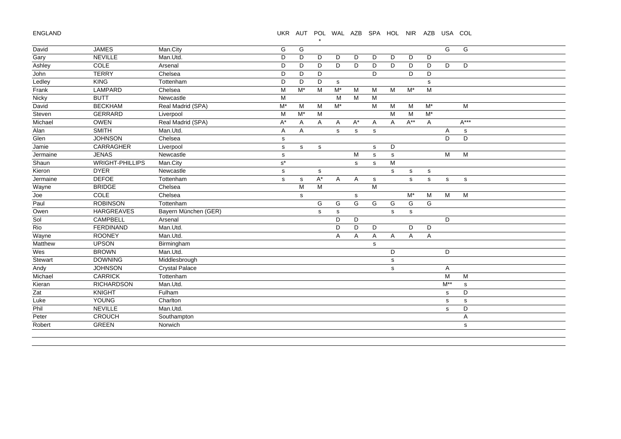ENGLAND

## UKR AUT POL WAL AZB SPA HOL NIR AZB USA COL

|          |                        |                       |                |       | $\star$     |       |       |                |   |          |             |             |           |
|----------|------------------------|-----------------------|----------------|-------|-------------|-------|-------|----------------|---|----------|-------------|-------------|-----------|
| David    | <b>JAMES</b>           | Man.City              | G              | G     |             |       |       |                |   |          |             | G           | G         |
| Gary     | <b>NEVILLE</b>         | Man.Utd.              | D              | D     | D           | D     | D     | D              | D | D        | D           |             |           |
| Ashley   | COLE                   | Arsenal               | D              | D     | D           | D     | D     | D              | D | D        | D           | D           | D         |
| John     | <b>TERRY</b>           | Chelsea               | D              | D     | D           |       |       | D              |   | D        | D           |             |           |
| Ledley   | KING                   | Tottenham             | D              | D     | D           | s     |       |                |   |          | s           |             |           |
| Frank    | LAMPARD                | Chelsea               | M              | $M^*$ | M           | $M^*$ | M     | M              | M | $M^*$    | M           |             |           |
| Nicky    | <b>BUTT</b>            | Newcastle             | M              |       |             | M     | M     | M              |   |          |             |             |           |
| David    | <b>BECKHAM</b>         | Real Madrid (SPA)     | $M^*$          | M     | M           | $M^*$ |       | M              | M | M        | $M^*$       |             | M         |
| Steven   | <b>GERRARD</b>         | Liverpool             | M              | $M^*$ | M           |       |       |                | M | M        | $M^*$       |             |           |
| Michael  | <b>OWEN</b>            | Real Madrid (SPA)     | A*             | Α     | A           | A     | $A^*$ | Α              | Α | $A^{**}$ | Α           |             | $A***$    |
| Alan     | <b>SMITH</b>           | Man.Utd.              | $\overline{A}$ | A     |             | s     | s     | s              |   |          |             | Α           | ${\tt S}$ |
| Glen     | <b>JOHNSON</b>         | Chelsea               | s              |       |             |       |       |                |   |          |             | D           | D         |
| Jamie    | CARRAGHER              | Liverpool             | $\mathsf{s}$   | s     | s           |       |       | $\mathbf S$    | D |          |             |             |           |
| Jermaine | <b>JENAS</b>           | Newcastle             | s              |       |             |       | M     | s              | s |          |             | M           | M         |
| Shaun    | <b>WRIGHT-PHILLIPS</b> | Man.City              | $s^{\star}$    |       |             |       | s     | s              | M |          |             |             |           |
| Kieron   | <b>DYER</b>            | Newcastle             | s              |       | s           |       |       |                | s | s        | s           |             |           |
| Jermaine | <b>DEFOE</b>           | Tottenham             | $\mathsf{s}$   | s     | A*          | A     | A     | $\mathbf s$    |   | s        | $\mathbf s$ | $\mathbf s$ | ${\tt S}$ |
| Wayne    | <b>BRIDGE</b>          | Chelsea               |                | M     | M           |       |       | $\overline{M}$ |   |          |             |             |           |
| Joe      | COLE                   | Chelsea               |                | s     |             |       | s     |                |   | $M^*$    | M           | M           | M         |
| Paul     | <b>ROBINSON</b>        | Tottenham             |                |       | G           | G     | G     | G              | G | G        | G           |             |           |
| Owen     | <b>HARGREAVES</b>      | Bayern München (GER)  |                |       | $\mathbf s$ | s     |       |                | s | s        |             |             |           |
| Sol      | CAMPBELL               | Arsenal               |                |       |             | D     | D     |                |   |          |             | D           |           |
| Rio      | <b>FERDINAND</b>       | Man.Utd.              |                |       |             | D     | D     | D              |   | D        | D           |             |           |
| Wayne    | <b>ROONEY</b>          | Man.Utd.              |                |       |             | A     | Α     | A              | Α | A        | Α           |             |           |
| Matthew  | <b>UPSON</b>           | Birmingham            |                |       |             |       |       | s              |   |          |             |             |           |
| Wes      | <b>BROWN</b>           | Man.Utd.              |                |       |             |       |       |                | D |          |             | D           |           |
| Stewart  | <b>DOWNING</b>         | Middlesbrough         |                |       |             |       |       |                | s |          |             |             |           |
| Andy     | <b>JOHNSON</b>         | <b>Crystal Palace</b> |                |       |             |       |       |                | s |          |             | Α           |           |
| Michael  | <b>CARRICK</b>         | Tottenham             |                |       |             |       |       |                |   |          |             | M           | M         |
| Kieran   | <b>RICHARDSON</b>      | Man.Utd.              |                |       |             |       |       |                |   |          |             | $M^{**}$    | s         |
| Zat      | <b>KNIGHT</b>          | Fulham                |                |       |             |       |       |                |   |          |             | s           | D         |
| Luke     | YOUNG                  | Charlton              |                |       |             |       |       |                |   |          |             | s           | s         |
| Phil     | <b>NEVILLE</b>         | Man.Utd.              |                |       |             |       |       |                |   |          |             | s           | D         |
| Peter    | <b>CROUCH</b>          | Southampton           |                |       |             |       |       |                |   |          |             |             | Α         |
| Robert   | <b>GREEN</b>           | Norwich               |                |       |             |       |       |                |   |          |             |             | s         |
|          |                        |                       |                |       |             |       |       |                |   |          |             |             |           |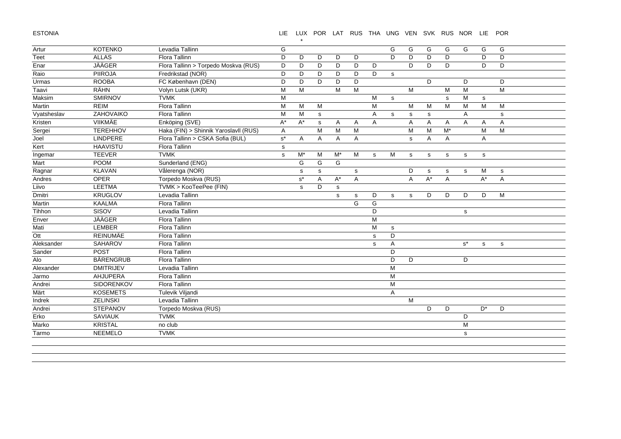ESTONIA

#### LIE LUX POR LAT RUS THA UNG VEN SVK RUS NOR LIE POR

| Artur       | <b>KOTENKO</b>   | Levadia Tallinn                       | G           |              |                |                |             |   | G              | G              | G              | G     | G              | G            | G |  |
|-------------|------------------|---------------------------------------|-------------|--------------|----------------|----------------|-------------|---|----------------|----------------|----------------|-------|----------------|--------------|---|--|
| Teet        | <b>ALLAS</b>     | Flora Tallinn                         | D           | D            | D              | D              | D           |   | D              | D              | D              | D     |                | D            | D |  |
| Enar        | <b>JÄÄGER</b>    | Flora Tallinn > Torpedo Moskva (RUS)  | D           | D            | D              | D              | D           | D |                | D              | D              | D     |                | D            | D |  |
| Raio        | <b>PIIROJA</b>   | Fredrikstad (NOR)                     | D           | D            | D              | D              | D           | D | $\mathbf s$    |                |                |       |                |              |   |  |
| Urmas       | <b>ROOBA</b>     | FC København (DEN)                    | D           | D            | D              | D              | D           |   |                |                | D              |       | D              |              | D |  |
| Taavi       | <b>RÄHN</b>      | Volyn Lutsk (UKR)                     | M           | M            |                | M              | M           |   |                | M              |                | M     | M              |              | M |  |
| Maksim      | <b>SMIRNOV</b>   | <b>TVMK</b>                           | M           |              |                |                |             | M | $\mathbf s$    |                |                | s     | M              | $\mathbf{s}$ |   |  |
| Martin      | <b>REIM</b>      | <b>Flora Tallinn</b>                  | M           | M            | M              |                |             | M |                | M              | M              | M     | М              | M            | M |  |
| Vyatsheslav | ZAHOVAIKO        | Flora Tallinn                         | M           | M            | $\mathsf{s}$   |                |             | Α | s              | s              | s              |       | Α              |              | s |  |
| Kristen     | <b>VIIKMÄE</b>   | Enköping (SVE)                        | $A^*$       | $A^*$        | s              | $\overline{A}$ | Α           | A |                | A              | $\overline{A}$ | A     | $\overline{A}$ | A            | A |  |
| Sergei      | <b>TEREHHOV</b>  | Haka (FIN) > Shinnik Yaroslavll (RUS) | A           |              | M              | M              | M           |   |                | M              | M              | $M^*$ |                | M            | M |  |
| J           | LINDPERE         | Flora Tallinn > CSKA Sofia (BUL)      | $s^*$       | A            | $\mathsf{A}$   | A              | A           |   |                | s              | A              | A     |                | A            |   |  |
| Kert        | <b>HAAVISTU</b>  | Flora Tallinn                         | s           |              |                |                |             |   |                |                |                |       |                |              |   |  |
| Ingemar     | <b>TEEVER</b>    | <b>TVMK</b>                           | $\mathbf s$ | $M^*$        | M              | $M^*$          | M           | s | M              | s              | ${\tt S}$      | s     | $\mathbf s$    | s            |   |  |
| Mart        | <b>POOM</b>      | Sunderland (ENG)                      |             | G            | G              | G              |             |   |                |                |                |       |                |              |   |  |
| Ragnar      | <b>KLAVAN</b>    | Vålerenga (NOR)                       |             | s            | s              |                | $\mathbf s$ |   |                | D              | s              | s     | s              | M            | s |  |
| Andres      | <b>OPER</b>      | Torpedo Moskva (RUS)                  |             | $s^*$        | $\overline{A}$ | $A^*$          | A           |   |                | $\overline{A}$ | $A^*$          | A     |                | $A^*$        | A |  |
| Liivo       | <b>LEETMA</b>    | TVMK > KooTeePee (FIN)                |             | $\mathsf{s}$ | D              | s              |             |   |                |                |                |       |                |              |   |  |
| Dmitri      | <b>KRUGLOV</b>   | Levadia Tallinn                       |             |              |                | s              | $\mathbf s$ | D | $\mathbf s$    | s              | D              | D     | D              | D            | M |  |
| Martin      | <b>KAALMA</b>    | Flora Tallinn                         |             |              |                |                | G           | G |                |                |                |       |                |              |   |  |
| Tihhon      | SISOV            | Levadia Tallinn                       |             |              |                |                |             | D |                |                |                |       | s              |              |   |  |
| Enver       | <b>JÄÄGER</b>    | Flora Tallinn                         |             |              |                |                |             | M |                |                |                |       |                |              |   |  |
| Mati        | LEMBER           | Flora Tallinn                         |             |              |                |                |             | M | s              |                |                |       |                |              |   |  |
| Ott         | <b>REINUMÄE</b>  | Flora Tallinn                         |             |              |                |                |             | s | D              |                |                |       |                |              |   |  |
| Aleksander  | SAHAROV          | Flora Tallinn                         |             |              |                |                |             | s | A              |                |                |       | $s^*$          | $\mathbf s$  | s |  |
| Sander      | <b>POST</b>      | Flora Tallinn                         |             |              |                |                |             |   | D              |                |                |       |                |              |   |  |
| Alo         | <b>BÄRENGRUB</b> | Flora Tallinn                         |             |              |                |                |             |   | D              | D              |                |       | D              |              |   |  |
| Alexander   | <b>DMITRIJEV</b> | Levadia Tallinn                       |             |              |                |                |             |   | M              |                |                |       |                |              |   |  |
| Jarmo       | AHJUPERA         | Flora Tallinn                         |             |              |                |                |             |   | M              |                |                |       |                |              |   |  |
| Andrei      | SIDORENKOV       | Flora Tallinn                         |             |              |                |                |             |   | M              |                |                |       |                |              |   |  |
| Märt        | <b>KOSEMETS</b>  | Tulevik Viljandi                      |             |              |                |                |             |   | $\overline{A}$ |                |                |       |                |              |   |  |
| Indrek      | <b>ZELINSKI</b>  | Levadia Tallinn                       |             |              |                |                |             |   |                | M              |                |       |                |              |   |  |
| Andrei      | <b>STEPANOV</b>  | Torpedo Moskva (RUS)                  |             |              |                |                |             |   |                |                | D              | D     |                | $D^*$        | D |  |
| Erko        | <b>SAVIAUK</b>   | <b>TVMK</b>                           |             |              |                |                |             |   |                |                |                |       | D              |              |   |  |
| Marko       | <b>KRISTAL</b>   | no club                               |             |              |                |                |             |   |                |                |                |       | M              |              |   |  |
| Tarmo       | <b>NEEMELO</b>   | <b>TVMK</b>                           |             |              |                |                |             |   |                |                |                |       | ${\tt S}$      |              |   |  |
|             |                  |                                       |             |              |                |                |             |   |                |                |                |       |                |              |   |  |

\*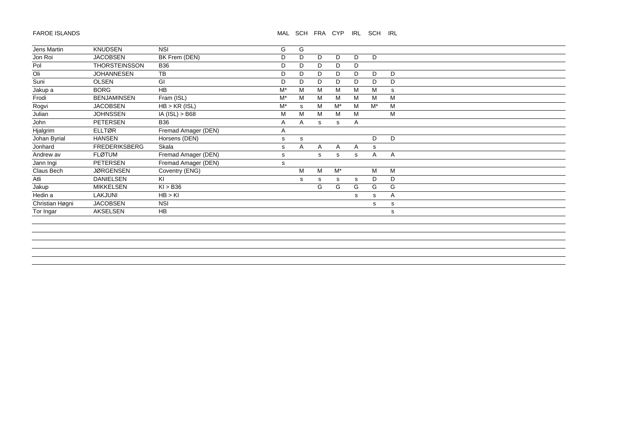# MAL SCH FRA CYP IRL SCH IRL

| Jens Martin     | <b>KNUDSEN</b>       | <b>NSI</b>          | G     | G            |   |              |   |       |   |  |
|-----------------|----------------------|---------------------|-------|--------------|---|--------------|---|-------|---|--|
| Jon Roi         | <b>JACOBSEN</b>      | BK Frem (DEN)       | D     | D            | D | D            | D | D     |   |  |
| Pol             | <b>THORSTEINSSON</b> | <b>B36</b>          | D     | D            | D | D            | D |       |   |  |
| Oli             | <b>JOHANNESEN</b>    | TB                  | D     | D            | D | D            | D | D     | D |  |
| Suni            | <b>OLSEN</b>         | GI                  | D     | D            | D | D            | D | D     | D |  |
| Jakup a         | <b>BORG</b>          | HB                  | $M^*$ | M            | M | M            | M | М     | s |  |
| Frodi           | <b>BENJAMINSEN</b>   | Fram (ISL)          | $M^*$ | M            | M | M            | M | M     | M |  |
| Rogvi           | <b>JACOBSEN</b>      | $HB > KR$ (ISL)     | $M^*$ | $\mathsf{s}$ | M | $M^*$        | M | $M^*$ | M |  |
| Julian          | <b>JOHNSSEN</b>      | $IA$ (ISL) > B68    | M     | M            | M | M            | M |       | M |  |
| John            | PETERSEN             | <b>B36</b>          | Α     | Α            | s | s            | Α |       |   |  |
| Hjalgrim        | <b>ELLTØR</b>        | Fremad Amager (DEN) | Α     |              |   |              |   |       |   |  |
| Johan Byrial    | <b>HANSEN</b>        | Horsens (DEN)       | s     | s            |   |              |   | D     | D |  |
| Jonhard         | <b>FREDERIKSBERG</b> | Skala               | s     | Α            | A | $\mathsf{A}$ | Α | s     |   |  |
| Andrew av       | <b>FLØTUM</b>        | Fremad Amager (DEN) | s     |              | s | s            | s | A     | A |  |
| Jann Ingi       | <b>PETERSEN</b>      | Fremad Amager (DEN) | s     |              |   |              |   |       |   |  |
| Claus Bech      | <b>JØRGENSEN</b>     | Coventry (ENG)      |       | M            | M | $M^*$        |   | M     | M |  |
| Atli            | <b>DANIELSEN</b>     | KI                  |       | s            | s | s            | s | D     | D |  |
| Jakup           | <b>MIKKELSEN</b>     | KI > B36            |       |              | G | G            | G | G     | G |  |
| Hedin a         | LAKJUNI              | HB > KI             |       |              |   |              | s | s     | Α |  |
| Christian Høgni | <b>JACOBSEN</b>      | <b>NSI</b>          |       |              |   |              |   | s     | s |  |
| Tor Ingar       | AKSELSEN             | <b>HB</b>           |       |              |   |              |   |       | s |  |
|                 |                      |                     |       |              |   |              |   |       |   |  |
|                 |                      |                     |       |              |   |              |   |       |   |  |
|                 |                      |                     |       |              |   |              |   |       |   |  |
|                 |                      |                     |       |              |   |              |   |       |   |  |
|                 |                      |                     |       |              |   |              |   |       |   |  |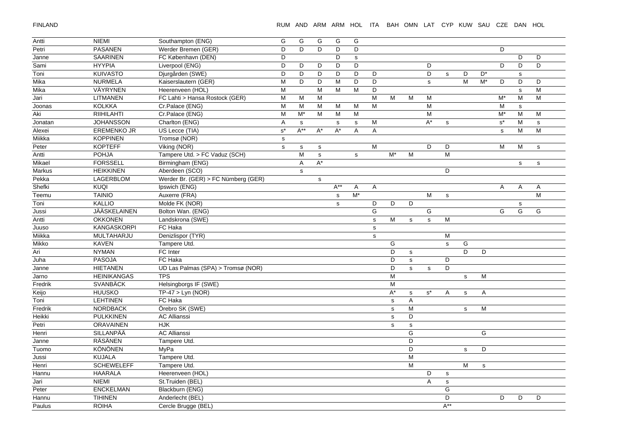FINLAND

| Antti   | <b>NIEMI</b>       | Southampton (ENG)                    | G           | G              | G                    | G            | G              |              |              |              |                |                |             |             |                      |             |             |
|---------|--------------------|--------------------------------------|-------------|----------------|----------------------|--------------|----------------|--------------|--------------|--------------|----------------|----------------|-------------|-------------|----------------------|-------------|-------------|
| Petri   | <b>PASANEN</b>     | Werder Bremen (GER)                  | D           | D              | D                    | D            | D              |              |              |              |                |                |             |             | D                    |             |             |
| Janne   | <b>SAARINEN</b>    | FC København (DEN)                   | D           |                |                      | D            | $\mathbf s$    |              |              |              |                |                |             |             |                      | D           | D           |
| Sami    | <b>HYYPIA</b>      | Liverpool (ENG)                      | D           | D              | D                    | D            | D              |              |              |              | D              |                |             |             | D                    | D           | D           |
| Toni    | <b>KUIVASTO</b>    | Djurgården (SWE)                     | D           | D              | D                    | D            | D              | D            |              |              | D              | $\mathbf s$    | D           | $D^*$       |                      | $\mathbb S$ |             |
| Mika    | <b>NURMELA</b>     | Kaiserslautern (GER)                 | M           | D              | D                    | M            | D              | D            |              |              | s              |                | M           | $M^*$       | D                    | D           | D           |
| Mika    | VÄYRYNEN           | Heerenveen (HOL)                     | M           |                | ${\sf M}$            | M            | M              | D            |              |              |                |                |             |             |                      | $\mathbf s$ | М           |
| Jari    | LITMANEN           | FC Lahti > Hansa Rostock (GER)       | M           | M              | M                    |              |                | M            | M            | M            | M              |                |             |             | M*                   | M           | M           |
| Joonas  | <b>KOLKKA</b>      | Cr.Palace (ENG)                      | M           | M              | M                    | M            | M              | M            |              |              | M              |                |             |             | M                    | $\mathbf s$ |             |
| Aki     | <b>RIIHILAHTI</b>  | Cr.Palace (ENG)                      | M           | $M^*$          | M                    | M            | M              |              |              |              | M              |                |             |             | $\overline{M^*}$     | M           | M           |
| Jonatan | <b>JOHANSSON</b>   | Charlton (ENG)                       | A           | $\mathbf s$    |                      | ${\tt S}$    | $\mathbf s$    | M            |              |              | $A^*$          | $\mathbf s$    |             |             | $\texttt{s}^{\star}$ | M           | ${\tt S}$   |
| Alexei  | <b>EREMENKO JR</b> | US Lecce (TIA)                       | $s^*$       | $A^{**}$       | $A^*$                | $A^*$        | $\overline{A}$ | A            |              |              |                |                |             |             | $\mathbf s$          | M           | M           |
| Miikka  | <b>KOPPINEN</b>    | Tromsø (NOR)                         | $\mathbf s$ |                |                      |              |                |              |              |              |                |                |             |             |                      |             |             |
| Peter   | <b>KOPTEFF</b>     | Viking (NOR)                         | $\mathbf s$ | $\mathbb S$    | s                    |              |                | M            |              |              | D              | D              |             |             | M                    | M           | $\mathbf s$ |
| Antti   | <b>POHJA</b>       | Tampere Utd. > FC Vaduz (SCH)        |             | M              | $\mathbf s$          |              | $\mathsf{s}$   |              | $M^*$        | M            |                | M              |             |             |                      |             |             |
| Mikael  | <b>FORSSELL</b>    | Birmingham (ENG)                     |             | $\overline{A}$ | $\mathsf{A}^{\star}$ |              |                |              |              |              |                |                |             |             |                      | ${\tt S}$   | $\mathbf S$ |
| Markus  | <b>HEIKKINEN</b>   | Aberdeen (SCO)                       |             | $\mathsf{s}$   |                      |              |                |              |              |              |                | D              |             |             |                      |             |             |
| Pekka   | LAGERBLOM          | Werder Br. (GER) > FC Nürnberg (GER) |             |                | s                    |              |                |              |              |              |                |                |             |             |                      |             |             |
| Shefki  | <b>KUQI</b>        | Ipswich (ENG)                        |             |                |                      | $A^{**}$     | A              | A            |              |              |                |                |             |             | A                    | A           | Α           |
| Teemu   | <b>TAINIO</b>      | Auxerre (FRA)                        |             |                |                      | $\mathsf{s}$ | $M^*$          |              |              |              | M              | $\mathbf S$    |             |             |                      |             | M           |
| Toni    | <b>KALLIO</b>      | Molde FK (NOR)                       |             |                |                      | s            |                | D            | D            | D            |                |                |             |             |                      | ${\tt S}$   |             |
| Jussi   | JÄÄSKELAINEN       | Bolton Wan. (ENG)                    |             |                |                      |              |                | G            |              |              | G              |                |             |             | G                    | G           | G           |
| Antti   | <b>OKKONEN</b>     | Landskrona (SWE)                     |             |                |                      |              |                | $\mathbf s$  | M            | $\mathbf s$  | $\mathsf{s}$   | M              |             |             |                      |             |             |
| Juuso   | KANGASKORPI        | FC Haka                              |             |                |                      |              |                | $\mathsf{s}$ |              |              |                |                |             |             |                      |             |             |
| Miikka  | <b>MULTAHARJU</b>  | Denizlispor (TYR)                    |             |                |                      |              |                | s            |              |              |                | $\overline{M}$ |             |             |                      |             |             |
| Mikko   | <b>KAVEN</b>       | Tampere Utd.                         |             |                |                      |              |                |              | G            |              |                | $\mathbf s$    | G           |             |                      |             |             |
| Ari     | <b>NYMAN</b>       | FC Inter                             |             |                |                      |              |                |              | D            | $\mathsf{s}$ |                |                | D           | D           |                      |             |             |
| Juha    | <b>PASOJA</b>      | FC Haka                              |             |                |                      |              |                |              | D            | $\mathbf s$  |                | D              |             |             |                      |             |             |
| Janne   | <b>HIETANEN</b>    | UD Las Palmas (SPA) > Tromsø (NOR)   |             |                |                      |              |                |              | D            | s            | s              | D              |             |             |                      |             |             |
| Jarno   | <b>HEINIKANGAS</b> | <b>TPS</b>                           |             |                |                      |              |                |              | M            |              |                |                | $\mathbf s$ | M           |                      |             |             |
| Fredrik | <b>SVANBÄCK</b>    | Helsingborgs IF (SWE)                |             |                |                      |              |                |              | M            |              |                |                |             |             |                      |             |             |
| Keijo   | <b>HUUSKO</b>      | $\overline{TP-47}$ > Lyn (NOR)       |             |                |                      |              |                |              | $A^*$        | ${\tt S}$    | $s^*$          | Α              | $\mathbf S$ | A           |                      |             |             |
| Toni    | <b>LEHTINEN</b>    | FC Haka                              |             |                |                      |              |                |              | s            | A            |                |                |             |             |                      |             |             |
| Fredrik | <b>NORDBACK</b>    | Örebro SK (SWE)                      |             |                |                      |              |                |              | $\mathbf{s}$ | M            |                |                | $\mathbf s$ | M           |                      |             |             |
| Heikki  | <b>PULKKINEN</b>   | <b>AC Allianssi</b>                  |             |                |                      |              |                |              | $\mathbf S$  | D            |                |                |             |             |                      |             |             |
| Petri   | <b>ORAVAINEN</b>   | <b>HJK</b>                           |             |                |                      |              |                |              | $\mathbf s$  | s            |                |                |             |             |                      |             |             |
| Henri   | <b>SILLANPÄÄ</b>   | <b>AC Allianssi</b>                  |             |                |                      |              |                |              |              | G            |                |                |             | G           |                      |             |             |
| Janne   | RÄSÄNEN            | Tampere Utd.                         |             |                |                      |              |                |              |              | D            |                |                |             |             |                      |             |             |
| Tuomo   | <b>KÖNÖNEN</b>     | MyPa                                 |             |                |                      |              |                |              |              | D            |                |                | s           | D           |                      |             |             |
| Jussi   | <b>KUJALA</b>      | Tampere Utd.                         |             |                |                      |              |                |              |              | M            |                |                |             |             |                      |             |             |
| Henri   | <b>SCHEWELEFF</b>  | Tampere Utd.                         |             |                |                      |              |                |              |              | M            |                |                | M           | $\mathbf S$ |                      |             |             |
| Hannu   | <b>HAARALA</b>     | Heerenveen (HOL)                     |             |                |                      |              |                |              |              |              | D              | $\mathbf s$    |             |             |                      |             |             |
| Jari    | <b>NIEMI</b>       | St.Truiden (BEL)                     |             |                |                      |              |                |              |              |              | $\overline{A}$ | $\mathbf s$    |             |             |                      |             |             |
| Peter   | <b>ENCKELMAN</b>   | Blackburn (ENG)                      |             |                |                      |              |                |              |              |              |                | G              |             |             |                      |             |             |
| Hannu   | <b>TIHINEN</b>     | Anderlecht (BEL)                     |             |                |                      |              |                |              |              |              |                | D              |             |             | D                    | D           | D           |
| Paulus  | <b>ROIHA</b>       | Cercle Brugge (BEL)                  |             |                |                      |              |                |              |              |              |                | $A^{**}$       |             |             |                      |             |             |
|         |                    |                                      |             |                |                      |              |                |              |              |              |                |                |             |             |                      |             |             |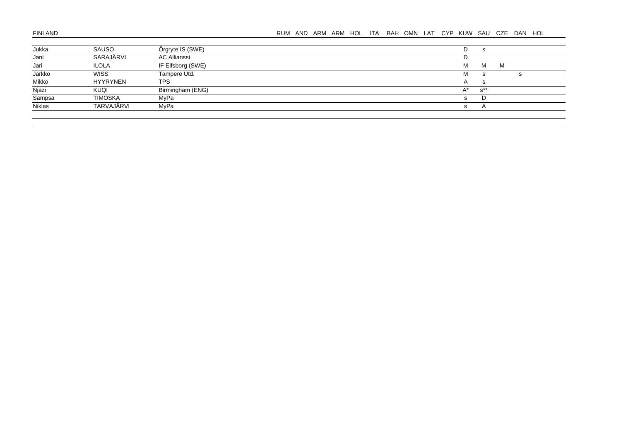| Jukka  | SAUSO           | Örgryte IS (SWE)    | D            | S              |   |  |
|--------|-----------------|---------------------|--------------|----------------|---|--|
| Jani   | SARAJÄRVI       | <b>AC Allianssi</b> |              |                |   |  |
| Jari   | ILOLA           | IF Elfsborg (SWE)   | M            | м              | M |  |
| Jarkko | <b>WISS</b>     | Tampere Utd.        | M            |                |   |  |
| Mikko  | <b>HYYRYNEN</b> | <b>TPS</b>          | $\mathsf{A}$ |                |   |  |
| Njazi  | KUQI            | Birmingham (ENG)    | $A^*$        | $s^{\ast\ast}$ |   |  |
| Sampsa | <b>TIMOSKA</b>  | MyPa                | S.           | D              |   |  |
| Niklas | TARVAJÄRVI      | MvPa                | s.           |                |   |  |
|        |                 |                     |              |                |   |  |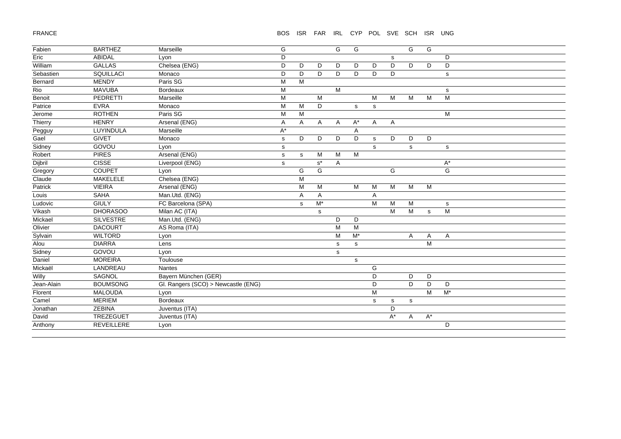# FRANCE

#### BOS ISR FAR IRL CYP POL SVE SCH ISR UNG

| Fabien     | <b>BARTHEZ</b>   | Marseille                           | G           |   |                      | G | G                |              |           | G           | G                    |                      |
|------------|------------------|-------------------------------------|-------------|---|----------------------|---|------------------|--------------|-----------|-------------|----------------------|----------------------|
| Eric       | <b>ABIDAL</b>    | Lyon                                | D           |   |                      |   |                  |              | s         |             |                      | D                    |
| William    | <b>GALLAS</b>    | Chelsea (ENG)                       | D           | D | D                    | D | D                | D            | D         | D           | D                    | D                    |
| Sebastien  | SQUILLACI        | Monaco                              | D           | D | D                    | D | D                | D            | D         |             |                      | $\mathbf S$          |
| Bernard    | <b>MENDY</b>     | Paris SG                            | M           | M |                      |   |                  |              |           |             |                      |                      |
| Rio        | <b>MAVUBA</b>    | <b>Bordeaux</b>                     | M           |   |                      | M |                  |              |           |             |                      | s                    |
| Benoit     | <b>PEDRETTI</b>  | Marseille                           | M           |   | M                    |   |                  | M            | M         | M           | M                    | $\overline{M}$       |
| Patrice    | <b>EVRA</b>      | Monaco                              | M           | M | D                    |   | $\mathbf{s}$     | $\mathbf s$  |           |             |                      |                      |
| Jerome     | <b>ROTHEN</b>    | Paris SG                            | M           | M |                      |   |                  |              |           |             |                      | M                    |
| Thierry    | <b>HENRY</b>     | Arsenal (ENG)                       | Α           | A | A                    | A | $A^*$            | A            | A         |             |                      |                      |
| Pegguy     | LUYINDULA        | Marseille                           | A*          |   |                      |   | Α                |              |           |             |                      |                      |
| Gael       | <b>GIVET</b>     | Monaco                              | s           | D | D                    | D | D                | $\mathbf{s}$ | D         | D           | D                    |                      |
| Sidney     | GOVOU            | Lyon                                | $\mathbb S$ |   |                      |   |                  | $\mathbf s$  |           | s           |                      | $\mathbf S$          |
| Robert     | <b>PIRES</b>     | Arsenal (ENG)                       | $\mathbb S$ | s | M                    | M | $\overline{M}$   |              |           |             |                      |                      |
| Dijbril    | <b>CISSE</b>     | Liverpool (ENG)                     | $\mathbf s$ |   | $\texttt{s}^{\star}$ | A |                  |              |           |             |                      | $\mathsf{A}^{\star}$ |
| Gregory    | <b>COUPET</b>    | Lyon                                |             | G | G                    |   |                  |              | G         |             |                      | G                    |
| Claude     | MAKELELE         | Chelsea (ENG)                       |             | M |                      |   |                  |              |           |             |                      |                      |
| Patrick    | <b>VIEIRA</b>    | Arsenal (ENG)                       |             | M | M                    |   | M                | M            | M         | M           | M                    |                      |
| Louis      | <b>SAHA</b>      | Man.Utd. (ENG)                      |             | Α | A                    |   |                  | A            |           |             |                      |                      |
| Ludovic    | <b>GIULY</b>     | FC Barcelona (SPA)                  |             | s | $\overline{M^*}$     |   |                  | M            | M         | M           |                      | s                    |
| Vikash     | <b>DHORASOO</b>  | Milan AC (ITA)                      |             |   | s                    |   |                  |              | M         | M           | ${\tt S}$            | M                    |
| Mickael    | <b>SILVESTRE</b> | Man.Utd. (ENG)                      |             |   |                      | D | D                |              |           |             |                      |                      |
| Olivier    | <b>DACOURT</b>   | AS Roma (ITA)                       |             |   |                      | M | M                |              |           |             |                      |                      |
| Sylvain    | <b>WILTORD</b>   | Lyon                                |             |   |                      | M | $\overline{M^*}$ |              |           | A           | Α                    | Α                    |
| Alou       | <b>DIARRA</b>    | Lens                                |             |   |                      | s | s                |              |           |             | M                    |                      |
| Sidney     | GOVOU            | Lyon                                |             |   |                      | s |                  |              |           |             |                      |                      |
| Daniel     | <b>MOREIRA</b>   | Toulouse                            |             |   |                      |   | s                |              |           |             |                      |                      |
| Mickaël    | LANDREAU         | Nantes                              |             |   |                      |   |                  | G            |           |             |                      |                      |
| Willy      | SAGNOL           | Bayern München (GER)                |             |   |                      |   |                  | D            |           | D           | D                    |                      |
| Jean-Alain | <b>BOUMSONG</b>  | Gl. Rangers (SCO) > Newcastle (ENG) |             |   |                      |   |                  | D            |           | D           | D                    | D                    |
| Florent    | <b>MALOUDA</b>   | Lyon                                |             |   |                      |   |                  | M            |           |             | M                    | $M^*$                |
| Camel      | <b>MERIEM</b>    | Bordeaux                            |             |   |                      |   |                  | $\mathbf s$  | ${\tt S}$ | $\mathbf s$ |                      |                      |
| Jonathan   | ZEBINA           | Juventus (ITA)                      |             |   |                      |   |                  |              | D         |             |                      |                      |
| David      | TREZEGUET        | Juventus (ITA)                      |             |   |                      |   |                  |              | $A^*$     | A           | $\mathsf{A}^{\star}$ |                      |
| Anthony    | REVEILLERE       | Lyon                                |             |   |                      |   |                  |              |           |             |                      | D                    |
|            |                  |                                     |             |   |                      |   |                  |              |           |             |                      |                      |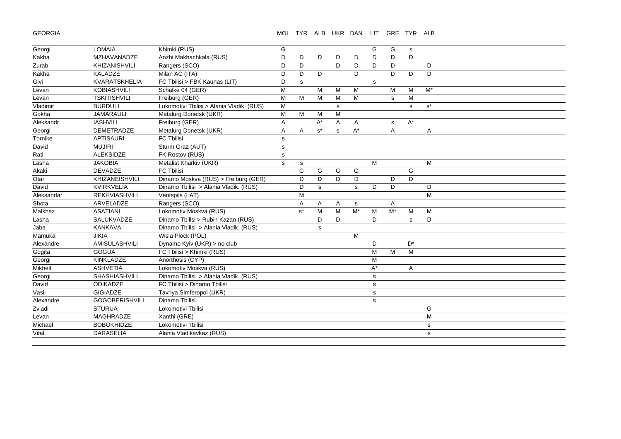GEORGIA

## MOL TYR ALB UKR DAN LIT GRE TYR ALB

| Georgi     | <b>LOMAIA</b>         | Khimki (RUS)                              | G            |       |             |   |              | G           | G     | s     |       |
|------------|-----------------------|-------------------------------------------|--------------|-------|-------------|---|--------------|-------------|-------|-------|-------|
| Kakha      | <b>MZHAVANADZE</b>    | Anzhi Makhachkala (RUS)                   | D            | D     | D           | D | D            | D           | D     | D     |       |
| Zurab      | KHIZANISHVILI         | Rangers (SCO)                             | D            | D     |             | D | D            | D           | D     |       | D     |
| Kakha      | KALADZE               | Milan AC (ITA)                            | D            | D     | D           |   | D            |             | D     | D     | D     |
| Givi       | KVARATSKHELIA         | FC Tbilisi > FBK Kaunas (LIT)             | D            | s     |             |   |              | $\mathbf s$ |       |       |       |
| Levan      | <b>KOBIASHVILI</b>    | Schalke 04 (GER)                          | M            |       | M           | M | M            |             | M     | M     | $M^*$ |
| Levan      | <b>TSKITISHVILI</b>   | Freiburg (GER)                            | M            | M     | M           | M | M            |             | s     | M     |       |
| Vladimir   | <b>BURDULI</b>        | Lokomotivi Tbilisi > Alania Vladik. (RUS) | M            |       |             | s |              |             |       | s     | $s^*$ |
| Gokha      | <b>JAMARAULI</b>      | Metalurg Donetsk (UKR)                    | M            | M     | M           | M |              |             |       |       |       |
| Aleksandr  | <b>IASHVILI</b>       | Freiburg (GER)                            | Α            |       | A*          | Α | Α            |             | s     | $A^*$ |       |
| Georgi     | <b>DEMETRADZE</b>     | Metalurg Donetsk (UKR)                    | A            | Α     | $s^*$       | s | $A^*$        |             | A     |       | Α     |
| Tornike    | <b>APTISAURI</b>      | FC Tbilisi                                | $\mathsf{s}$ |       |             |   |              |             |       |       |       |
| David      | <b>MUJIRI</b>         | Sturm Graz (AUT)                          | $\mathsf{s}$ |       |             |   |              |             |       |       |       |
| Rati       | <b>ALEKSIDZE</b>      | FK Rostov (RUS)                           | $\mathsf{s}$ |       |             |   |              |             |       |       |       |
| Lasha      | <b>JAKOBIA</b>        | Metalist Kharkiv (UKR)                    | $\mathsf{s}$ | s     |             |   |              | M           |       |       | M     |
| Akaki      | <b>DEVADZE</b>        | FC Tbilisi                                |              | G     | G           | G | G            |             |       | G     |       |
| Otar       | KHIZANEISHVILI        | Dinamo Moskva (RUS) > Freiburg (GER)      |              | D     | D           | D | D            |             | D     | D     |       |
| David      | <b>KVIRKVELIA</b>     | Dinamo Tbilisi > Alania Vladik. (RUS)     |              | D     | $\mathbf s$ |   | $\mathbf{s}$ | D           | D     |       | D     |
| Aleksandar | REKHVIASHVILI         | Ventspils (LAT)                           |              | M     |             |   |              |             |       |       | M     |
| Shota      | ARVELADZE             | Rangers (SCO)                             |              | A     | Α           | Α | s            |             | A     |       |       |
| Malkhaz    | <b>ASATIANI</b>       | Lokomotiv Moskva (RUS)                    |              | $s^*$ | M           | M | $M^*$        | M           | $M^*$ | M     | M     |
| Lasha      | SALUKVADZE            | Dinamo Tbilisi > Rubin Kazan (RUS)        |              |       | D           | D |              | D           |       | s     | D     |
| Jaba       | <b>KANKAVA</b>        | Dinamo Tbilisi > Alania Vladik. (RUS)     |              |       | $\mathbf s$ |   |              |             |       |       |       |
| Mamuka     | <b>JIKIA</b>          | Wisla Plock (POL)                         |              |       |             |   | M            |             |       |       |       |
| Alexandre  | <b>AMISULASHVILI</b>  | Dynamo Kyiv (UKR) > no club               |              |       |             |   |              | D           |       | $D^*$ |       |
| Gogita     | <b>GOGUA</b>          | FC Tbilisi > Khimki (RUS)                 |              |       |             |   |              | M           | M     | M     |       |
| Georgi     | <b>KINKLADZE</b>      | Anorthosis (CYP)                          |              |       |             |   |              | M           |       |       |       |
| Mikheil    | <b>ASHVETIA</b>       | Lokomotiv Moskva (RUS)                    |              |       |             |   |              | $A^*$       |       | Α     |       |
| Georgi     | <b>SHASHIASHVILI</b>  | Dinamo Tbilisi > Alania Vladik. (RUS)     |              |       |             |   |              | s           |       |       |       |
| David      | ODIKADZE              | FC Tbilisi > Dinamo Tbilisi               |              |       |             |   |              | $\mathbf s$ |       |       |       |
| Vasil      | <b>GIGIADZE</b>       | Tavriya Simferopol (UKR)                  |              |       |             |   |              | $\mathbf s$ |       |       |       |
| Alexandre  | <b>GOGOBERISHVILI</b> | Dinamo Tbilisi                            |              |       |             |   |              | s           |       |       |       |
| Zviadi     | <b>STURUA</b>         | Lokomotivi Tbilisi                        |              |       |             |   |              |             |       |       | G     |
| Levan      | <b>MAGHRADZE</b>      | Xanthi (GRE)                              |              |       |             |   |              |             |       |       | M     |
| Michael    | <b>BOBOKHIDZE</b>     | Lokomotivi Tbilisi                        |              |       |             |   |              |             |       |       | s     |
| Vitali     | <b>DARASELIA</b>      | Alania Vladikavkaz (RUS)                  |              |       |             |   |              |             |       |       | S     |
|            |                       |                                           |              |       |             |   |              |             |       |       |       |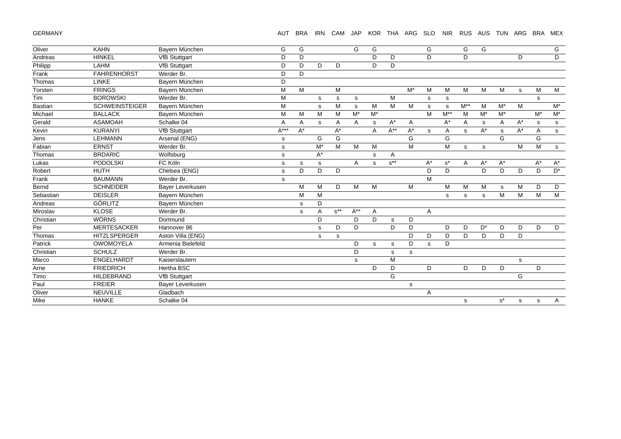GERMANY

## AUT BRA IRN CAM JAP KOR THA ARG SLO NIR RUS AUS TUN ARG BRA MEX

| Oliver         | <b>KAHN</b>           | Bayern München       | G      | G     |             |          | G        | G     |                           |                      | G           |              | G           | G           |       |       |       | G                  |
|----------------|-----------------------|----------------------|--------|-------|-------------|----------|----------|-------|---------------------------|----------------------|-------------|--------------|-------------|-------------|-------|-------|-------|--------------------|
| Andreas        | <b>HINKEL</b>         | <b>VfB Stuttgart</b> | D      | D     |             |          |          | D.    | D                         |                      | D           |              | D           |             |       | D     |       | D                  |
| Philipp        | LAHM                  | <b>VfB Stuttgart</b> | D      | D     | D           | D        |          | D     | D                         |                      |             |              |             |             |       |       |       |                    |
| Frank          | <b>FAHRENHORST</b>    | Werder Br.           | D      | D     |             |          |          |       |                           |                      |             |              |             |             |       |       |       |                    |
| Thomas         | <b>LINKE</b>          | Bayern München       | D      |       |             |          |          |       |                           |                      |             |              |             |             |       |       |       |                    |
| Torsten        | <b>FRINGS</b>         | Bayern München       | M      | M     |             | M        |          |       |                           | $M^*$                | M           | M            | M           | M           | M     | s     | M     | M                  |
| Tim            | <b>BOROWSKI</b>       | Werder Br.           | M      |       | s           | s        | s        |       | M                         |                      | s           | s            |             |             |       |       | s     |                    |
| <b>Bastian</b> | <b>SCHWEINSTEIGER</b> | Bayern München       | M      |       | s           | M        | s        | M     | M                         | M                    | s           | $\mathbf{s}$ | $M^{**}$    | M           | $M^*$ | M     |       | $\mathsf{M}^\star$ |
| Michael        | <b>BALLACK</b>        | Bayern München       | M      | M     | M           | M        | $M^*$    | $M^*$ |                           |                      | M           | $M^{**}$     | M           | $M^*$       | $M^*$ |       | $M^*$ | $M^*$              |
| Gerald         | <b>ASAMOAH</b>        | Schalke 04           | Α      | Α     | s           | Α        | A        | s     | $A^*$                     | A                    |             | $A^*$        | Α           | s           | Α     | $A^*$ | s     | s                  |
| Kevin          | <b>KURANYI</b>        | <b>VfB Stuttgart</b> | $A***$ | $A^*$ |             | $A^*$    |          | A     | $A^{**}$                  | $\mathsf{A}^{\star}$ | $\mathbf s$ | Α            | $\mathbf s$ | $A^*$       | s     | $A^*$ | Α     | $\mathbf{s}$       |
| Jens           | <b>LEHMANN</b>        | Arsenal (ENG)        | s      |       | G           | G        |          |       |                           | G                    |             | G            |             |             | G     |       | G     |                    |
| Fabian         | <b>ERNST</b>          | Werder Br.           | s      |       | $M^*$       | M        | M        | M     |                           | M                    |             | M            | s           | $\mathbf s$ |       | М     | M     | $\mathbf{s}$       |
| Thomas         | <b>BRDARIC</b>        | Wolfsburg            | s      |       | $A^*$       |          |          | s     | A                         |                      |             |              |             |             |       |       |       |                    |
| Lukas          | <b>PODOLSKI</b>       | FC Köln              | s      | s     | s           |          | A        | s     | $\texttt{s}^{\star\star}$ |                      | $A^*$       | $s^*$        | Α           | $A^*$       | $A^*$ |       | A*    | $A^*$              |
| Robert         | <b>HUTH</b>           | Chelsea (ENG)        | s      | D     | D           | D        |          |       |                           |                      | D           | D            |             | D           | D     | D     | D     | $\mathsf{D}^\star$ |
| Frank          | <b>BAUMANN</b>        | Werder Br.           | s      |       |             |          |          |       |                           |                      | M           |              |             |             |       |       |       |                    |
| Bernd          | <b>SCHNEIDER</b>      | Bayer Leverkusen     |        | M     | M           | D        | M        | M     |                           | M                    |             | М            | M           | M           | s     | М     | D     | D                  |
| Sebastian      | <b>DEISLER</b>        | Bayern München       |        | M     | M           |          |          |       |                           |                      |             | s            | s           | $\mathbf s$ | M     | M     | M     | $\overline{M}$     |
| Andreas        | <b>GÖRLITZ</b>        | Bayern München       |        | s     | D           |          |          |       |                           |                      |             |              |             |             |       |       |       |                    |
| Miroslav       | <b>KLOSE</b>          | Werder Br.           |        | s     | Α           | $s^{**}$ | $A^{**}$ | Α     |                           |                      | Α           |              |             |             |       |       |       |                    |
| Christian      | <b>WÖRNS</b>          | Dortmund             |        |       | D           |          | D        | D     | s                         | D                    |             |              |             |             |       |       |       |                    |
| Per            | <b>MERTESACKER</b>    | Hannover 96          |        |       | $\mathbf s$ | D        | D        |       | D.                        | D                    |             | D            | D           | $D^*$       | D     | D     | D     | D                  |
| Thomas         | <b>HITZLSPERGER</b>   | Aston Villa (ENG)    |        |       | s           | s        |          |       |                           | D                    | D           | D            | D           | D           | D     | D     |       |                    |
| Patrick        | <b>OWOMOYELA</b>      | Armenia Bielefeld    |        |       |             |          | D        | s     | s                         | D                    | s           | D            |             |             |       |       |       |                    |
| Christian      | <b>SCHULZ</b>         | Werder Br.           |        |       |             |          | D        |       | s                         | s                    |             |              |             |             |       |       |       |                    |
| Marco          | <b>ENGELHARDT</b>     | Kaiserslautern       |        |       |             |          | s        |       | M                         |                      |             |              |             |             |       | s     |       |                    |
| Arne           | <b>FRIEDRICH</b>      | <b>Hertha BSC</b>    |        |       |             |          |          | D     | D                         |                      | D           |              | D           | D           | D     |       | D     |                    |
| Timo           | <b>HILDEBRAND</b>     | <b>VfB Stuttgart</b> |        |       |             |          |          |       | G                         |                      |             |              |             |             |       | G     |       |                    |
| Paul           | <b>FREIER</b>         | Bayer Leverkusen     |        |       |             |          |          |       |                           | s                    |             |              |             |             |       |       |       |                    |
| Oliver         | <b>NEUVILLE</b>       | Gladbach             |        |       |             |          |          |       |                           |                      | Α           |              |             |             |       |       |       |                    |
| Mike           | <b>HANKE</b>          | Schalke 04           |        |       |             |          |          |       |                           |                      |             |              | s           |             | $s^*$ | s     | s     | A                  |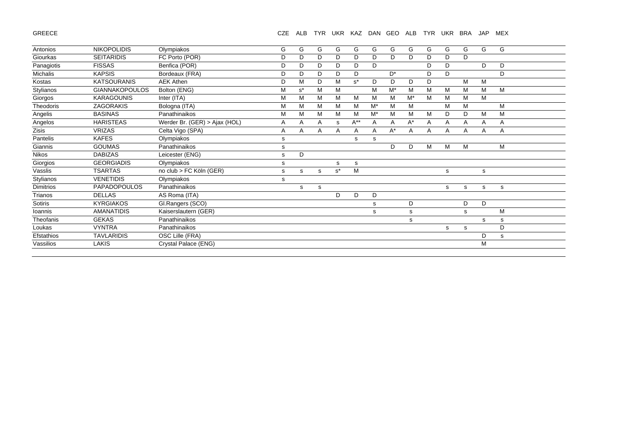GREECE

# CZE ALB TYR UKR KAZ DAN GEO ALB TYR UKR BRA JAP MEX

| Antonios         | <b>NIKOPOLIDIS</b>    | Olympiakos                    | G | G     | G | G     | G        | G     | G     | G     | G | G | G | G | G            |  |
|------------------|-----------------------|-------------------------------|---|-------|---|-------|----------|-------|-------|-------|---|---|---|---|--------------|--|
| Giourkas         | <b>SEITARIDIS</b>     | FC Porto (POR)                | D | D     | D | D     | D        | D     | D     | D     | D | D | D |   |              |  |
| Panagiotis       | <b>FISSAS</b>         | Benfica (POR)                 | D | D     | D | D     | D        | D     |       |       | D | D |   | D | D            |  |
| Michalis         | <b>KAPSIS</b>         | Bordeaux (FRA)                | D | D     | D | D     | D        |       | $D^*$ |       | D | D |   |   | D            |  |
| Kostas           | <b>KATSOURANIS</b>    | <b>AEK Athen</b>              | D | M     | D | M     | $s^*$    | D     | D     | D     | D |   | M | M |              |  |
| Stylianos        | <b>GIANNAKOPOULOS</b> | Bolton (ENG)                  | M | $s^*$ | M | M     |          | М     | $M^*$ | м     | M | м | M | M | M            |  |
| Giorgos          | <b>KARAGOUNIS</b>     | Inter (ITA)                   | M | M     | M | м     | M        | м     | M     | $M^*$ | M | М | M | M |              |  |
| Theodoris        | <b>ZAGORAKIS</b>      | Bologna (ITA)                 | M | M     | M | M     | M        | $M^*$ | M     | M     |   | М | M |   | M            |  |
| Angelis          | <b>BASINAS</b>        | Panathinaikos                 | М | M     | M | м     | M        | M*    | M     | M     | M | D | D | М | M            |  |
| Angelos          | <b>HARISTEAS</b>      | Werder Br. (GER) > Ajax (HOL) | Α | A     | Α | s     | $A^{**}$ | A     | A     | $A^*$ | Α | Α | Α | A | Α            |  |
| Zisis            | <b>VRIZAS</b>         | Celta Vigo (SPA)              | A | A     | A | A     | A        | A     | $A^*$ | A     | A | A | A | A | $\mathsf{A}$ |  |
| Pantelis         | <b>KAFES</b>          | Olympiakos                    | s |       |   |       | s        | s     |       |       |   |   |   |   |              |  |
| Giannis          | <b>GOUMAS</b>         | Panathinaikos                 | s |       |   |       |          |       | D     | D     | M | M | M |   | M            |  |
| <b>Nikos</b>     | <b>DABIZAS</b>        | Leicester (ENG)               | s | D     |   |       |          |       |       |       |   |   |   |   |              |  |
| Giorgios         | <b>GEORGIADIS</b>     | Olympiakos                    | s |       |   | s     | s        |       |       |       |   |   |   |   |              |  |
| Vasslis          | <b>TSARTAS</b>        | no club > FC Köln (GER)       | s | s     | s | $s^*$ | M        |       |       |       |   | s |   | s |              |  |
| Stylianos        | <b>VENETIDIS</b>      | Olympiakos                    | s |       |   |       |          |       |       |       |   |   |   |   |              |  |
| <b>Dimitrios</b> | <b>PAPADOPOULOS</b>   | Panathinaikos                 |   | s     | s |       |          |       |       |       |   | s | s | s | s            |  |
| Trianos          | <b>DELLAS</b>         | AS Roma (ITA)                 |   |       |   | D     | D        | D     |       |       |   |   |   |   |              |  |
| Sotiris          | <b>KYRGIAKOS</b>      | Gl.Rangers (SCO)              |   |       |   |       |          | s     |       | D     |   |   | D | D |              |  |
| Ioannis          | <b>AMANATIDIS</b>     | Kaiserslautern (GER)          |   |       |   |       |          | s     |       | s     |   |   | s |   | M            |  |
| Theofanis        | <b>GEKAS</b>          | Panathinaikos                 |   |       |   |       |          |       |       | s     |   |   |   | s | s            |  |
| Loukas           | <b>VYNTRA</b>         | Panathinaikos                 |   |       |   |       |          |       |       |       |   | s | s |   | D            |  |
| Efstathios       | <b>TAVLARIDIS</b>     | OSC Lille (FRA)               |   |       |   |       |          |       |       |       |   |   |   | D | s            |  |
| Vassilios        | <b>LAKIS</b>          | Crystal Palace (ENG)          |   |       |   |       |          |       |       |       |   |   |   | М |              |  |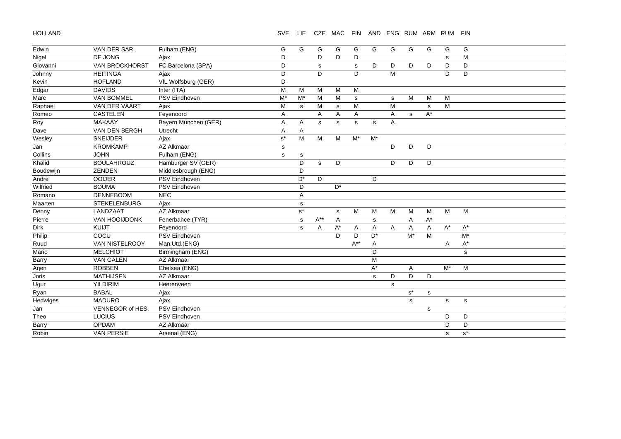HOLLAND

SVE LIE CZE MAC FIN AND ENG RUM ARM RUM FIN

| Edwin     | <b>VAN DER SAR</b>    | Fulham (ENG)         | G                    | G            | G            | G              | G           | G                    | G                       | G                    | G           | G              | G           |
|-----------|-----------------------|----------------------|----------------------|--------------|--------------|----------------|-------------|----------------------|-------------------------|----------------------|-------------|----------------|-------------|
| Nigel     | DE JONG               | Ajax                 | D                    |              | D            | D              | D           |                      |                         |                      |             | s              | M           |
| Giovanni  | <b>VAN BROCKHORST</b> | FC Barcelona (SPA)   | D                    |              | s            |                | s           | D                    | D                       | D                    | D           | D              | D           |
| Johnny    | <b>HEITINGA</b>       | Ajax                 | D                    |              | D            |                | D           |                      | $\overline{\mathsf{M}}$ |                      |             | D              | D           |
| Kevin     | <b>HOFLAND</b>        | VfL Wolfsburg (GER)  | D                    |              |              |                |             |                      |                         |                      |             |                |             |
| Edgar     | <b>DAVIDS</b>         | Inter (ITA)          | M                    | м            | M            | M              | M           |                      |                         |                      |             |                |             |
| Marc      | <b>VAN BOMMEL</b>     | PSV Eindhoven        | M*                   | M*           | M            | M              | $\mathbf s$ |                      | s                       | M                    | M           | М              |             |
| Raphael   | VAN DER VAART         | Ajax                 | M                    | s            | M            | s              | M           |                      | M                       |                      | s           | M              |             |
| Romeo     | <b>CASTELEN</b>       | Feyenoord            | A                    |              | A            | A              | A           |                      | A                       | s                    | $A^*$       |                |             |
| Roy       | <b>MAKAAY</b>         | Bayern München (GER) | Α                    | Α            | s            | s              | s           | s                    | A                       |                      |             |                |             |
| Dave      | VAN DEN BERGH         | Utrecht              | A                    | A            |              |                |             |                      |                         |                      |             |                |             |
| Wesley    | SNEIJDER              | Ajax                 | $\textbf{s}^{\star}$ | M            | M            | M              | $M^*$       | $M^*$                |                         |                      |             |                |             |
| Jan       | <b>KROMKAMP</b>       | AZ Alkmaar           | s                    |              |              |                |             |                      | D                       | D                    | D           |                |             |
| Collins   | <b>JOHN</b>           | Fulham (ENG)         | s                    | s            |              |                |             |                      |                         |                      |             |                |             |
| Khalid    | <b>BOULAHROUZ</b>     | Hamburger SV (GER)   |                      | D            | $\mathbf{s}$ | D              |             |                      | D                       | D                    | D           |                |             |
| Boudewijn | <b>ZENDEN</b>         | Middlesbrough (ENG)  |                      | D            |              |                |             |                      |                         |                      |             |                |             |
| Andre     | <b>OOIJER</b>         | <b>PSV Eindhoven</b> |                      | $D^*$        | D            |                |             | D                    |                         |                      |             |                |             |
| Wilfried  | <b>BOUMA</b>          | PSV Eindhoven        |                      | D            |              | $D^*$          |             |                      |                         |                      |             |                |             |
| Romano    | <b>DENNEBOOM</b>      | <b>NEC</b>           |                      | Α            |              |                |             |                      |                         |                      |             |                |             |
| Maarten   | <b>STEKELENBURG</b>   | Ajax                 |                      | s            |              |                |             |                      |                         |                      |             |                |             |
| Denny     | LANDZAAT              | AZ Alkmaar           |                      | $s^*$        |              | $\mathbf s$    | M           | М                    | M                       | M                    | M           | M              | M           |
| Pierre    | VAN HOOIJDONK         | Fenerbahce (TYR)     |                      | $\mathsf{s}$ | $A^{**}$     | $\overline{A}$ |             | $\mathbf s$          |                         | A                    | $A^*$       |                |             |
| Dirk      | KUIJT                 | Fevenoord            |                      | s            | A            | $A^*$          | A           | A                    | A                       | A                    | A           | $\mathsf{A}^*$ | $A^*$       |
| Philip    | COCU                  | PSV Eindhoven        |                      |              |              | D              | D           | $\mathsf{D}^{\star}$ |                         | $M^*$                | M           |                | $M^*$       |
| Ruud      | VAN NISTELROOY        | Man.Utd.(ENG)        |                      |              |              |                | $A^{**}$    | A                    |                         |                      |             | Α              | $A^*$       |
| Mario     | <b>MELCHIOT</b>       | Birmingham (ENG)     |                      |              |              |                |             | D                    |                         |                      |             |                | $\mathbf s$ |
| Barry     | <b>VAN GALEN</b>      | AZ Alkmaar           |                      |              |              |                |             | M                    |                         |                      |             |                |             |
| Arjen     | <b>ROBBEN</b>         | Chelsea (ENG)        |                      |              |              |                |             | $A^*$                |                         | A                    |             | $M^*$          | M           |
| Joris     | <b>MATHIJSEN</b>      | AZ Alkmaar           |                      |              |              |                |             | $\mathbf s$          | D                       | D                    | D           |                |             |
| Ugur      | <b>YILDIRIM</b>       | Heerenveen           |                      |              |              |                |             |                      | s                       |                      |             |                |             |
| Ryan      | <b>BABAL</b>          | Ajax                 |                      |              |              |                |             |                      |                         | $\texttt{s}^{\star}$ | $\mathbf s$ |                |             |
| Hedwiges  | <b>MADURO</b>         | Ajax                 |                      |              |              |                |             |                      |                         | s                    |             | s              | $\mathbf s$ |
| Jan       | VENNEGOR of HES.      | PSV Eindhoven        |                      |              |              |                |             |                      |                         |                      | s           |                |             |
| Theo      | LUCIUS                | PSV Eindhoven        |                      |              |              |                |             |                      |                         |                      |             | D              | D           |
| Barry     | OPDAM                 | AZ Alkmaar           |                      |              |              |                |             |                      |                         |                      |             | D              | D           |
| Robin     | <b>VAN PERSIE</b>     | Arsenal (ENG)        |                      |              |              |                |             |                      |                         |                      |             | $\mathbf s$    | $s^*$       |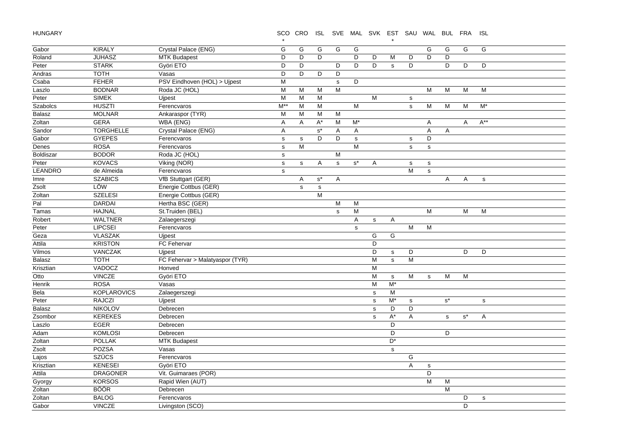HUNGARY

SCO CRO ISL SVE MAL SVK EST SAU WAL BUL FRA ISL

|                 |                    |                                 | $\star$        |              |                      |                |           |             | $^\star$     |                                                                                       |             |             |                      |             |  |
|-----------------|--------------------|---------------------------------|----------------|--------------|----------------------|----------------|-----------|-------------|--------------|---------------------------------------------------------------------------------------|-------------|-------------|----------------------|-------------|--|
| Gabor           | <b>KIRALY</b>      | Crystal Palace (ENG)            | G              | G            | G                    | G              | G         |             |              |                                                                                       | G           | G           | G                    | G           |  |
| Roland          | <b>JUHASZ</b>      | <b>MTK Budapest</b>             | D              | D            | D                    |                | D         | D           | M            | D                                                                                     | D           | D           |                      |             |  |
| Peter           | <b>STARK</b>       | Györi ETO                       | D              | D            |                      | D              | D         | D           | $\mathbf{s}$ | D                                                                                     |             | D           | D                    | D           |  |
| Andras          | <b>TOTH</b>        | Vasas                           | D              | D            | D                    | D              |           |             |              |                                                                                       |             |             |                      |             |  |
| Csaba           | <b>FEHER</b>       | PSV Eindhoven (HOL) > Ujpest    | М              |              |                      | $\mathbf s$    | D         |             |              |                                                                                       |             |             |                      |             |  |
| Laszlo          | <b>BODNAR</b>      | Roda JC (HOL)                   | M              | M            | M                    | M              |           |             |              |                                                                                       | M           | M           | M                    | M           |  |
| Peter           | <b>SIMEK</b>       | Ujpest                          | M              | M            | M                    |                |           | M           |              | $\mathbf s$                                                                           |             |             |                      |             |  |
| <b>Szabolcs</b> | <b>HUSZTI</b>      | Ferencvaros                     | $M^{**}$       | ${\sf M}$    | M                    |                | M         |             |              | $\mathbf s$                                                                           | M           | M           | M                    | $M^*$       |  |
| <b>Balasz</b>   | <b>MOLNAR</b>      | Ankaraspor (TYR)                | M              | M            | M                    | M              |           |             |              |                                                                                       |             |             |                      |             |  |
| Zoltan          | <b>GERA</b>        | WBA (ENG)                       | A              | Α            | $A^*$                | M              | $M^*$     |             |              |                                                                                       | A           |             | Α                    | $A^{**}$    |  |
| Sandor          | <b>TORGHELLE</b>   | Crystal Palace (ENG)            | $\overline{A}$ |              | $\texttt{s}^{\star}$ | A              | A         |             |              |                                                                                       | A           | A           |                      |             |  |
| Gabor           | <b>GYEPES</b>      | Ferencvaros                     | $\mathbf S$    | ${\tt S}$    | D                    | D              | ${\tt S}$ |             |              | ${\tt S}$                                                                             | D           |             |                      |             |  |
| Denes           | <b>ROSA</b>        | Ferencvaros                     | $\mathbf s$    | M            |                      |                | M         |             |              | $\mathbf s$                                                                           | $\mathbf s$ |             |                      |             |  |
| Boldiszar       | <b>BODOR</b>       | Roda JC (HOL)                   | $\mathbf s$    |              |                      | M              |           |             |              |                                                                                       |             |             |                      |             |  |
| Peter           | <b>KOVACS</b>      | Viking (NOR)                    | $\mathbf s$    | $\mathbf{s}$ | Α                    | s              | $s^*$     | A           |              | $\mathbf s$                                                                           | $\mathbf s$ |             |                      |             |  |
| <b>LEANDRO</b>  | de Almeida         | Ferencvaros                     | $\mathbb S$    |              |                      |                |           |             |              | $\mathsf{M}% _{T}=\mathsf{M}_{T}\!\left( a,b\right) ,\ \mathsf{M}_{T}=\mathsf{M}_{T}$ | $\mathbf s$ |             |                      |             |  |
| Imre            | <b>SZABICS</b>     | VfB Stuttgart (GER)             |                | A            | $s^{\star}$          | A              |           |             |              |                                                                                       |             | Α           | A                    | $\mathbf s$ |  |
| Zsolt           | LÖW                | Energie Cottbus (GER)           |                | $\mathbf{s}$ | $\mathsf{s}$         |                |           |             |              |                                                                                       |             |             |                      |             |  |
| Zoltan          | <b>SZELESI</b>     | Energie Cottbus (GER)           |                |              | M                    |                |           |             |              |                                                                                       |             |             |                      |             |  |
| Pal             | <b>DARDAI</b>      | Hertha BSC (GER)                |                |              |                      | $\overline{M}$ | M         |             |              |                                                                                       |             |             |                      |             |  |
| Tamas           | <b>HAJNAL</b>      | St.Truiden (BEL)                |                |              |                      | $\mathbf{s}$   | M         |             |              |                                                                                       | M           |             | M                    | M           |  |
| Robert          | <b>WALTNER</b>     | Zalaegerszegi                   |                |              |                      |                | A         | $\mathbf s$ | Α            |                                                                                       |             |             |                      |             |  |
| Peter           | <b>LIPCSEI</b>     | Ferencvaros                     |                |              |                      |                | s         |             |              | M                                                                                     | M           |             |                      |             |  |
| Geza            | <b>VLASZAK</b>     | Ujpest                          |                |              |                      |                |           | G           | G            |                                                                                       |             |             |                      |             |  |
| Attila          | <b>KRISTON</b>     | FC Fehervar                     |                |              |                      |                |           | D           |              |                                                                                       |             |             |                      |             |  |
| Vilmos          | VANCZAK            | <b>Uipest</b>                   |                |              |                      |                |           | D           | ${\tt S}$    | D                                                                                     |             |             | D                    | D           |  |
| <b>Balasz</b>   | <b>TOTH</b>        | FC Fehervar > Malatyaspor (TYR) |                |              |                      |                |           | M           | $\mathbf{s}$ | M                                                                                     |             |             |                      |             |  |
| Krisztian       | VADOCZ             | Honved                          |                |              |                      |                |           | M           |              |                                                                                       |             |             |                      |             |  |
| Otto            | <b>VINCZE</b>      | Györi ETO                       |                |              |                      |                |           | M           | $\mathbf s$  | M                                                                                     | $\mathbf s$ | M           | M                    |             |  |
| Henrik          | <b>ROSA</b>        | Vasas                           |                |              |                      |                |           | M           | $M^*$        |                                                                                       |             |             |                      |             |  |
| Bela            | <b>KOPLAROVICS</b> | Zalaegerszegi                   |                |              |                      |                |           | ${\tt S}$   | M            |                                                                                       |             |             |                      |             |  |
| Peter           | <b>RAJCZI</b>      | Ujpest                          |                |              |                      |                |           | ${\tt S}$   | M*           | $\mathbf s$                                                                           |             | $s^*$       |                      | ${\tt S}$   |  |
| <b>Balasz</b>   | <b>NIKOLOV</b>     | Debrecen                        |                |              |                      |                |           | $\mathbf s$ | D            | D                                                                                     |             |             |                      |             |  |
| Zsombor         | <b>KEREKES</b>     | Debrecen                        |                |              |                      |                |           | $\mathbf s$ | $A^*$        | Α                                                                                     |             | $\mathbf s$ | $\texttt{s}^{\star}$ | Α           |  |
| Laszlo          | <b>EGER</b>        | Debrecen                        |                |              |                      |                |           |             | D            |                                                                                       |             |             |                      |             |  |
| Adam            | <b>KOMLOSI</b>     | Debrecen                        |                |              |                      |                |           |             | D            |                                                                                       |             | D           |                      |             |  |
| Zoltan          | <b>POLLAK</b>      | <b>MTK Budapest</b>             |                |              |                      |                |           |             | $D^*$        |                                                                                       |             |             |                      |             |  |
| Zsolt           | <b>POZSA</b>       | Vasas                           |                |              |                      |                |           |             | $\mathbf s$  |                                                                                       |             |             |                      |             |  |
| Lajos           | <b>SZÜCS</b>       | Ferencvaros                     |                |              |                      |                |           |             |              | G                                                                                     |             |             |                      |             |  |
| Krisztian       | <b>KENESEI</b>     | Györi ETO                       |                |              |                      |                |           |             |              | A                                                                                     | s           |             |                      |             |  |
| Attila          | <b>DRAGONER</b>    | Vit. Guimaraes (POR)            |                |              |                      |                |           |             |              |                                                                                       | D           |             |                      |             |  |
| Gyorgy          | <b>KORSOS</b>      | Rapid Wien (AUT)                |                |              |                      |                |           |             |              |                                                                                       | M           | M           |                      |             |  |
| Zoltan          | <b>BÖÖR</b>        | Debrecen                        |                |              |                      |                |           |             |              |                                                                                       |             | M           |                      |             |  |
| Zoltan          | <b>BALOG</b>       | Ferencvaros                     |                |              |                      |                |           |             |              |                                                                                       |             |             | D                    | ${\tt S}$   |  |
| Gabor           | <b>VINCZE</b>      | Livingston (SCO)                |                |              |                      |                |           |             |              |                                                                                       |             |             | D                    |             |  |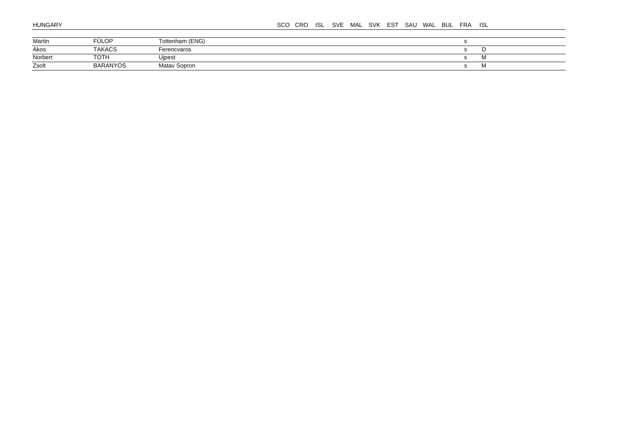#### SCO CRO ISL SVE MAL SVK EST SAU WAL BUL FRA ISL

| Martin  | FÜLOP           | Tottenham (ENG)     |  |
|---------|-----------------|---------------------|--|
| Akos    | <b>TAKACS</b>   | Ferencvaros         |  |
| Norbert | <b>TOTH</b>     | Uipest              |  |
| Zsolt   | <b>BARANYOS</b> | <b>Matay Sopron</b> |  |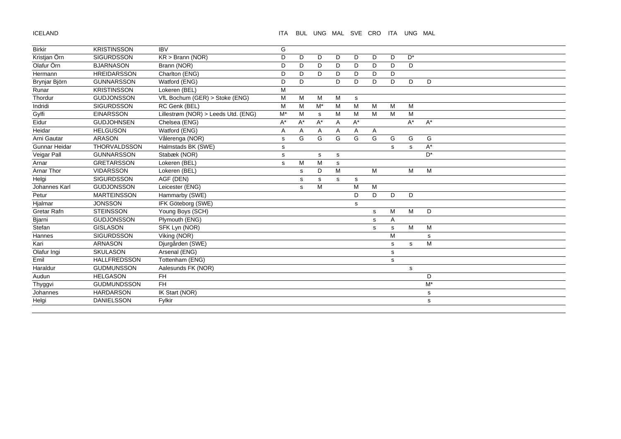ICELAND

## ITA BUL UNG MAL SVE CRO ITA UNG MAL

| <b>Birkir</b>     | <b>KRISTINSSON</b>  | <b>IBV</b>                          | G  |    |                      |   |       |             |             |                      |                      |
|-------------------|---------------------|-------------------------------------|----|----|----------------------|---|-------|-------------|-------------|----------------------|----------------------|
| Kristjan Örn      | <b>SIGURDSSON</b>   | $KR >$ Brann (NOR)                  | D  | D  | D                    | D | D     | D           | D           | $\mathsf{D}^{\star}$ |                      |
| Olafur Örn        | <b>BJARNASON</b>    | Brann (NOR)                         | D  | D  | D                    | D | D     | D           | D           | D                    |                      |
| Hermann           | <b>HREIDARSSON</b>  | Charlton (ENG)                      | D  | D  | D                    | D | D     | D           | D           |                      |                      |
| Brynjar Björn     | <b>GUNNARSSON</b>   | Watford (ENG)                       | D  | D  |                      | D | D     | D           | D           | D                    | D                    |
| Runar             | <b>KRISTINSSON</b>  | Lokeren (BEL)                       | M  |    |                      |   |       |             |             |                      |                      |
| Thordur           | <b>GUDJONSSON</b>   | VfL Bochum (GER) > Stoke (ENG)      | M  | M  | M                    | M | s     |             |             |                      |                      |
| Indridi           | <b>SIGURDSSON</b>   | RC Genk (BEL)                       | M  | M  | $M^*$                | M | M     | M           | M           | M                    |                      |
| Gylfi             | <b>EINARSSON</b>    | Lillestrøm (NOR) > Leeds Utd. (ENG) | M* | M  | s                    | м | M     | м           | M           | M                    |                      |
| Eidur             | <b>GUDJOHNSEN</b>   | Chelsea (ENG)                       | A* | A* | $\mathsf{A}^{\star}$ | Α | $A^*$ |             |             | $A^*$                | $A^*$                |
| Heidar            | <b>HELGUSON</b>     | Watford (ENG)                       | Α  | Α  | Α                    | Α | Α     | A           |             |                      |                      |
| Arni Gautar       | <b>ARASON</b>       | Vålerenga (NOR)                     | s  | G  | G                    | G | G     | G           | G           | G                    | G                    |
| Gunnar Heidar     | THORVALDSSON        | Halmstads BK (SWE)                  | s  |    |                      |   |       |             | s           | s                    | $\mathsf{A}^{\star}$ |
| Veigar Pall       | <b>GUNNARSSON</b>   | Stabæk (NOR)                        | s  |    | s                    | s |       |             |             |                      | $D^*$                |
| Arnar             | <b>GRETARSSON</b>   | Lokeren (BEL)                       | s  | M  | M                    | s |       |             |             |                      |                      |
| <b>Arnar Thor</b> | <b>VIDARSSON</b>    | Lokeren (BEL)                       |    | s  | D                    | M |       | M           |             | М                    | M                    |
| Helgi             | <b>SIGURDSSON</b>   | AGF (DEN)                           |    | s  | s                    | s | s     |             |             |                      |                      |
| Johannes Karl     | <b>GUDJONSSON</b>   | Leicester (ENG)                     |    | s  | M                    |   | M     | М           |             |                      |                      |
| Petur             | <b>MARTEINSSON</b>  | Hammarby (SWE)                      |    |    |                      |   | D     | D           | D           | D                    |                      |
| Hjalmar           | <b>JONSSON</b>      | <b>IFK Göteborg (SWE)</b>           |    |    |                      |   | s     |             |             |                      |                      |
| Gretar Rafn       | <b>STEINSSON</b>    | Young Boys (SCH)                    |    |    |                      |   |       | $\mathbf s$ | M           | M                    | D                    |
| Bjarni            | <b>GUDJONSSON</b>   | Plymouth (ENG)                      |    |    |                      |   |       | $\mathbf s$ | Α           |                      |                      |
| Stefan            | <b>GISLASON</b>     | SFK Lyn (NOR)                       |    |    |                      |   |       | s           | s           | M                    | M                    |
| Hannes            | <b>SIGURDSSON</b>   | Viking (NOR)                        |    |    |                      |   |       |             | M           |                      | s                    |
| Kari              | <b>ARNASON</b>      | Djurgården (SWE)                    |    |    |                      |   |       |             | s           | s                    | M                    |
| Olafur Ingi       | <b>SKULASON</b>     | Arsenal (ENG)                       |    |    |                      |   |       |             | s           |                      |                      |
| Emil              | <b>HALLFREDSSON</b> | Tottenham (ENG)                     |    |    |                      |   |       |             | $\mathbf s$ |                      |                      |
| Haraldur          | <b>GUDMUNSSON</b>   | Aalesunds FK (NOR)                  |    |    |                      |   |       |             |             | $\mathbf s$          |                      |
| Audun             | <b>HELGASON</b>     | <b>FH</b>                           |    |    |                      |   |       |             |             |                      | D                    |
| Thyggvi           | <b>GUDMUNDSSON</b>  | <b>FH</b>                           |    |    |                      |   |       |             |             |                      | $M^*$                |
| Johannes          | <b>HARDARSON</b>    | IK Start (NOR)                      |    |    |                      |   |       |             |             |                      | ${\bf s}$            |
| Helgi             | <b>DANIELSSON</b>   | Fylkir                              |    |    |                      |   |       |             |             |                      | s                    |
|                   |                     |                                     |    |    |                      |   |       |             |             |                      |                      |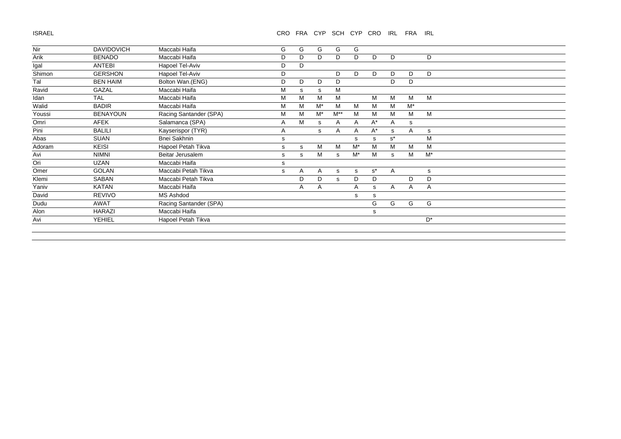ISRAEL

# CRO FRA CYP SCH CYP CRO IRL FRA IRL

| <b>BENADO</b>   | Maccabi Haifa          |   |   |       |          |       |       |              |       |       |
|-----------------|------------------------|---|---|-------|----------|-------|-------|--------------|-------|-------|
|                 |                        | D | D | D     | D        | D     | D     | D            |       | D     |
|                 | Hapoel Tel-Aviv        | D | D |       |          |       |       |              |       |       |
| <b>GERSHON</b>  | Hapoel Tel-Aviv        | D |   |       | D        | D     | D     | D            | D     | D     |
| <b>BEN HAIM</b> | Bolton Wan.(ENG)       | D | D | D     | D        |       |       | D            | D     |       |
| GAZAL           | Maccabi Haifa          | M | s | s     | M        |       |       |              |       |       |
| <b>TAL</b>      | Maccabi Haifa          | M | M | M     | M        |       | M     | M            | M     | M     |
| <b>BADIR</b>    | Maccabi Haifa          | M | M | $M^*$ | м        | M     | M     | м            | $M^*$ |       |
| <b>BENAYOUN</b> | Racing Santander (SPA) | М | M | $M^*$ | $M^{**}$ | М     | м     | M            | м     | M     |
| AFEK            | Salamanca (SPA)        | Α | M | s     | A        | Α     | $A^*$ | Α            | s     |       |
| <b>BALILI</b>   | Kayserispor (TYR)      | Α |   | s     | A        | A     | $A^*$ | s            | A     | s     |
| <b>SUAN</b>     | Bnei Sakhnin           | s |   |       |          | s     | s     | $s^*$        |       | M     |
| <b>KEISI</b>    | Hapoel Petah Tikva     | s | s | M     | M        | $M^*$ | м     | M            | M     | M     |
| <b>NIMNI</b>    | Beitar Jerusalem       | s | s | M     | s        | $M^*$ | м     | s            | м     | $M^*$ |
| <b>UZAN</b>     | Maccabi Haifa          | s |   |       |          |       |       |              |       |       |
| <b>GOLAN</b>    | Maccabi Petah Tikva    | s | A | A     | s        | s     | $s^*$ | $\mathsf{A}$ |       | s     |
| SABAN           | Maccabi Petah Tikva    |   | D | D     | S.       | D     | D     |              | D     | D     |
| KATAN           | Maccabi Haifa          |   | A | A     |          | A     | s     | A            | Α     | Α     |
| <b>REVIVO</b>   | MS Ashdod              |   |   |       |          | s     | s     |              |       |       |
| AWAT            | Racing Santander (SPA) |   |   |       |          |       | G     | G            | G     | G     |
| <b>HARAZI</b>   | Maccabi Haifa          |   |   |       |          |       | s     |              |       |       |
| <b>YEHIEL</b>   | Hapoel Petah Tikva     |   |   |       |          |       |       |              |       | $D^*$ |
|                 |                        |   |   |       |          |       |       |              |       |       |
|                 | <b>ANTEBI</b>          |   |   |       |          |       |       |              |       |       |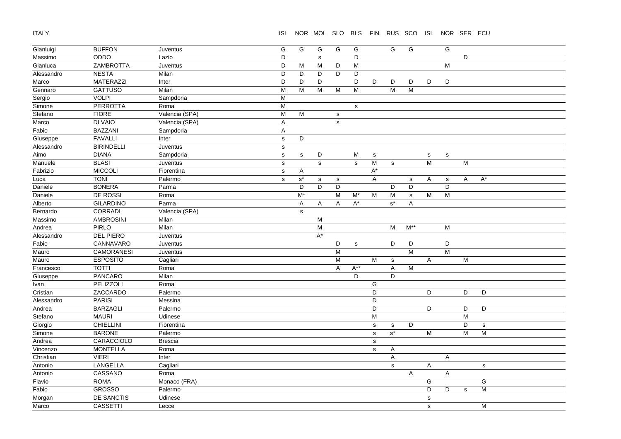ITALY

ISL NOR MOL SLO BLS FIN RUS SCO ISL NOR SER ECU

| Gianluigi  | <b>BUFFON</b>     | Juventus       | ${\mathsf G}$ | G                         | G              | G            | G           |                                                                                       | G                    | G              |             | $\overline{G}$ |              |                      |
|------------|-------------------|----------------|---------------|---------------------------|----------------|--------------|-------------|---------------------------------------------------------------------------------------|----------------------|----------------|-------------|----------------|--------------|----------------------|
| Massimo    | ODDO              | Lazio          | D             |                           | $\mathbf s$    |              | D           |                                                                                       |                      |                |             |                | D            |                      |
| Gianluca   | <b>ZAMBROTTA</b>  | Juventus       | D             | M                         | ${\sf M}$      | D            | M           |                                                                                       |                      |                |             | M              |              |                      |
| Alessandro | <b>NESTA</b>      | Milan          | D             | D                         | D              | D            | D           |                                                                                       |                      |                |             |                |              |                      |
| Marco      | <b>MATERAZZI</b>  | Inter          | D             | D                         | D              |              | D           | D                                                                                     | D                    | D              | D           | D              |              |                      |
| Gennaro    | <b>GATTUSO</b>    | Milan          | M             | M                         | M              | M            | M           |                                                                                       | M                    | ${\sf M}$      |             |                |              |                      |
| Sergio     | <b>VOLPI</b>      | Sampdoria      | M             |                           |                |              |             |                                                                                       |                      |                |             |                |              |                      |
| Simone     | <b>PERROTTA</b>   | Roma           | M             |                           |                |              | s           |                                                                                       |                      |                |             |                |              |                      |
| Stefano    | <b>FIORE</b>      | Valencia (SPA) | M             | M                         |                | ${\tt S}$    |             |                                                                                       |                      |                |             |                |              |                      |
| Marco      | <b>DI VAIO</b>    | Valencia (SPA) | A             |                           |                | $\mathsf{s}$ |             |                                                                                       |                      |                |             |                |              |                      |
| Fabio      | <b>BAZZANI</b>    | Sampdoria      | Α             |                           |                |              |             |                                                                                       |                      |                |             |                |              |                      |
| Giuseppe   | <b>FAVALLI</b>    | Inter          | $\mathbf s$   | D                         |                |              |             |                                                                                       |                      |                |             |                |              |                      |
| Alessandro | <b>BIRINDELLI</b> | Juventus       | s             |                           |                |              |             |                                                                                       |                      |                |             |                |              |                      |
| Aimo       | <b>DIANA</b>      | Sampdoria      | $\mathsf{s}$  | s                         | D              |              | M           | $\mathbf s$                                                                           |                      |                | $\mathbf S$ | ${\tt S}$      |              |                      |
| Manuele    | <b>BLASI</b>      | Juventus       | $\mathbf s$   |                           | $\mathbf s$    |              | $\mathbf s$ | M                                                                                     | ${\tt S}$            |                | M           |                | M            |                      |
| Fabrizio   | <b>MICCOLI</b>    | Fiorentina     | s             | $\mathsf{A}$              |                |              |             | $\mathsf{A}^\star$                                                                    |                      |                |             |                |              |                      |
| Luca       | <b>TONI</b>       | Palermo        | s             | $\texttt{s}^{\star}$      | $\mathbf S$    | $\mathbf s$  |             | $\overline{A}$                                                                        |                      | $\mathbf s$    | Α           | ${\tt S}$      | A            | $\mathsf{A}^{\star}$ |
| Daniele    | <b>BONERA</b>     | Parma          |               | D                         | D              | D            |             |                                                                                       | D                    | D              |             | D              |              |                      |
| Daniele    | <b>DE ROSSI</b>   | Roma           |               | $\overline{\mathsf{M}^*}$ |                | M            | $M^*$       | M                                                                                     | M                    | $\mathbf s$    | M           | M              |              |                      |
| Alberto    | <b>GILARDINO</b>  | Parma          |               | $\mathsf{A}$              | A              | A            | $A^*$       |                                                                                       | $\texttt{s}^{\star}$ | A              |             |                |              |                      |
| Bernardo   | CORRADI           | Valencia (SPA) |               | $\mathbf{s}$              |                |              |             |                                                                                       |                      |                |             |                |              |                      |
| Massimo    | <b>AMBROSINI</b>  | Milan          |               |                           | $\overline{M}$ |              |             |                                                                                       |                      |                |             |                |              |                      |
| Andrea     | <b>PIRLO</b>      | Milan          |               |                           | $\overline{M}$ |              |             |                                                                                       | M                    | $M^{**}$       |             | M              |              |                      |
| Alessandro | <b>DEL PIERO</b>  | Juventus       |               |                           | $A^*$          |              |             |                                                                                       |                      |                |             |                |              |                      |
| Fabio      | CANNAVARO         | Juventus       |               |                           |                | D            | s           |                                                                                       | D                    | D              |             | D              |              |                      |
| Mauro      | <b>CAMORANESI</b> | Juventus       |               |                           |                | M            |             |                                                                                       |                      | $\overline{M}$ |             | M              |              |                      |
| Mauro      | <b>ESPOSITO</b>   | Cagliari       |               |                           |                | M            |             | M                                                                                     | $\mathbf s$          |                | Α           |                | M            |                      |
| Francesco  | <b>TOTTI</b>      | Roma           |               |                           |                | A            | $A^{**}$    |                                                                                       | $\overline{A}$       | M              |             |                |              |                      |
| Giuseppe   | <b>PANCARO</b>    | Milan          |               |                           |                |              | D           |                                                                                       | D                    |                |             |                |              |                      |
| Ivan       | PELIZZOLI         | Roma           |               |                           |                |              |             | G                                                                                     |                      |                |             |                |              |                      |
| Cristian   | ZACCARDO          | Palermo        |               |                           |                |              |             | D                                                                                     |                      |                | D           |                | D            | D                    |
| Alessandro | <b>PARISI</b>     | Messina        |               |                           |                |              |             | D                                                                                     |                      |                |             |                |              |                      |
| Andrea     | <b>BARZAGLI</b>   | Palermo        |               |                           |                |              |             | D                                                                                     |                      |                | D           |                | D            | D                    |
| Stefano    | <b>MAURI</b>      | Udinese        |               |                           |                |              |             | $\mathsf{M}% _{T}=\mathsf{M}_{T}\!\left( a,b\right) ,\ \mathsf{M}_{T}=\mathsf{M}_{T}$ |                      |                |             |                | M            |                      |
| Giorgio    | <b>CHIELLINI</b>  | Fiorentina     |               |                           |                |              |             | s                                                                                     | $\mathbf s$          | D              |             |                | D            | $\mathbf s$          |
| Simone     | <b>BARONE</b>     | Palermo        |               |                           |                |              |             | $\mathbf s$                                                                           | $\textbf{s}^{\star}$ |                | M           |                | M            | M                    |
| Andrea     | CARACCIOLO        | <b>Brescia</b> |               |                           |                |              |             | $\mathbf{s}$                                                                          |                      |                |             |                |              |                      |
| Vincenzo   | <b>MONTELLA</b>   | Roma           |               |                           |                |              |             | $\mathbf s$                                                                           | $\mathsf{A}$         |                |             |                |              |                      |
| Christian  | <b>VIERI</b>      | Inter          |               |                           |                |              |             |                                                                                       | Α                    |                |             | A              |              |                      |
| Antonio    | LANGELLA          | Cagliari       |               |                           |                |              |             |                                                                                       | $\mathbf s$          |                | A           |                |              | $\mathbf s$          |
| Antonio    | CASSANO           | Roma           |               |                           |                |              |             |                                                                                       |                      | A              |             | A              |              |                      |
| Flavio     | <b>ROMA</b>       | Monaco (FRA)   |               |                           |                |              |             |                                                                                       |                      |                | G           |                |              | G                    |
| Fabio      | <b>GROSSO</b>     | Palermo        |               |                           |                |              |             |                                                                                       |                      |                | D           | D              | $\mathsf{s}$ | M                    |
| Morgan     | <b>DE SANCTIS</b> | Udinese        |               |                           |                |              |             |                                                                                       |                      |                | $\mathbf s$ |                |              |                      |
| Marco      | <b>CASSETTI</b>   | Lecce          |               |                           |                |              |             |                                                                                       |                      |                | $\mathbf s$ |                |              | M                    |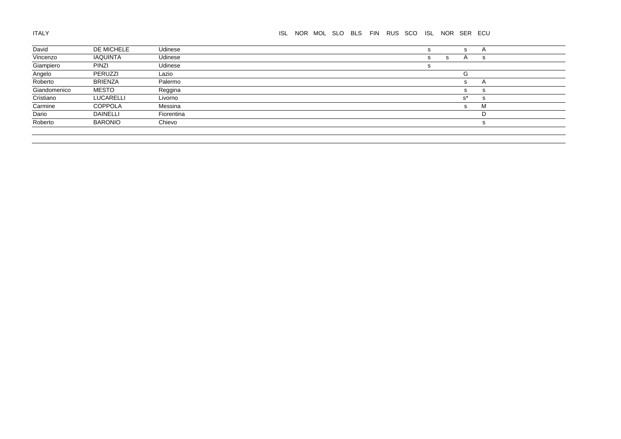| David        | DE MICHELE      | Udinese    |  |  | s |   | s.           | A              |  |
|--------------|-----------------|------------|--|--|---|---|--------------|----------------|--|
| Vincenzo     | IAQUINTA        | Udinese    |  |  | s | s | $\mathsf{A}$ | s              |  |
| Giampiero    | <b>PINZI</b>    | Udinese    |  |  |   |   |              |                |  |
| Angelo       | PERUZZI         | Lazio      |  |  |   |   | G            |                |  |
| Roberto      | <b>BRIENZA</b>  | Palermo    |  |  |   |   | s.           | $\overline{A}$ |  |
| Giandomenico | <b>MESTO</b>    | Reggina    |  |  |   |   | s.           | s              |  |
| Cristiano    | LUCARELLI       | Livorno    |  |  |   |   | $s^*$        | s              |  |
| Carmine      | <b>COPPOLA</b>  | Messina    |  |  |   |   | S.           | м              |  |
| Dario        | <b>DAINELLI</b> | Fiorentina |  |  |   |   |              |                |  |
| Roberto      | <b>BARONIO</b>  | Chievo     |  |  |   |   |              | s              |  |
|              |                 |            |  |  |   |   |              |                |  |
|              |                 |            |  |  |   |   |              |                |  |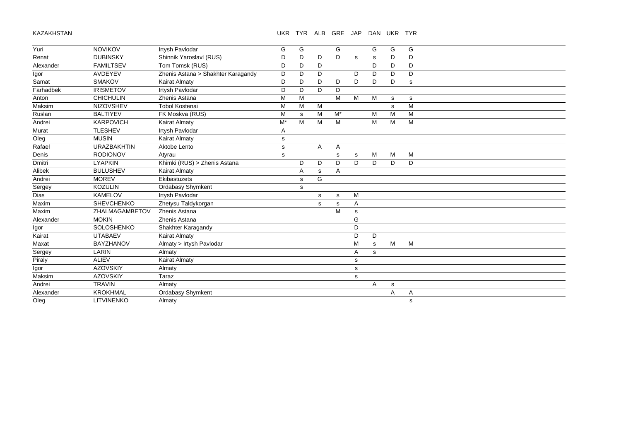# UKR TYR ALB GRE JAP DAN UKR TYR

| Yuri      | <b>NOVIKOV</b>     | Irtysh Pavlodar                    | G           | G            |   | G     |   | G | G | G |
|-----------|--------------------|------------------------------------|-------------|--------------|---|-------|---|---|---|---|
| Renat     | <b>DUBINSKY</b>    | Shinnik Yaroslavl (RUS)            | D           | D            | D | D     | s | s | D | D |
| Alexander | <b>FAMILTSEV</b>   | Tom Tomsk (RUS)                    | D           | D            | D |       |   | D | D | D |
| Igor      | <b>AVDEYEV</b>     | Zhenis Astana > Shakhter Karagandy | D           | D            | D |       | D | D | D | D |
| Samat     | <b>SMAKOV</b>      | <b>Kairat Almaty</b>               | D           | D            | D | D     | D | D | D | s |
| Farhadbek | <b>IRISMETOV</b>   | Irtysh Pavlodar                    | D           | D            | D | D     |   |   |   |   |
| Anton     | <b>CHICHULIN</b>   | Zhenis Astana                      | M           | M            |   | M     | M | M | s | s |
| Maksim    | <b>NIZOVSHEV</b>   | <b>Tobol Kostenai</b>              | М           | M            | M |       |   |   | s | M |
| Ruslan    | <b>BALTIYEV</b>    | FK Moskva (RUS)                    | M           | s            | M | $M^*$ |   | М | M | м |
| Andrei    | <b>KARPOVICH</b>   | <b>Kairat Almaty</b>               | $M^*$       | M            | M | M     |   | M | M | M |
| Murat     | <b>TLESHEV</b>     | <b>Irtysh Pavlodar</b>             | Α           |              |   |       |   |   |   |   |
| Oleg      | <b>MUSIN</b>       | <b>Kairat Almaty</b>               | s           |              |   |       |   |   |   |   |
| Rafael    | <b>URAZBAKHTIN</b> | Aktobe Lento                       | s           |              | A | Α     |   |   |   |   |
| Denis     | <b>RODIONOV</b>    | Atyrau                             | $\mathbf S$ |              |   | s     | s | M | M | M |
| Dmitri    | <b>LYAPKIN</b>     | Khimki (RUS) > Zhenis Astana       |             | D            | D | D     | D | D | D | D |
| Alibek    | <b>BULUSHEV</b>    | <b>Kairat Almaty</b>               |             | Α            | s | A     |   |   |   |   |
| Andrei    | <b>MOREV</b>       | Ekibastuzets                       |             | $\mathsf{s}$ | G |       |   |   |   |   |
| Sergey    | <b>KOZULIN</b>     | Ordabasy Shymkent                  |             | s            |   |       |   |   |   |   |
| Dias      | <b>KAMELOV</b>     | Irtysh Pavlodar                    |             |              | s | s     | M |   |   |   |
| Maxim     | SHEVCHENKO         | Zhetysu Taldykorgan                |             |              | s | s     | A |   |   |   |
| Maxim     | ZHALMAGAMBETOV     | Zhenis Astana                      |             |              |   | M     | s |   |   |   |
| Alexander | <b>MOKIN</b>       | Zhenis Astana                      |             |              |   |       | G |   |   |   |
| Igor      | SOLOSHENKO         | Shakhter Karagandy                 |             |              |   |       | D |   |   |   |
| Kairat    | <b>UTABAEV</b>     | <b>Kairat Almaty</b>               |             |              |   |       | D | D |   |   |
| Maxat     | <b>BAYZHANOV</b>   | Almaty > Irtysh Pavlodar           |             |              |   |       | M | s | M | M |
| Sergey    | LARIN              | Almaty                             |             |              |   |       | Α | s |   |   |
| Piraly    | <b>ALIEV</b>       | <b>Kairat Almaty</b>               |             |              |   |       | s |   |   |   |
| Igor      | <b>AZOVSKIY</b>    | Almaty                             |             |              |   |       | s |   |   |   |
| Maksim    | <b>AZOVSKIY</b>    | Taraz                              |             |              |   |       | S |   |   |   |
| Andrei    | <b>TRAVIN</b>      | Almaty                             |             |              |   |       |   | Α | s |   |
| Alexander | <b>KROKHMAL</b>    | <b>Ordabasy Shymkent</b>           |             |              |   |       |   |   | A | Α |
| Oleg      | <b>LITVINENKO</b>  | Almaty                             |             |              |   |       |   |   |   | s |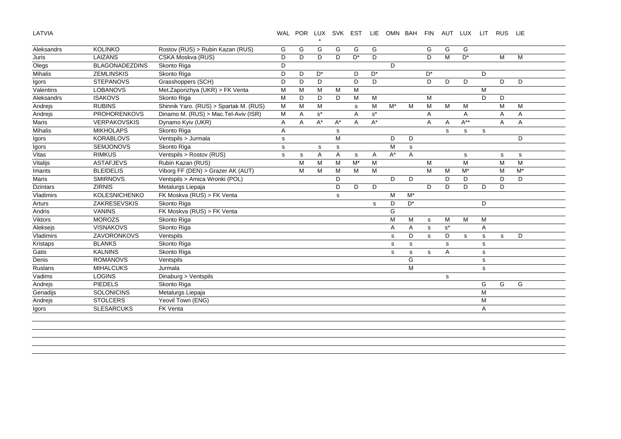LATVIA

# WAL POR LUX SVK EST LIE OMN BAH FIN AUT LUX LIT RUS LIE

| Aleksandrs      | <b>KOLINKO</b>        | Rostov (RUS) > Rubin Kazan (RUS)       | G           | G | G                    | G  | G     | G     |       |       | G           | G           | G        |             |   |       |  |
|-----------------|-----------------------|----------------------------------------|-------------|---|----------------------|----|-------|-------|-------|-------|-------------|-------------|----------|-------------|---|-------|--|
| Juris           | LAIZANS               | CSKA Moskva (RUS)                      | D           | D | D                    | D  | $D^*$ | D     |       |       | D           | M           | $D^*$    |             | M | M     |  |
| Olegs           | <b>BLAGONADEZDINS</b> | Skonto Riga                            | D           |   |                      |    |       |       | D     |       |             |             |          |             |   |       |  |
| Mihalis         | <b>ZEMLINSKIS</b>     | Skonto Riga                            | D           | D | D <sup>*</sup>       |    | D     | $D^*$ |       |       | $D^*$       |             |          | D           |   |       |  |
| Igors           | <b>STEPANOVS</b>      | Grasshoppers (SCH)                     | D           | D | D                    |    | D     | D     |       |       | D           | D           | D        |             | D | D     |  |
| Valentins       | <b>LOBANOVS</b>       | Met.Zaporizhya (UKR) > FK Venta        | M           | M | M                    | M  | M     |       |       |       |             |             |          | M           |   |       |  |
| Aleksandrs      | <b>ISAKOVS</b>        | Skonto Riga                            | М           | D | D                    | D  | M     | M     |       |       | M           |             |          | D           | D |       |  |
| Andrejs         | <b>RUBINS</b>         | Shinnik Yaro. (RUS) > Spartak M. (RUS) | M           | M | M                    |    | s     | м     | $M^*$ | M     | M           | M           | M        |             | M | M     |  |
| Andrejs         | <b>PROHORENKOVS</b>   | Dinamo M. (RUS) > Mac.Tel-Aviv (ISR)   | M           | Α | $\texttt{s}^{\star}$ |    | Α     | $s^*$ |       |       | Α           |             | Α        |             | Α | Α     |  |
| Maris           | <b>VERPAKOVSKIS</b>   | Dynamo Kyiv (UKR)                      | Α           | A | $A^*$                | A* | A     | $A^*$ |       |       | A           | Α           | $A^{**}$ |             | A | Α     |  |
| Mihalis         | <b>MIKHOLAPS</b>      | Skonto Riga                            | Α           |   |                      | s  |       |       |       |       |             | s           | s        | $\mathbf s$ |   |       |  |
| Igors           | <b>KORABLOVS</b>      | Ventspils > Jurmala                    | $\mathbf s$ |   |                      | M  |       |       | D     | D     |             |             |          |             |   | D     |  |
| Igors           | <b>SEMJONOVS</b>      | Skonto Riga                            | $\mathbf s$ |   | s                    | s  |       |       | M     | s     |             |             |          |             |   |       |  |
| Vitas           | <b>RIMKUS</b>         | Ventspils > Rostov (RUS)               | s           | s | $\overline{A}$       | A  | s     | A     | $A^*$ | A     |             |             | s        |             | s | s     |  |
| Vitalijs        | <b>ASTAFJEVS</b>      | Rubin Kazan (RUS)                      |             | M | M                    | M  | $M^*$ | M     |       |       | M           |             | M        |             | M | M     |  |
| Imants          | <b>BLEIDELIS</b>      | Viborg FF (DEN) > Grazer AK (AUT)      |             | M | M                    | M  | M     | M     |       |       | M           | M           | $M^*$    |             | M | $M^*$ |  |
| Maris           | <b>SMIRNOVS</b>       | Ventspils > Amica Wronki (POL)         |             |   |                      | D  |       |       | D     | D     |             | D           | D        |             | D | D     |  |
| <b>Dzintars</b> | <b>ZIRNIS</b>         | Metalurgs Liepaja                      |             |   |                      | D  | D     | D     |       |       | D           | D           | D        | D           | D |       |  |
| Vladimirs       | <b>KOLESNICHENKO</b>  | FK Moskva (RUS) > FK Venta             |             |   |                      | s  |       |       | M     | $M^*$ |             |             |          |             |   |       |  |
| Arturs          | ZAKRESEVSKIS          | Skonto Riga                            |             |   |                      |    |       | s     | D     | $D^*$ |             |             |          | D           |   |       |  |
| Andris          | <b>VANINS</b>         | FK Moskva (RUS) > FK Venta             |             |   |                      |    |       |       | G     |       |             |             |          |             |   |       |  |
| <b>Viktors</b>  | <b>MOROZS</b>         | Skonto Riga                            |             |   |                      |    |       |       | M     | М     | s           | М           | M        | M           |   |       |  |
| Aleksejs        | <b>VISNAKOVS</b>      | Skonto Riga                            |             |   |                      |    |       |       | Α     | A     | $\mathbf s$ | $s^*$       |          | A           |   |       |  |
| Vladimirs       | ZAVORONKOVS           | Ventspils                              |             |   |                      |    |       |       | s     | D     | s           | D           | s        | s           | s | D     |  |
| Kristaps        | <b>BLANKS</b>         | Skonto Riga                            |             |   |                      |    |       |       | s     | s     |             | s           |          | s           |   |       |  |
| Gatis           | <b>KALNINS</b>        | Skonto Riga                            |             |   |                      |    |       |       | s     | s     | s           | Α           |          | s           |   |       |  |
| Denis           | <b>ROMANOVS</b>       | Ventspils                              |             |   |                      |    |       |       |       | G     |             |             |          | s           |   |       |  |
| Ruslans         | <b>MIHALCUKS</b>      | Jurmala                                |             |   |                      |    |       |       |       | M     |             |             |          | s           |   |       |  |
| Vadims          | <b>LOGINS</b>         | Dinaburg > Ventspils                   |             |   |                      |    |       |       |       |       |             | $\mathbf s$ |          |             |   |       |  |
| Andrejs         | <b>PIEDELS</b>        | Skonto Riga                            |             |   |                      |    |       |       |       |       |             |             |          | G           | G | G     |  |
| Genadijs        | <b>SOLONICINS</b>     | Metalurgs Liepaja                      |             |   |                      |    |       |       |       |       |             |             |          | M           |   |       |  |
| Andrejs         | <b>STOLCERS</b>       | Yeovil Town (ENG)                      |             |   |                      |    |       |       |       |       |             |             |          | М           |   |       |  |
|                 |                       |                                        |             |   |                      |    |       |       |       |       |             |             |          |             |   |       |  |

\*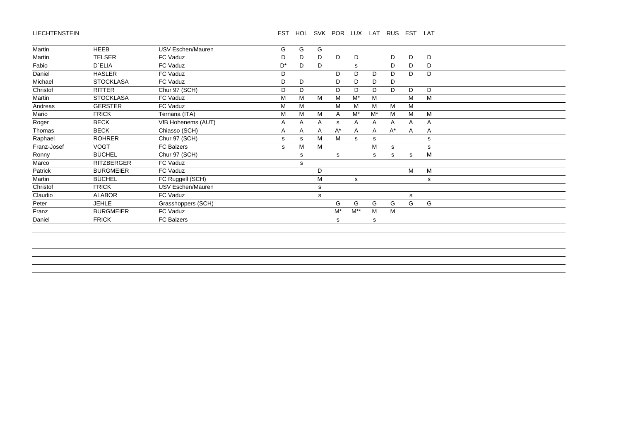#### LIECHTENSTEIN

# EST HOL SVK POR LUX LAT RUS EST LAT

| Martin      | <b>HEEB</b>       | USV Eschen/Mauren  | G              | G | G |       |          |       |       |   |   |  |
|-------------|-------------------|--------------------|----------------|---|---|-------|----------|-------|-------|---|---|--|
| Martin      | <b>TELSER</b>     | FC Vaduz           | D              | D | D | D     | D        |       | D     | D | D |  |
| Fabio       | <b>D'ELIA</b>     | FC Vaduz           | D <sup>*</sup> | D | D |       | s        |       | D     | D | D |  |
| Daniel      | <b>HASLER</b>     | FC Vaduz           | D              |   |   | D     | D        | D     | D     | D | D |  |
| Michael     | <b>STOCKLASA</b>  | FC Vaduz           | D              | D |   | D     | D        | D     | D     |   |   |  |
| Christof    | <b>RITTER</b>     | Chur 97 (SCH)      | D              | D |   | D     | D        | D     | D     | D | D |  |
| Martin      | <b>STOCKLASA</b>  | FC Vaduz           | M              | M | М | M     | $M^*$    | М     |       | M | M |  |
| Andreas     | <b>GERSTER</b>    | FC Vaduz           | м              | M |   | M     | M        | м     | M     | M |   |  |
| Mario       | <b>FRICK</b>      | Ternana (ITA)      | M              | M | M | A     | $M^*$    | $M^*$ | M     | M | M |  |
| Roger       | <b>BECK</b>       | VfB Hohenems (AUT) | A              | Α | A | s     | Α        | Α     | A     | Α | Α |  |
| Thomas      | <b>BECK</b>       | Chiasso (SCH)      | A              | Α | Α | $A^*$ | A        | A     | $A^*$ | Α | Α |  |
| Raphael     | <b>ROHRER</b>     | Chur 97 (SCH)      | s              | s | M | M     | s        | s     |       |   | s |  |
| Franz-Josef | <b>VOGT</b>       | FC Balzers         | s              | M | M |       |          | M     | s     |   | s |  |
| Ronny       | <b>BÜCHEL</b>     | Chur 97 (SCH)      |                | s |   | s     |          | s     | s     | s | M |  |
| Marco       | <b>RITZBERGER</b> | FC Vaduz           |                | s |   |       |          |       |       |   |   |  |
| Patrick     | <b>BURGMEIER</b>  | FC Vaduz           |                |   | D |       |          |       |       | M | M |  |
| Martin      | <b>BÜCHEL</b>     | FC Ruggell (SCH)   |                |   | M |       | s        |       |       |   | s |  |
| Christof    | <b>FRICK</b>      | USV Eschen/Mauren  |                |   | s |       |          |       |       |   |   |  |
| Claudio     | <b>ALABOR</b>     | FC Vaduz           |                |   | s |       |          |       |       | s |   |  |
| Peter       | <b>JEHLE</b>      | Grasshoppers (SCH) |                |   |   | G     | G        | G     | G     | G | G |  |
| Franz       | <b>BURGMEIER</b>  | FC Vaduz           |                |   |   | $M^*$ | $M^{**}$ | М     | M     |   |   |  |
| Daniel      | <b>FRICK</b>      | FC Balzers         |                |   |   | s     |          | s     |       |   |   |  |
|             |                   |                    |                |   |   |       |          |       |       |   |   |  |
|             |                   |                    |                |   |   |       |          |       |       |   |   |  |
|             |                   |                    |                |   |   |       |          |       |       |   |   |  |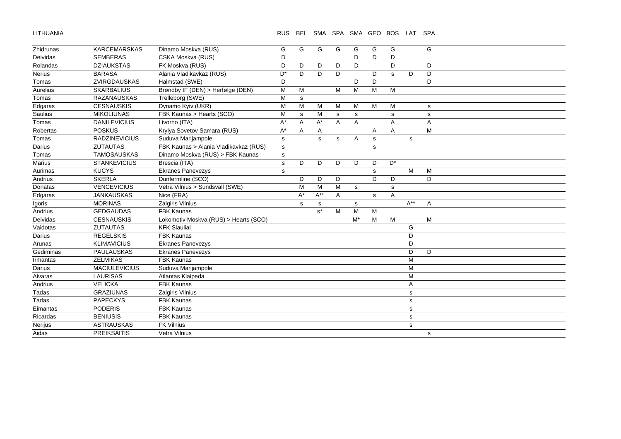LITHUANIA

RUS BEL SMA SPA SMA GEO BOS LAT SPA

| Zhidrunas     | <b>KARCEMARSKAS</b>  | Dinamo Moskva (RUS)                   | G              | G  | G           | G | G           | G           | G     |             | G |
|---------------|----------------------|---------------------------------------|----------------|----|-------------|---|-------------|-------------|-------|-------------|---|
| Deividas      | <b>SEMBERAS</b>      | CSKA Moskva (RUS)                     | D              |    |             |   | D           | D           | D     |             |   |
| Rolandas      | <b>DZIAUKSTAS</b>    | FK Moskva (RUS)                       | D              | D  | D           | D | D           |             | D     |             | D |
| <b>Nerius</b> | <b>BARASA</b>        | Alania Vladikavkaz (RUS)              | D <sup>*</sup> | D  | D           | D |             | D           | s     | D           | D |
| Tomas         | ZVIRGDAUSKAS         | Halmstad (SWE)                        | D              |    |             |   | D           | D           |       |             | D |
| Aurelius      | <b>SKARBALIUS</b>    | Brøndby IF (DEN) > Herfølge (DEN)     | M              | M  |             | M | M           | М           | M     |             |   |
| Tomas         | <b>RAZANAUSKAS</b>   | Trelleborg (SWE)                      | M              | s  |             |   |             |             |       |             |   |
| Edgaras       | <b>CESNAUSKIS</b>    | Dynamo Kyiv (UKR)                     | M              | M  | M           | M | M           | M           | M     |             | s |
| Saulius       | <b>MIKOLIUNAS</b>    | FBK Kaunas > Hearts (SCO)             | M              | s  | M           | s | s           |             | s     |             | s |
| Tomas         | <b>DANILEVICIUS</b>  | Livorno (ITA)                         | A*             | Α  | $A^*$       | A | A           |             | A     |             | Α |
| Robertas      | <b>POSKUS</b>        | Krylya Sovetov Samara (RUS)           | A*             | Α  | A           |   |             | Α           | A     |             | M |
| Tomas         | <b>RADZINEVICIUS</b> | Suduva Marijampole                    | s              |    | $\mathbf s$ | s | Α           | $\mathbf S$ |       | s           |   |
| Darius        | <b>ZUTAUTAS</b>      | FBK Kaunas > Alania Vladikavkaz (RUS) | s              |    |             |   |             | s           |       |             |   |
| Tomas         | <b>TAMOSAUSKAS</b>   | Dinamo Moskva (RUS) > FBK Kaunas      | s              |    |             |   |             |             |       |             |   |
| Marius        | <b>STANKEVICIUS</b>  | Brescia (ITA)                         | s              | D  | D           | D | D           | D           | $D^*$ |             |   |
| Aurimas       | <b>KUCYS</b>         | <b>Ekranes Panevezys</b>              | $\mathsf{s}$   |    |             |   |             | $\mathbf s$ |       | M           | M |
| Andrius       | <b>SKERLA</b>        | Dunfermline (SCO)                     |                | D  | D           | D |             | D           | D     |             | D |
| Donatas       | <b>VENCEVICIUS</b>   | Vetra Vilnius > Sundsvall (SWE)       |                | M  | M           | M | $\mathbf s$ |             | s     |             |   |
| Edgaras       | <b>JANKAUSKAS</b>    | Nice (FRA)                            |                | A* | $A^{**}$    | A |             | s           | A     |             |   |
| Igoris        | <b>MORINAS</b>       | Zalgiris Vilnius                      |                | s  | s           |   | s           |             |       | $A^{**}$    | A |
| Andrius       | <b>GEDGAUDAS</b>     | <b>FBK Kaunas</b>                     |                |    | $s^*$       | M | M           | M           |       |             |   |
| Deividas      | <b>CESNAUSKIS</b>    | Lokomotiv Moskva (RUS) > Hearts (SCO) |                |    |             |   | $M^*$       | M           | M     |             | M |
| Vaidotas      | <b>ZUTAUTAS</b>      | <b>KFK Siauliai</b>                   |                |    |             |   |             |             |       | G           |   |
| Darius        | <b>REGELSKIS</b>     | <b>FBK Kaunas</b>                     |                |    |             |   |             |             |       | D           |   |
| Arunas        | <b>KLIMAVICIUS</b>   | <b>Ekranes Panevezys</b>              |                |    |             |   |             |             |       | D           |   |
| Gediminas     | <b>PAULAUSKAS</b>    | <b>Ekranes Panevezys</b>              |                |    |             |   |             |             |       | D           | D |
| Irmantas      | <b>ZELMIKAS</b>      | <b>FBK Kaunas</b>                     |                |    |             |   |             |             |       | M           |   |
| Darius        | <b>MACIULEVICIUS</b> | Suduva Marijampole                    |                |    |             |   |             |             |       | M           |   |
| Aivaras       | <b>LAURISAS</b>      | Atlantas Klaipeda                     |                |    |             |   |             |             |       | M           |   |
| Andrius       | <b>VELICKA</b>       | <b>FBK Kaunas</b>                     |                |    |             |   |             |             |       | Α           |   |
| Tadas         | <b>GRAZIUNAS</b>     | Zalgiris Vilnius                      |                |    |             |   |             |             |       | s           |   |
| Tadas         | <b>PAPECKYS</b>      | <b>FBK Kaunas</b>                     |                |    |             |   |             |             |       | s           |   |
| Eimantas      | <b>PODERIS</b>       | <b>FBK Kaunas</b>                     |                |    |             |   |             |             |       | s           |   |
| Ricardas      | <b>BENIUSIS</b>      | <b>FBK Kaunas</b>                     |                |    |             |   |             |             |       | s           |   |
| Nerijus       | <b>ASTRAUSKAS</b>    | FK Vilnius                            |                |    |             |   |             |             |       | $\mathbf s$ |   |
| Aidas         | <b>PREIKSAITIS</b>   | Vetra Vilnius                         |                |    |             |   |             |             |       |             | s |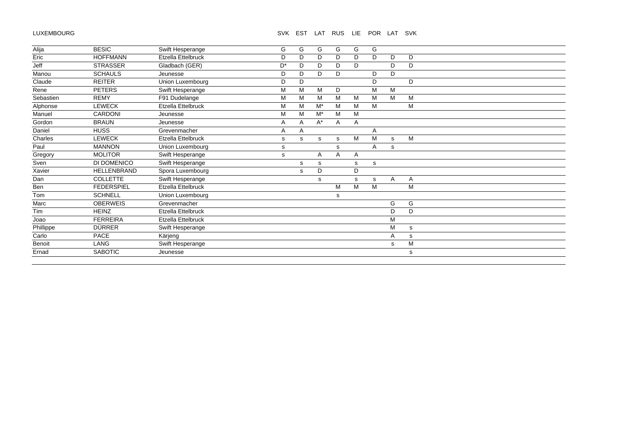# LUXEMBOURG

# SVK EST LAT RUS LIE POR LAT SVK

| Alija     | <b>BESIC</b>       | Swift Hesperange   | G              | G | G     | G  | G | G |   |   |
|-----------|--------------------|--------------------|----------------|---|-------|----|---|---|---|---|
| Eric      | <b>HOFFMANN</b>    | Etzella Ettelbruck | D              | D | D     | D. | D | D | D | D |
| Jeff      | <b>STRASSER</b>    | Gladbach (GER)     | D <sup>*</sup> | D | D     | D. | D |   | D | D |
| Manou     | <b>SCHAULS</b>     | Jeunesse           | D              | D | D     | D  |   | D | D |   |
| Claude    | <b>REITER</b>      | Union Luxembourg   | D              | D |       |    |   | D |   | D |
| Rene      | <b>PETERS</b>      | Swift Hesperange   | M              | M | M     | D  |   | м | M |   |
| Sebastien | <b>REMY</b>        | F91 Dudelange      | М              | M | M     | M  | M | M | M | M |
| Alphonse  | <b>LEWECK</b>      | Etzella Ettelbruck | M              | M | $M^*$ | M  | M | M |   | M |
| Manuel    | CARDONI            | Jeunesse           | M              | M | $M^*$ | M  | M |   |   |   |
| Gordon    | <b>BRAUN</b>       | Jeunesse           | Α              | A | $A^*$ | Α  | Α |   |   |   |
| Daniel    | <b>HUSS</b>        | Grevenmacher       | A              | Α |       |    |   | A |   |   |
| Charles   | <b>LEWECK</b>      | Etzella Ettelbruck | s              | s | s     | s  | M | M | s | M |
| Paul      | <b>MANNON</b>      | Union Luxembourg   | s              |   |       | s  |   | A | s |   |
| Gregory   | <b>MOLITOR</b>     | Swift Hesperange   | s              |   | A     | A  | A |   |   |   |
| Sven      | DI DOMENICO        | Swift Hesperange   |                | s | s     |    | s | s |   |   |
| Xavier    | <b>HELLENBRAND</b> | Spora Luxembourg   |                | s | D     |    | D |   |   |   |
| Dan       | <b>COLLETTE</b>    | Swift Hesperange   |                |   | s     |    | s | s | A | A |
| Ben       | <b>FEDERSPIEL</b>  | Etzella Ettelbruck |                |   |       | M  | M | M |   | M |
| Tom       | <b>SCHNELL</b>     | Union Luxembourg   |                |   |       | s  |   |   |   |   |
| Marc      | <b>OBERWEIS</b>    | Grevenmacher       |                |   |       |    |   |   | G | G |
| Tim       | <b>HEINZ</b>       | Etzella Ettelbruck |                |   |       |    |   |   | D | D |
| Joao      | <b>FERREIRA</b>    | Etzella Ettelbruck |                |   |       |    |   |   | M |   |
| Phillippe | <b>DÜRRER</b>      | Swift Hesperange   |                |   |       |    |   |   | M | s |
| Carlo     | <b>PACE</b>        | Kärjeng            |                |   |       |    |   |   | Α | s |
| Benoit    | LANG               | Swift Hesperange   |                |   |       |    |   |   | s | M |
| Ernad     | <b>SABOTIC</b>     | Jeunesse           |                |   |       |    |   |   |   | s |
|           |                    |                    |                |   |       |    |   |   |   |   |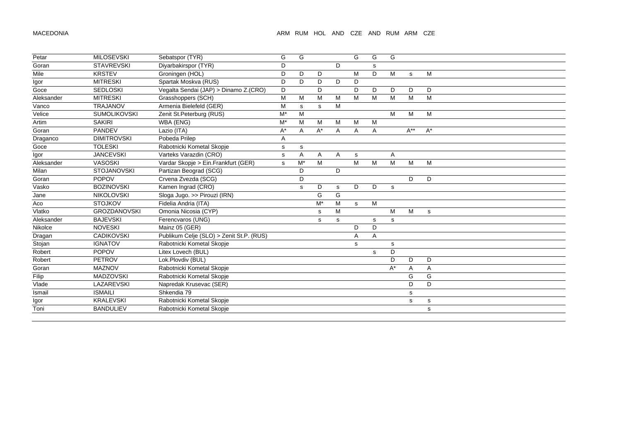| Petar      | <b>MILOSEVSKI</b>   | Sebatspor (TYR)                          | G           | G     |                    |    | G           | G | G                    |          |       |
|------------|---------------------|------------------------------------------|-------------|-------|--------------------|----|-------------|---|----------------------|----------|-------|
| Goran      | <b>STAVREVSKI</b>   | Diyarbakirspor (TYR)                     | D           |       |                    | D. |             | s |                      |          |       |
| Mile       | <b>KRSTEV</b>       | Groningen (HOL)                          | D           | D     | D                  |    | M           | D | M                    | s        | M     |
| Igor       | <b>MITRESKI</b>     | Spartak Moskva (RUS)                     | D           | D     | D                  | D  | D           |   |                      |          |       |
| Goce       | <b>SEDLOSKI</b>     | Vegalta Sendai (JAP) > Dinamo Z.(CRO)    | D           |       | D                  |    | D           | D | D                    | D        | D     |
| Aleksander | <b>MITRESKI</b>     | Grasshoppers (SCH)                       | M           | M     | M                  | M  | M           | M | M                    | M        | M     |
| Vanco      | <b>TRAJANOV</b>     | Armenia Bielefeld (GER)                  | M           | s     | s                  | M  |             |   |                      |          |       |
| Velice     | <b>SUMOLIKOVSKI</b> | Zenit St. Peterburg (RUS)                | $M^*$       | M     |                    |    |             |   | M                    | M        | M     |
| Artim      | <b>SAKIRI</b>       | WBA (ENG)                                | $M^*$       | M     | M                  | M  | M           | М |                      |          |       |
| Goran      | PANDEV              | Lazio (ITA)                              | A*          | Α     | A*                 | A  | A           | Α |                      | $A^{**}$ | $A^*$ |
| Draganco   | <b>DIMITROVSKI</b>  | Pobeda Prilep                            | Α           |       |                    |    |             |   |                      |          |       |
| Goce       | <b>TOLESKI</b>      | Rabotnicki Kometal Skopje                | $\mathbf s$ | s     |                    |    |             |   |                      |          |       |
| Igor       | <b>JANCEVSKI</b>    | Varteks Varazdin (CRO)                   | s           | Α     | Α                  | A  | $\mathbf s$ |   | A                    |          |       |
| Aleksander | <b>VASOSKI</b>      | Vardar Skopje > Ein.Frankfurt (GER)      | s           | $M^*$ | M                  |    | M           | M | M                    | M        | M     |
| Milan      | <b>STOJANOVSKI</b>  | Partizan Beograd (SCG)                   |             | D     |                    | D  |             |   |                      |          |       |
| Goran      | <b>POPOV</b>        | Crvena Zvezda (SCG)                      |             | D     |                    |    |             |   |                      | D        | D     |
| Vasko      | <b>BOZINOVSKI</b>   | Kamen Ingrad (CRO)                       |             | s     | D                  | s  | D           | D | s                    |          |       |
| Jane       | <b>NIKOLOVSKI</b>   | Sloga Jugo. >> Pirouzi (IRN)             |             |       | G                  | G  |             |   |                      |          |       |
| Aco        | <b>STOJKOV</b>      | Fidelia Andria (ITA)                     |             |       | $\mathsf{M}^\star$ | M  | s           | M |                      |          |       |
| Vlatko     | <b>GROZDANOVSKI</b> | Omonia Nicosia (CYP)                     |             |       | $\mathbf s$        | M  |             |   | M                    | M        | s     |
| Aleksander | <b>BAJEVSKI</b>     | Ferencvaros (UNG)                        |             |       | s                  | s  |             | s | s                    |          |       |
| Nikolce    | <b>NOVESKI</b>      | Mainz 05 (GER)                           |             |       |                    |    | D           | D |                      |          |       |
| Dragan     | <b>CADIKOVSKI</b>   | Publikum Celje (SLO) > Zenit St.P. (RUS) |             |       |                    |    | Α           | A |                      |          |       |
| Stojan     | <b>IGNATOV</b>      | Rabotnicki Kometal Skopje                |             |       |                    |    | s           |   | s                    |          |       |
| Robert     | <b>POPOV</b>        | Litex Lovech (BUL)                       |             |       |                    |    |             | s | D                    |          |       |
| Robert     | <b>PETROV</b>       | Lok.Plovdiv (BUL)                        |             |       |                    |    |             |   | D                    | D        | D     |
| Goran      | <b>MAZNOV</b>       | Rabotnicki Kometal Skopje                |             |       |                    |    |             |   | $\mathsf{A}^{\star}$ | Α        | A     |
| Filip      | <b>MADZOVSKI</b>    | Rabotnicki Kometal Skopje                |             |       |                    |    |             |   |                      | G        | G     |
| Vlade      | LAZAREVSKI          | Napredak Krusevac (SER)                  |             |       |                    |    |             |   |                      | D        | D     |
| Ismail     | <b>ISMAILI</b>      | Shkendia 79                              |             |       |                    |    |             |   |                      | s        |       |
| Igor       | <b>KRALEVSKI</b>    | Rabotnicki Kometal Skopje                |             |       |                    |    |             |   |                      | s        | s     |
| Toni       | <b>BANDULIEV</b>    | Rabotnicki Kometal Skopje                |             |       |                    |    |             |   |                      |          | s     |
|            |                     |                                          |             |       |                    |    |             |   |                      |          |       |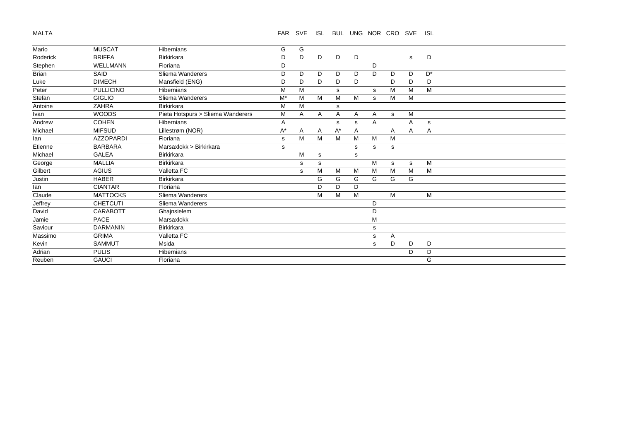# MALTA

## FAR SVE ISL BUL UNG NOR CRO SVE ISL

| Mario    | <b>MUSCAT</b>    | <b>Hibernians</b>                 | G     | G |              |       |   |   |   |   |       |
|----------|------------------|-----------------------------------|-------|---|--------------|-------|---|---|---|---|-------|
| Roderick | <b>BRIFFA</b>    | <b>Birkirkara</b>                 | D     | D | D            | D     | D |   |   | s | D     |
| Stephen  | <b>WELLMANN</b>  | Floriana                          | D     |   |              |       |   | D |   |   |       |
| Brian    | SAID             | Sliema Wanderers                  | D     | D | D            | D     | D | D | D | D | $D^*$ |
| Luke     | <b>DIMECH</b>    | Mansfield (ENG)                   | D     | D | D            | D     | D |   | D | D | D     |
| Peter    | <b>PULLICINO</b> | Hibernians                        | M     | M |              | s     |   | s | M | M | M     |
| Stefan   | <b>GIGLIO</b>    | Sliema Wanderers                  | $M^*$ | М | M            | M     | M | s | M | М |       |
| Antoine  | <b>ZAHRA</b>     | <b>Birkirkara</b>                 | М     | м |              | s     |   |   |   |   |       |
| Ivan     | <b>WOODS</b>     | Pieta Hotspurs > Sliema Wanderers | M     | A | $\mathsf{A}$ | A     | Α | Α | s | M |       |
| Andrew   | <b>COHEN</b>     | <b>Hibernians</b>                 | A     |   |              | s     | s | A |   | A | s     |
| Michael  | <b>MIFSUD</b>    | Lillestrøm (NOR)                  | A*    | A | A            | $A^*$ | A |   | Α | Α | Α     |
| lan      | <b>AZZOPARDI</b> | Floriana                          | s     | М | M            | м     | M | M | M |   |       |
| Etienne  | <b>BARBARA</b>   | Marsaxlokk > Birkirkara           | s     |   |              |       | s | s | s |   |       |
| Michael  | <b>GALEA</b>     | <b>Birkirkara</b>                 |       | M | s            |       | s |   |   |   |       |
| George   | <b>MALLIA</b>    | <b>Birkirkara</b>                 |       | s | s            |       |   | м | s | s | M     |
| Gilbert  | <b>AGIUS</b>     | Valletta FC                       |       | s | M            | м     | M | M | M | M | M     |
| Justin   | <b>HABER</b>     | <b>Birkirkara</b>                 |       |   | G            | G     | G | G | G | G |       |
| lan      | <b>CIANTAR</b>   | Floriana                          |       |   | D            | D     | D |   |   |   |       |
| Claude   | <b>MATTOCKS</b>  | Sliema Wanderers                  |       |   | M            | M     | M |   | м |   | M     |
| Jeffrey  | <b>CHETCUTI</b>  | Sliema Wanderers                  |       |   |              |       |   | D |   |   |       |
| David    | <b>CARABOTT</b>  | Ghajnsielem                       |       |   |              |       |   | D |   |   |       |
| Jamie    | PACE             | Marsaxlokk                        |       |   |              |       |   | M |   |   |       |
| Saviour  | <b>DARMANIN</b>  | <b>Birkirkara</b>                 |       |   |              |       |   | s |   |   |       |
| Massimo  | <b>GRIMA</b>     | Valletta FC                       |       |   |              |       |   | s | A |   |       |
| Kevin    | <b>SAMMUT</b>    | Msida                             |       |   |              |       |   | s | D | D | D     |
| Adrian   | <b>PULIS</b>     | <b>Hibernians</b>                 |       |   |              |       |   |   |   | D | D     |
| Reuben   | <b>GAUCI</b>     | Floriana                          |       |   |              |       |   |   |   |   | G     |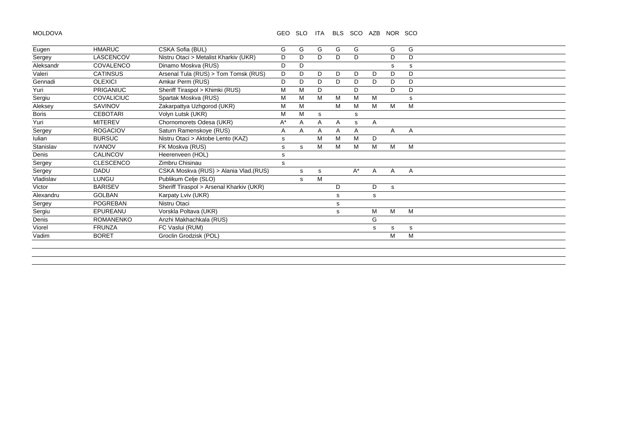MOLDOVA

#### GEO SLO ITA BLS SCO AZB NOR SCO

| Eugen        | <b>HMARUC</b>     | CSKA Sofia (BUL)                         | G  | G | G | G  | G     |              | G | G |  |
|--------------|-------------------|------------------------------------------|----|---|---|----|-------|--------------|---|---|--|
| Sergey       | LASCENCOV         | Nistru Otaci > Metalist Kharkiv (UKR)    | D  | D | D | D. | D     |              | D | D |  |
| Aleksandr    | COVALENCO         | Dinamo Moskva (RUS)                      | D  | D |   |    |       |              | s | s |  |
| Valeri       | <b>CATINSUS</b>   | Arsenal Tula (RUS) > Tom Tomsk (RUS)     | D  | D | D | D  | D     | D            | D | D |  |
| Gennadi      | <b>OLEXICI</b>    | Amkar Perm (RUS)                         | D  | D | D | D  | D     | D            | D | D |  |
| Yuri         | <b>PRIGANIUC</b>  | Sheriff Tiraspol > Khimki (RUS)          | M  | M | D |    | D     |              | D | D |  |
| Sergiu       | <b>COVALICIUC</b> | Spartak Moskva (RUS)                     | М  | М | M | м  | M     | м            |   | s |  |
| Aleksey      | SAVINOV           | Zakarpattya Uzhgorod (UKR)               | М  | М |   | M  | M     | м            | м | M |  |
| <b>Boris</b> | <b>CEBOTARI</b>   | Volyn Lutsk (UKR)                        | M  | M | s |    | s     |              |   |   |  |
| Yuri         | <b>MITEREV</b>    | Chornomorets Odesa (UKR)                 | A* | Α | Α | A  | s     | A            |   |   |  |
| Sergey       | <b>ROGACIOV</b>   | Saturn Ramenskoye (RUS)                  | A  | A | A | A  | Α     |              | A | A |  |
| Iulian       | <b>BURSUC</b>     | Nistru Otaci > Aktobe Lento (KAZ)        | s  |   | M | M  | M     | D            |   |   |  |
| Stanislav    | <b>IVANOV</b>     | FK Moskva (RUS)                          | s  | s | M | м  | M     | м            | M | M |  |
| Denis        | <b>CALINCOV</b>   | Heerenveen (HOL)                         | s  |   |   |    |       |              |   |   |  |
| Sergey       | <b>CLESCENCO</b>  | Zimbru Chisinau                          | s  |   |   |    |       |              |   |   |  |
| Sergey       | <b>DADU</b>       | CSKA Moskva (RUS) > Alania Vlad.(RUS)    |    | s | s |    | $A^*$ | $\mathsf{A}$ | A | A |  |
| Vladislav    | LUNGU             | Publikum Celje (SLO)                     |    | s | M |    |       |              |   |   |  |
| Victor       | <b>BARISEV</b>    | Sheriff Tiraspol > Arsenal Kharkiv (UKR) |    |   |   | D  |       | D            | s |   |  |
| Alexandru    | <b>GOLBAN</b>     | Karpaty Lviv (UKR)                       |    |   |   | s  |       | s            |   |   |  |
| Sergey       | <b>POGREBAN</b>   | Nistru Otaci                             |    |   |   | s  |       |              |   |   |  |
| Sergiu       | EPUREANU          | Vorskla Poltava (UKR)                    |    |   |   | s  |       | М            | M | м |  |
| Denis        | <b>ROMANENKO</b>  | Anzhi Makhachkala (RUS)                  |    |   |   |    |       | G            |   |   |  |
| Viorel       | <b>FRUNZA</b>     | FC Vaslui (RUM)                          |    |   |   |    |       | s            | s | s |  |
| Vadim        | <b>BORET</b>      | Groclin Grodzisk (POL)                   |    |   |   |    |       |              | м | м |  |
|              |                   |                                          |    |   |   |    |       |              |   |   |  |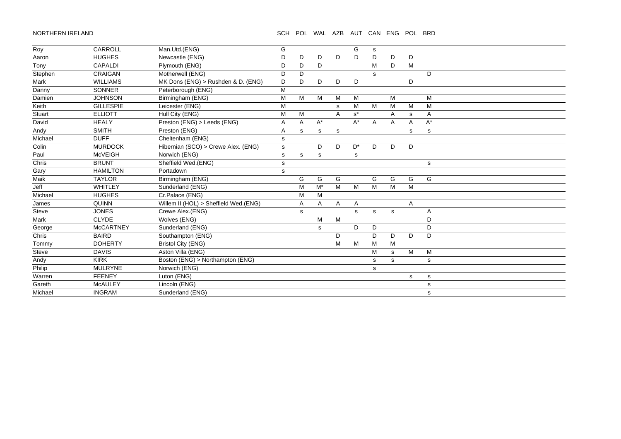#### NORTHERN IRELAND SCH POL WAL AZB AUT CAN ENG POL BRD

| Roy     | CARROLL          | Man.Utd.(ENG)                         | G            |   |                      |   | G     | s           |                |             |             |
|---------|------------------|---------------------------------------|--------------|---|----------------------|---|-------|-------------|----------------|-------------|-------------|
| Aaron   | <b>HUGHES</b>    | Newcastle (ENG)                       | D            | D | D                    | D | D     | D           | D              | D           |             |
| Tony    | <b>CAPALDI</b>   | Plymouth (ENG)                        | D            | D | D                    |   |       | M           | D              | M           |             |
|         | <b>CRAIGAN</b>   | Motherwell (ENG)                      |              |   |                      |   |       |             |                |             | D           |
| Stephen |                  |                                       | D            | D |                      |   |       | s           |                |             |             |
| Mark    | <b>WILLIAMS</b>  | MK Dons (ENG) > Rushden & D. (ENG)    | D            | D | D                    | D | D     |             |                | D           |             |
| Danny   | <b>SONNER</b>    | Peterborough (ENG)                    | M            |   |                      |   |       |             |                |             |             |
| Damien  | <b>JOHNSON</b>   | Birmingham (ENG)                      | M            | M | M                    | M | M     |             | M              |             | M           |
| Keith   | <b>GILLESPIE</b> | Leicester (ENG)                       | M            |   |                      | s | M     | M           | M              | M           | M           |
| Stuart  | <b>ELLIOTT</b>   | Hull City (ENG)                       | M            | м |                      | Α | $s^*$ |             | A              | s           | Α           |
| David   | <b>HEALY</b>     | Preston (ENG) > Leeds (ENG)           | A            | Α | $\mathsf{A}^{\star}$ |   | $A^*$ | A           | $\overline{A}$ | Α           | $A^*$       |
| Andy    | <b>SMITH</b>     | Preston (ENG)                         | A            | s | $\mathbf S$          | s |       |             |                | s           | $\mathbf s$ |
| Michael | <b>DUFF</b>      | Cheltenham (ENG)                      | s            |   |                      |   |       |             |                |             |             |
| Colin   | <b>MURDOCK</b>   | Hibernian (SCO) > Crewe Alex. (ENG)   | s            |   | D                    | D | $D^*$ | D           | D              | D           |             |
| Paul    | <b>McVEIGH</b>   | Norwich (ENG)                         | s            | s | s                    |   | s     |             |                |             |             |
| Chris   | <b>BRUNT</b>     | Sheffield Wed.(ENG)                   | $\mathsf{s}$ |   |                      |   |       |             |                |             | s           |
| Gary    | <b>HAMILTON</b>  | Portadown                             | s            |   |                      |   |       |             |                |             |             |
| Maik    | <b>TAYLOR</b>    | Birmingham (ENG)                      |              | G | G                    | G |       | G           | G              | G           | G           |
| Jeff    | WHITLEY          | Sunderland (ENG)                      |              | M | $\mathsf{M}^\star$   | M | M     | M           | M              | M           |             |
| Michael | <b>HUGHES</b>    | Cr.Palace (ENG)                       |              | M | M                    |   |       |             |                |             |             |
| James   | <b>QUINN</b>     | Willem II (HOL) > Sheffield Wed.(ENG) |              | Α | A                    | A | A     |             |                | Α           |             |
| Steve   | <b>JONES</b>     | Crewe Alex.(ENG)                      |              | s |                      |   | s     | s           | s              |             | A           |
| Mark    | <b>CLYDE</b>     | Wolves (ENG)                          |              |   | M                    | M |       |             |                |             | D           |
| George  | <b>McCARTNEY</b> | Sunderland (ENG)                      |              |   | $\mathbf s$          |   | D     | D           |                |             | D           |
| Chris   | <b>BAIRD</b>     | Southampton (ENG)                     |              |   |                      | D |       | D           | D              | D           | D           |
| Tommy   | <b>DOHERTY</b>   | <b>Bristol City (ENG)</b>             |              |   |                      | M | M     | м           | M              |             |             |
| Steve   | <b>DAVIS</b>     | Aston Villa (ENG)                     |              |   |                      |   |       | M           | s              | M           | M           |
| Andy    | <b>KIRK</b>      | Boston (ENG) > Northampton (ENG)      |              |   |                      |   |       | $\mathbf s$ | s              |             | ${\bf s}$   |
| Philip  | <b>MULRYNE</b>   | Norwich (ENG)                         |              |   |                      |   |       | $\mathbf s$ |                |             |             |
| Warren  | <b>FEENEY</b>    | Luton (ENG)                           |              |   |                      |   |       |             |                | $\mathbf s$ | ${\bf s}$   |
| Gareth  | <b>McAULEY</b>   | Lincoln (ENG)                         |              |   |                      |   |       |             |                |             | s           |
| Michael | <b>INGRAM</b>    | Sunderland (ENG)                      |              |   |                      |   |       |             |                |             | s           |
|         |                  |                                       |              |   |                      |   |       |             |                |             |             |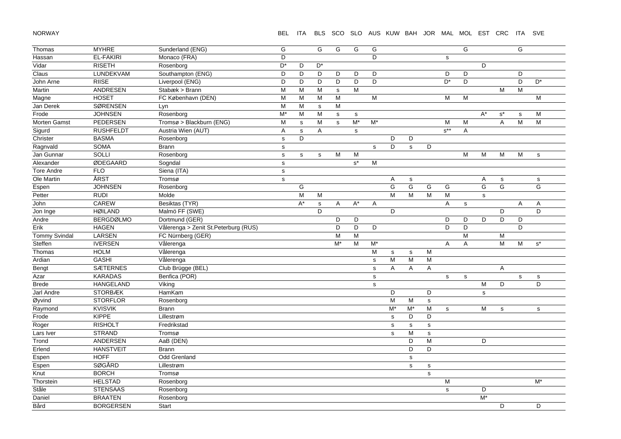NORWAY

# BEL ITA BLS SCO SLO AUS KUW BAH JOR MAL MOL EST CRC ITA SVE

| Thomas               | <b>MYHRE</b>     | Sunderland (ENG)                     | G            |              | G            | G            | G                    | G           |             |              |             |                                                                                       | G           |             |                | $\overline{G}$ |             |
|----------------------|------------------|--------------------------------------|--------------|--------------|--------------|--------------|----------------------|-------------|-------------|--------------|-------------|---------------------------------------------------------------------------------------|-------------|-------------|----------------|----------------|-------------|
| Hassan               | <b>EL-FAKIRI</b> | Monaco (FRA)                         | D            |              |              |              |                      | D           |             |              |             | ${\tt S}$                                                                             |             |             |                |                |             |
| Vidar                | <b>RISETH</b>    | Rosenborg                            | D*           | D            | D*           |              |                      |             |             |              |             |                                                                                       |             | D           |                |                |             |
| Claus                | LUNDEKVAM        | Southampton (ENG)                    | D            | D            | D            | D            | D                    | D           |             |              |             | D                                                                                     | D           |             |                | D              |             |
| John Arne            | <b>RIISE</b>     | Liverpool (ENG)                      | D            | D            | D            | D            | D                    | D           |             |              |             | $D^*$                                                                                 | D           |             |                | D              | $D^*$       |
| Martin               | ANDRESEN         | Stabæk > Brann                       | М            | M            | M            | $\mathbf s$  | M                    |             |             |              |             |                                                                                       |             |             | М              | M              |             |
| Magne                | <b>HOSET</b>     | FC København (DEN)                   | M            | M            | M            | M            |                      | M           |             |              |             | M                                                                                     | M           |             |                |                | M           |
| Jan Derek            | <b>SØRENSEN</b>  | Lyn                                  | M            | M            | $\mathbf s$  | M            |                      |             |             |              |             |                                                                                       |             |             |                |                |             |
| Frode                | <b>JOHNSEN</b>   | Rosenborg                            | $M^*$        | M            | M            | $\mathbf s$  | $\mathbf S$          |             |             |              |             |                                                                                       |             | $A^*$       | $s^*$          | $\mathbf S$    | M           |
| <b>Morten Gamst</b>  | PEDERSEN         | Tromsø > Blackburn (ENG)             | M            | $\mathsf{s}$ | M            | $\mathbf{s}$ | $\overline{M^*}$     | $M^*$       |             |              |             | M                                                                                     | M           |             | $\mathsf{A}$   | M              | M           |
| Sigurd               | <b>RUSHFELDT</b> | Austria Wien (AUT)                   | A            | $\mathsf{s}$ | A            |              | s                    |             |             |              |             | $s^{**}$                                                                              | A           |             |                |                |             |
| Christer             | <b>BASMA</b>     | Rosenborg                            | $\mathbf s$  | D            |              |              |                      |             | D           | D            |             |                                                                                       |             |             |                |                |             |
| Ragnvald             | <b>SOMA</b>      | <b>Brann</b>                         | $\mathbf s$  |              |              |              |                      | s           | D           | $\mathsf{s}$ | D           |                                                                                       |             |             |                |                |             |
| Jan Gunnar           | SOLLI            | Rosenborg                            | $\mathsf{s}$ | $\mathbf s$  | $\mathbf s$  | M            | M                    |             |             |              |             |                                                                                       | M           | M           | M              | M              | $\mathbf s$ |
| Alexander            | ØDEGAARD         | Sogndal                              | $\mathbf s$  |              |              |              | $\texttt{s}^{\star}$ | M           |             |              |             |                                                                                       |             |             |                |                |             |
| <b>Tore Andre</b>    | <b>FLO</b>       | Siena (ITA)                          | $\mathbf s$  |              |              |              |                      |             |             |              |             |                                                                                       |             |             |                |                |             |
| Ole Martin           | ÅRST             | Tromsø                               | $\mathbf s$  |              |              |              |                      |             | Α           | $\mathbf s$  |             |                                                                                       |             | Α           | s              |                | s           |
| Espen                | <b>JOHNSEN</b>   | Rosenborg                            |              | G            |              |              |                      |             | G           | G            | G           | G                                                                                     |             | G           | $\overline{G}$ |                | G           |
| Petter               | <b>RUDI</b>      | Molde                                |              | M            | M            |              |                      |             | M           | M            | M           | $\mathsf{M}% _{T}=\mathsf{M}_{T}\!\left( a,b\right) ,\ \mathsf{M}_{T}=\mathsf{M}_{T}$ |             | $\mathbf s$ |                |                |             |
| John                 | CAREW            | Besiktas (TYR)                       |              | $A^*$        | $\mathsf{s}$ | A            | $A^*$                | A           |             |              |             | Α                                                                                     | $\mathbf s$ |             |                | A              | A           |
| Jon Inge             | <b>HØILAND</b>   | Malmö FF (SWE)                       |              |              | D            |              |                      |             | D           |              |             |                                                                                       |             |             | D              |                | D           |
| Andre                | <b>BERGDØLMO</b> | Dortmund (GER)                       |              |              |              | D            | D                    |             |             |              |             | D                                                                                     | D           | D           | D              | D              |             |
| Erik                 | <b>HAGEN</b>     | Vålerenga > Zenit St.Peterburg (RUS) |              |              |              | D            | D                    | D           |             |              |             | D                                                                                     | D           |             |                | D              |             |
| <b>Tommy Svindal</b> | LARSEN           | FC Nürnberg (GER)                    |              |              |              | M            | M                    |             |             |              |             |                                                                                       | M           |             | M              |                |             |
| Steffen              | <b>IVERSEN</b>   | Vålerenga                            |              |              |              | $M^*$        | M                    | M*          |             |              |             | A                                                                                     | Α           |             | M              | M              | $s^*$       |
| Thomas               | <b>HOLM</b>      | Vålerenga                            |              |              |              |              |                      | M           | ${\tt S}$   | ${\tt S}$    | М           |                                                                                       |             |             |                |                |             |
| Ardian               | <b>GASHI</b>     | Vålerenga                            |              |              |              |              |                      | s           | M           | M            | M           |                                                                                       |             |             |                |                |             |
| Bengt                | <b>SÆTERNES</b>  | Club Brügge (BEL)                    |              |              |              |              |                      | $\mathbf s$ | A           | Α            | A           |                                                                                       |             |             | Α              |                |             |
| Azar                 | <b>KARADAS</b>   | Benfica (POR)                        |              |              |              |              |                      | $\mathbf s$ |             |              |             | $\mathbf s$                                                                           | $\mathbf s$ |             |                | $\mathbf s$    | s           |
| <b>Brede</b>         | HANGELAND        | Viking                               |              |              |              |              |                      | $\mathbf S$ |             |              |             |                                                                                       |             | M           | D              |                | D           |
| <b>Jarl Andre</b>    | <b>STORBÆK</b>   | HamKam                               |              |              |              |              |                      |             | D           |              | D           |                                                                                       |             | s           |                |                |             |
| Øyvind               | <b>STORFLOR</b>  | Rosenborg                            |              |              |              |              |                      |             | M           | M            | ${\tt S}$   |                                                                                       |             |             |                |                |             |
| Raymond              | <b>KVISVIK</b>   | <b>Brann</b>                         |              |              |              |              |                      |             | $M^*$       | $M^*$        | M           | s                                                                                     |             | M           | s              |                | s           |
| Frode                | <b>KIPPE</b>     | Lillestrøm                           |              |              |              |              |                      |             | $\mathbf s$ | D            | D           |                                                                                       |             |             |                |                |             |
| Roger                | <b>RISHOLT</b>   | Fredrikstad                          |              |              |              |              |                      |             | ${\tt S}$   | s            | $\mathbf s$ |                                                                                       |             |             |                |                |             |
| Lars Iver            | <b>STRAND</b>    | Tromsø                               |              |              |              |              |                      |             | s           | M            | $\mathbf s$ |                                                                                       |             |             |                |                |             |
| Trond                | ANDERSEN         | AaB (DEN)                            |              |              |              |              |                      |             |             | D            | M           |                                                                                       |             | D           |                |                |             |
| Erlend               | <b>HANSTVEIT</b> | <b>Brann</b>                         |              |              |              |              |                      |             |             | D            | D           |                                                                                       |             |             |                |                |             |
| Espen                | <b>HOFF</b>      | Odd Grenland                         |              |              |              |              |                      |             |             | $\mathbf s$  |             |                                                                                       |             |             |                |                |             |
| Espen                | <b>SØGÅRD</b>    | Lillestrøm                           |              |              |              |              |                      |             |             | s            | $\mathbf s$ |                                                                                       |             |             |                |                |             |
| Knut                 | <b>BORCH</b>     | Tromsø                               |              |              |              |              |                      |             |             |              | $\mathbf s$ |                                                                                       |             |             |                |                |             |
| Thorstein            | <b>HELSTAD</b>   | Rosenborg                            |              |              |              |              |                      |             |             |              |             | M                                                                                     |             |             |                |                | $M^*$       |
| Ståle                | <b>STENSAAS</b>  | Rosenborg                            |              |              |              |              |                      |             |             |              |             | s                                                                                     |             | D           |                |                |             |
| Daniel               | <b>BRAATEN</b>   | Rosenborg                            |              |              |              |              |                      |             |             |              |             |                                                                                       |             | $M^*$       |                |                |             |
| Bård                 | <b>BORGERSEN</b> | Start                                |              |              |              |              |                      |             |             |              |             |                                                                                       |             |             | D              |                | D           |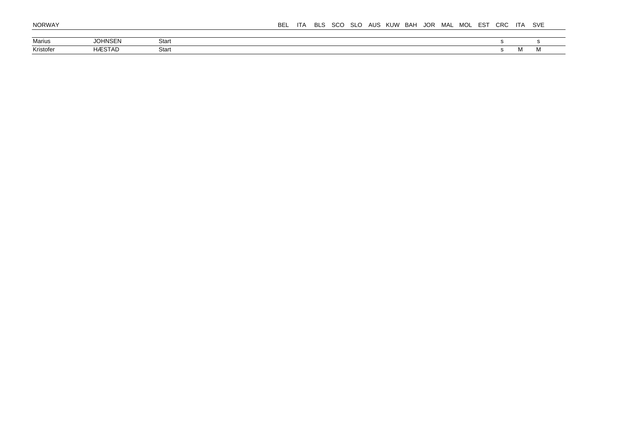| Marius    | HNSEN<br>$\sim$<br>ושנ | Start |       |       |
|-----------|------------------------|-------|-------|-------|
| Kristofe. | <b>ÆSTAD</b>           | Start | 1 V I | 1 V I |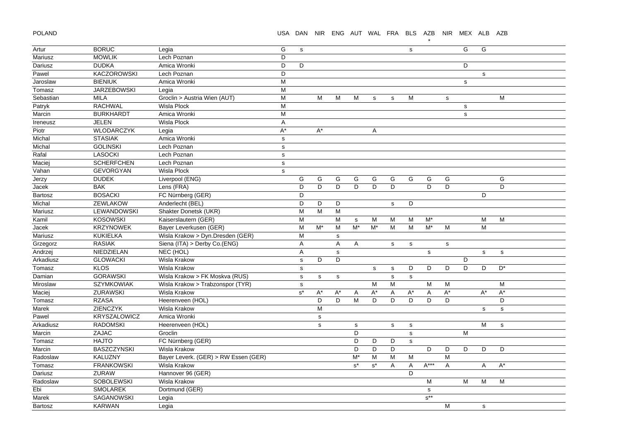POLAND

## USA DAN NIR ENG AUT WAL FRA BLS AZB NIR MEX ALB AZB

\*

| Artur     | <b>BORUC</b>        | Legia                                | G            | $\mathbb S$          |                      |              |                      |                      |             | $\mathbf s$  |             |             | G           | G           |             |  |
|-----------|---------------------|--------------------------------------|--------------|----------------------|----------------------|--------------|----------------------|----------------------|-------------|--------------|-------------|-------------|-------------|-------------|-------------|--|
| Mariusz   | <b>MOWLIK</b>       | Lech Poznan                          | D            |                      |                      |              |                      |                      |             |              |             |             |             |             |             |  |
| Dariusz   | <b>DUDKA</b>        | Amica Wronki                         | D            | D                    |                      |              |                      |                      |             |              |             |             | D           |             |             |  |
| Pawel     | <b>KACZOROWSKI</b>  | Lech Poznan                          | D            |                      |                      |              |                      |                      |             |              |             |             |             | $\mathbf s$ |             |  |
| Jaroslaw  | <b>BIENIUK</b>      | Amica Wronki                         | M            |                      |                      |              |                      |                      |             |              |             |             | s           |             |             |  |
| Tomasz    | <b>JARZEBOWSKI</b>  | Legia                                | M            |                      |                      |              |                      |                      |             |              |             |             |             |             |             |  |
| Sebastian | <b>MILA</b>         | Groclin > Austria Wien (AUT)         | M            |                      | M                    | M            | M                    | s                    | s           | M            |             | s           |             |             | M           |  |
| Patryk    | <b>RACHWAL</b>      | <b>Wisla Plock</b>                   | M            |                      |                      |              |                      |                      |             |              |             |             | $\mathbf s$ |             |             |  |
| Marcin    | <b>BURKHARDT</b>    | Amica Wronki                         | M            |                      |                      |              |                      |                      |             |              |             |             | s           |             |             |  |
| Ireneusz  | <b>JELEN</b>        | <b>Wisla Plock</b>                   | Α            |                      |                      |              |                      |                      |             |              |             |             |             |             |             |  |
| Piotr     | WLODARCZYK          | Legia                                | $A^*$        |                      | $\mathsf{A}^{\star}$ |              |                      | Α                    |             |              |             |             |             |             |             |  |
| Michal    | <b>STASIAK</b>      | Amica Wronki                         | $\mathbf{s}$ |                      |                      |              |                      |                      |             |              |             |             |             |             |             |  |
| Michal    | <b>GOLINSKI</b>     | Lech Poznan                          | s            |                      |                      |              |                      |                      |             |              |             |             |             |             |             |  |
| Rafal     | <b>LASOCKI</b>      | Lech Poznan                          | $\mathbf s$  |                      |                      |              |                      |                      |             |              |             |             |             |             |             |  |
| Maciej    | <b>SCHERFCHEN</b>   | Lech Poznan                          | $\mathbf s$  |                      |                      |              |                      |                      |             |              |             |             |             |             |             |  |
| Vahan     | <b>GEVORGYAN</b>    | <b>Wisla Plock</b>                   | $\mathbf s$  |                      |                      |              |                      |                      |             |              |             |             |             |             |             |  |
| Jerzy     | <b>DUDEK</b>        | Liverpool (ENG)                      |              | G                    | G                    | G            | G                    | G                    | G           | G            | G           | G           |             |             | G           |  |
| Jacek     | <b>BAK</b>          | Lens (FRA)                           |              | D                    | D                    | D            | D                    | D                    | D           |              | D           | D           |             |             | D           |  |
| Bartosz   | <b>BOSACKI</b>      | FC Nürnberg (GER)                    |              | D                    |                      |              |                      |                      |             |              |             |             |             | D           |             |  |
| Michal    | <b>ZEWLAKOW</b>     | Anderlecht (BEL)                     |              | D                    | D                    | D            |                      |                      | $\mathbf s$ | D            |             |             |             |             |             |  |
| Mariusz   | <b>LEWANDOWSKI</b>  | Shakter Donetsk (UKR)                |              | M                    | M                    | M            |                      |                      |             |              |             |             |             |             |             |  |
| Kamil     | <b>KOSOWSKI</b>     | Kaiserslautern (GER)                 |              | M                    |                      | M            | $\mathbf s$          | M                    | M           | M            | $M^*$       |             |             | M           | М           |  |
| Jacek     | <b>KRZYNOWEK</b>    | Bayer Leverkusen (GER)               |              | M                    | $M^*$                | M            | $M^*$                | $M^*$                | M           | M            | $M^*$       | M           |             | M           |             |  |
| Mariusz   | <b>KUKIELKA</b>     | Wisla Krakow > Dyn.Dresden (GER)     |              | M                    |                      | ${\tt S}$    |                      |                      |             |              |             |             |             |             |             |  |
| Grzegorz  | <b>RASIAK</b>       | Siena (ITA) > Derby Co.(ENG)         |              | A                    |                      | $\mathsf{A}$ | A                    |                      | $\mathbf s$ | s            |             | $\mathbf s$ |             |             |             |  |
| Andrzej   | NIEDZIELAN          | NEC (HOL)                            |              | $\overline{A}$       |                      | s            |                      |                      |             |              | ${\tt S}$   |             |             | $\mathbf s$ | $\mathbf s$ |  |
| Arkadiusz | <b>GLOWACKI</b>     | Wisla Krakow                         |              | $\mathbf s$          | D                    | D            |                      |                      |             |              |             |             | D           |             |             |  |
| Tomasz    | <b>KLOS</b>         | Wisla Krakow                         |              | $\mathbf s$          |                      |              |                      | s                    | s           | D            | D           | D           | D           | D           | $D^*$       |  |
| Damian    | <b>GORAWSKI</b>     | Wisla Krakow > FK Moskva (RUS)       |              | $\mathsf{s}$         | s                    | ${\tt S}$    |                      |                      | $\mathbf s$ | $\mathbf s$  |             |             |             |             |             |  |
| Miroslaw  | <b>SZYMKOWIAK</b>   | Wisla Krakow > Trabzonspor (TYR)     |              | $\mathsf{s}$         |                      |              |                      | M                    | M           |              | M           | M           |             |             | M           |  |
| Maciej    | ZURAWSKI            | Wisla Krakow                         |              | $\texttt{s}^{\star}$ | $A^*$                | $A^*$        | A                    | $A^*$                | Α           | $A^*$        | Α           | $A^*$       |             | $A^*$       | $A^*$       |  |
| Tomasz    | <b>RZASA</b>        | Heerenveen (HOL)                     |              |                      | D                    | D            | M                    | D                    | D           | D            | D           | D           |             |             | D           |  |
| Marek     | <b>ZIENCZYK</b>     | Wisla Krakow                         |              |                      | M                    |              |                      |                      |             |              |             |             |             | $\mathbf s$ | $\mathbf S$ |  |
| Pawel     | <b>KRYSZALOWICZ</b> | Amica Wronki                         |              |                      | $\mathbf S$          |              |                      |                      |             |              |             |             |             |             |             |  |
| Arkadiusz | <b>RADOMSKI</b>     | Heerenveen (HOL)                     |              |                      | $\mathbf s$          |              | $\mathbf s$          |                      | s           | s            |             |             |             | М           | $\mathbf s$ |  |
| Marcin    | <b>ZAJAC</b>        | Groclin                              |              |                      |                      |              | D                    |                      |             | s            |             |             | M           |             |             |  |
| Tomasz    | <b>HAJTO</b>        | FC Nürnberg (GER)                    |              |                      |                      |              | D                    | D                    | D           | $\mathsf{s}$ |             |             |             |             |             |  |
| Marcin    | <b>BASZCZYNSKI</b>  | Wisla Krakow                         |              |                      |                      |              | D                    | D                    | D           |              | D           | D           | D           | D           | D           |  |
| Radoslaw  | KALUZNY             | Bayer Leverk. (GER) > RW Essen (GER) |              |                      |                      |              | $M^*$                | M                    | M           | M            |             | M           |             |             |             |  |
| Tomasz    | <b>FRANKOWSKI</b>   | Wisla Krakow                         |              |                      |                      |              | $\texttt{s}^{\star}$ | $\texttt{s}^{\star}$ | A           | Α            | $A***$      | Α           |             | A           | $A^*$       |  |
| Dariusz   | ZURAW               | Hannover 96 (GER)                    |              |                      |                      |              |                      |                      |             | D            |             |             |             |             |             |  |
| Radoslaw  | <b>SOBOLEWSKI</b>   | Wisla Krakow                         |              |                      |                      |              |                      |                      |             |              | M           |             | М           | М           | М           |  |
| Ebi       | <b>SMOLAREK</b>     | Dortmund (GER)                       |              |                      |                      |              |                      |                      |             |              | $\mathbf s$ |             |             |             |             |  |
| Marek     | <b>SAGANOWSKI</b>   | Legia                                |              |                      |                      |              |                      |                      |             |              | $s^{**}$    |             |             |             |             |  |
| Bartosz   | <b>KARWAN</b>       | Legia                                |              |                      |                      |              |                      |                      |             |              |             | M           |             | $\mathbf s$ |             |  |
|           |                     |                                      |              |                      |                      |              |                      |                      |             |              |             |             |             |             |             |  |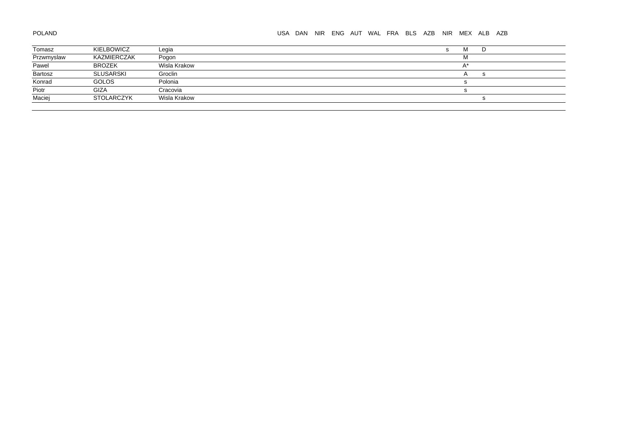# POLAND

## USA DAN NIR ENG AUT WAL FRA BLS AZB NIR MEX ALB AZB

| Tomasz     | KIELBOWICZ        | Legia        | ΙVΙ |    |
|------------|-------------------|--------------|-----|----|
| Przwmyslaw | KAZMIERCZAK       | Pogon        | M   |    |
| Pawel      | <b>BROZEK</b>     | Wisla Krakow |     |    |
| Bartosz    | SLUSARSKI         | Groclin      |     | ÷. |
| Konrad     | <b>GOLOS</b>      | Polonia      |     |    |
| Piotr      | GIZA              | Cracovia     |     |    |
| Maciej     | <b>STOLARCZYK</b> | Wisla Krakow |     |    |
|            |                   |              |     |    |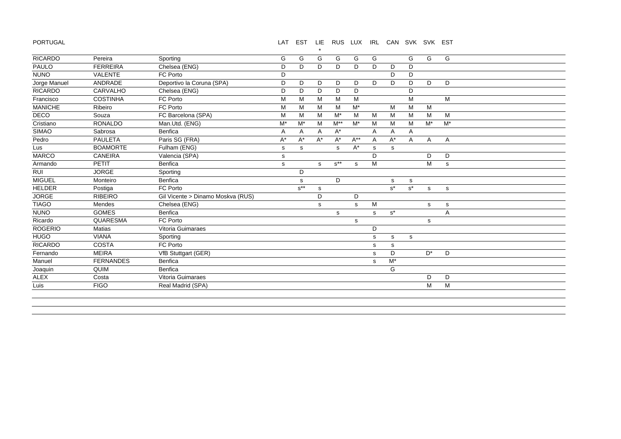PORTUGAL

#### LAT EST LIE RUS LUX IRL CAN SVK SVK EST

| PAULO<br>Chelsea (ENG)<br>D<br><b>FERREIRA</b><br>D<br>D<br>D<br>D<br>D<br>D<br>D<br><b>NUNO</b><br><b>VALENTE</b><br>FC Porto<br>D<br>D<br>D<br>Deportivo la Coruna (SPA)<br>ANDRADE<br>D<br>Jorge Manuel<br>D<br>D<br>D<br>D<br>D<br>D<br>D<br>D<br>D<br><b>RICARDO</b><br>CARVALHO<br>Chelsea (ENG)<br>D<br>D<br>D<br>D<br>D<br>D<br>Francisco<br>FC Porto<br><b>COSTINHA</b><br>M<br>М<br>M<br>M<br>M<br>M<br>M<br><b>MANICHE</b><br>$M^*$<br>FC Porto<br>M<br>M<br>M<br>M<br>M<br>M<br>Ribeiro<br>M<br>DECO<br>FC Barcelona (SPA)<br>M<br>$M^*$<br>M<br>M<br>Souza<br>M<br>M<br>M<br>M<br>M<br>м<br><b>RONALDO</b><br>$M^*$<br>$M^*$<br>M<br>$M^{**}$<br>$M^*$<br>$M^*$<br>$M^*$<br>Cristiano<br>Man.Utd. (ENG)<br>M<br>M<br>M<br><b>SIMAO</b><br>Benfica<br>$A^*$<br>Sabrosa<br>A<br>Α<br>Α<br>Α<br>A<br>Α<br><b>PAULETA</b><br>Paris SG (FRA)<br>Pedro<br>$A^*$<br>$A^{**}$<br>$A^*$<br>$A^*$<br>$A^*$<br>$A^*$<br>A<br>A<br>A<br>Α<br><b>BOAMORTE</b><br>Fulham (ENG)<br>$A^*$<br>Lus<br>s<br>s<br>s<br>s<br>s<br><b>MARCO</b><br><b>CANEIRA</b><br>Valencia (SPA)<br>D<br>D<br>D<br>s<br>$s^{**}$<br>M<br>M<br>Armando<br>PETIT<br>Benfica<br>s<br>$\mathbf s$<br>s<br>s<br><b>JORGE</b><br>RUI<br>D<br>Sporting<br><b>MIGUEL</b><br>Benfica<br>D<br>Monteiro<br>s<br>s<br>s<br><b>HELDER</b><br>$s^{**}$<br>$s^*$<br>$s^*$<br>FC Porto<br>Postiga<br>s<br>${\tt S}$<br>s<br><b>RIBEIRO</b><br>Gil Vicente > Dinamo Moskva (RUS)<br>D<br>D<br>Mendes<br>Chelsea (ENG)<br>M<br>s<br>s<br>s<br>${\tt S}$<br><b>GOMES</b><br>Benfica<br>$s^*$<br>A<br>s<br>s<br>QUARESMA<br>FC Porto<br>s<br>s<br>Vitoria Guimaraes<br><b>Matias</b><br>D<br><b>VIANA</b><br>Sporting<br>s<br>s<br>s<br><b>COSTA</b><br>FC Porto<br>s<br>s<br>$\mathsf{D}^{\star}$<br><b>MEIRA</b><br>D<br>D<br>VfB Stuttgart (GER)<br>s<br><b>FERNANDES</b><br>Benfica<br>$M^*$<br>s<br>QUIM<br>G<br>Benfica<br>Joaquin<br>Vitoria Guimaraes<br>D<br>D<br>Costa<br><b>FIGO</b><br>M<br>M<br>Real Madrid (SPA) | <b>RICARDO</b> | Pereira | Sporting | G | G | G | G | G | G | G | G | G |
|--------------------------------------------------------------------------------------------------------------------------------------------------------------------------------------------------------------------------------------------------------------------------------------------------------------------------------------------------------------------------------------------------------------------------------------------------------------------------------------------------------------------------------------------------------------------------------------------------------------------------------------------------------------------------------------------------------------------------------------------------------------------------------------------------------------------------------------------------------------------------------------------------------------------------------------------------------------------------------------------------------------------------------------------------------------------------------------------------------------------------------------------------------------------------------------------------------------------------------------------------------------------------------------------------------------------------------------------------------------------------------------------------------------------------------------------------------------------------------------------------------------------------------------------------------------------------------------------------------------------------------------------------------------------------------------------------------------------------------------------------------------------------------------------------------------------------------------------------------------------------------------------------------------------------------------------------------------------------------------|----------------|---------|----------|---|---|---|---|---|---|---|---|---|
|                                                                                                                                                                                                                                                                                                                                                                                                                                                                                                                                                                                                                                                                                                                                                                                                                                                                                                                                                                                                                                                                                                                                                                                                                                                                                                                                                                                                                                                                                                                                                                                                                                                                                                                                                                                                                                                                                                                                                                                      |                |         |          |   |   |   |   |   |   |   |   |   |
|                                                                                                                                                                                                                                                                                                                                                                                                                                                                                                                                                                                                                                                                                                                                                                                                                                                                                                                                                                                                                                                                                                                                                                                                                                                                                                                                                                                                                                                                                                                                                                                                                                                                                                                                                                                                                                                                                                                                                                                      |                |         |          |   |   |   |   |   |   |   |   |   |
|                                                                                                                                                                                                                                                                                                                                                                                                                                                                                                                                                                                                                                                                                                                                                                                                                                                                                                                                                                                                                                                                                                                                                                                                                                                                                                                                                                                                                                                                                                                                                                                                                                                                                                                                                                                                                                                                                                                                                                                      |                |         |          |   |   |   |   |   |   |   |   |   |
|                                                                                                                                                                                                                                                                                                                                                                                                                                                                                                                                                                                                                                                                                                                                                                                                                                                                                                                                                                                                                                                                                                                                                                                                                                                                                                                                                                                                                                                                                                                                                                                                                                                                                                                                                                                                                                                                                                                                                                                      |                |         |          |   |   |   |   |   |   |   |   |   |
|                                                                                                                                                                                                                                                                                                                                                                                                                                                                                                                                                                                                                                                                                                                                                                                                                                                                                                                                                                                                                                                                                                                                                                                                                                                                                                                                                                                                                                                                                                                                                                                                                                                                                                                                                                                                                                                                                                                                                                                      |                |         |          |   |   |   |   |   |   |   |   |   |
|                                                                                                                                                                                                                                                                                                                                                                                                                                                                                                                                                                                                                                                                                                                                                                                                                                                                                                                                                                                                                                                                                                                                                                                                                                                                                                                                                                                                                                                                                                                                                                                                                                                                                                                                                                                                                                                                                                                                                                                      |                |         |          |   |   |   |   |   |   |   |   |   |
|                                                                                                                                                                                                                                                                                                                                                                                                                                                                                                                                                                                                                                                                                                                                                                                                                                                                                                                                                                                                                                                                                                                                                                                                                                                                                                                                                                                                                                                                                                                                                                                                                                                                                                                                                                                                                                                                                                                                                                                      |                |         |          |   |   |   |   |   |   |   |   |   |
|                                                                                                                                                                                                                                                                                                                                                                                                                                                                                                                                                                                                                                                                                                                                                                                                                                                                                                                                                                                                                                                                                                                                                                                                                                                                                                                                                                                                                                                                                                                                                                                                                                                                                                                                                                                                                                                                                                                                                                                      |                |         |          |   |   |   |   |   |   |   |   |   |
|                                                                                                                                                                                                                                                                                                                                                                                                                                                                                                                                                                                                                                                                                                                                                                                                                                                                                                                                                                                                                                                                                                                                                                                                                                                                                                                                                                                                                                                                                                                                                                                                                                                                                                                                                                                                                                                                                                                                                                                      |                |         |          |   |   |   |   |   |   |   |   |   |
|                                                                                                                                                                                                                                                                                                                                                                                                                                                                                                                                                                                                                                                                                                                                                                                                                                                                                                                                                                                                                                                                                                                                                                                                                                                                                                                                                                                                                                                                                                                                                                                                                                                                                                                                                                                                                                                                                                                                                                                      |                |         |          |   |   |   |   |   |   |   |   |   |
|                                                                                                                                                                                                                                                                                                                                                                                                                                                                                                                                                                                                                                                                                                                                                                                                                                                                                                                                                                                                                                                                                                                                                                                                                                                                                                                                                                                                                                                                                                                                                                                                                                                                                                                                                                                                                                                                                                                                                                                      |                |         |          |   |   |   |   |   |   |   |   |   |
|                                                                                                                                                                                                                                                                                                                                                                                                                                                                                                                                                                                                                                                                                                                                                                                                                                                                                                                                                                                                                                                                                                                                                                                                                                                                                                                                                                                                                                                                                                                                                                                                                                                                                                                                                                                                                                                                                                                                                                                      |                |         |          |   |   |   |   |   |   |   |   |   |
|                                                                                                                                                                                                                                                                                                                                                                                                                                                                                                                                                                                                                                                                                                                                                                                                                                                                                                                                                                                                                                                                                                                                                                                                                                                                                                                                                                                                                                                                                                                                                                                                                                                                                                                                                                                                                                                                                                                                                                                      |                |         |          |   |   |   |   |   |   |   |   |   |
|                                                                                                                                                                                                                                                                                                                                                                                                                                                                                                                                                                                                                                                                                                                                                                                                                                                                                                                                                                                                                                                                                                                                                                                                                                                                                                                                                                                                                                                                                                                                                                                                                                                                                                                                                                                                                                                                                                                                                                                      |                |         |          |   |   |   |   |   |   |   |   |   |
|                                                                                                                                                                                                                                                                                                                                                                                                                                                                                                                                                                                                                                                                                                                                                                                                                                                                                                                                                                                                                                                                                                                                                                                                                                                                                                                                                                                                                                                                                                                                                                                                                                                                                                                                                                                                                                                                                                                                                                                      |                |         |          |   |   |   |   |   |   |   |   |   |
|                                                                                                                                                                                                                                                                                                                                                                                                                                                                                                                                                                                                                                                                                                                                                                                                                                                                                                                                                                                                                                                                                                                                                                                                                                                                                                                                                                                                                                                                                                                                                                                                                                                                                                                                                                                                                                                                                                                                                                                      |                |         |          |   |   |   |   |   |   |   |   |   |
|                                                                                                                                                                                                                                                                                                                                                                                                                                                                                                                                                                                                                                                                                                                                                                                                                                                                                                                                                                                                                                                                                                                                                                                                                                                                                                                                                                                                                                                                                                                                                                                                                                                                                                                                                                                                                                                                                                                                                                                      |                |         |          |   |   |   |   |   |   |   |   |   |
|                                                                                                                                                                                                                                                                                                                                                                                                                                                                                                                                                                                                                                                                                                                                                                                                                                                                                                                                                                                                                                                                                                                                                                                                                                                                                                                                                                                                                                                                                                                                                                                                                                                                                                                                                                                                                                                                                                                                                                                      | <b>JORGE</b>   |         |          |   |   |   |   |   |   |   |   |   |
|                                                                                                                                                                                                                                                                                                                                                                                                                                                                                                                                                                                                                                                                                                                                                                                                                                                                                                                                                                                                                                                                                                                                                                                                                                                                                                                                                                                                                                                                                                                                                                                                                                                                                                                                                                                                                                                                                                                                                                                      | <b>TIAGO</b>   |         |          |   |   |   |   |   |   |   |   |   |
|                                                                                                                                                                                                                                                                                                                                                                                                                                                                                                                                                                                                                                                                                                                                                                                                                                                                                                                                                                                                                                                                                                                                                                                                                                                                                                                                                                                                                                                                                                                                                                                                                                                                                                                                                                                                                                                                                                                                                                                      | <b>NUNO</b>    |         |          |   |   |   |   |   |   |   |   |   |
|                                                                                                                                                                                                                                                                                                                                                                                                                                                                                                                                                                                                                                                                                                                                                                                                                                                                                                                                                                                                                                                                                                                                                                                                                                                                                                                                                                                                                                                                                                                                                                                                                                                                                                                                                                                                                                                                                                                                                                                      | Ricardo        |         |          |   |   |   |   |   |   |   |   |   |
|                                                                                                                                                                                                                                                                                                                                                                                                                                                                                                                                                                                                                                                                                                                                                                                                                                                                                                                                                                                                                                                                                                                                                                                                                                                                                                                                                                                                                                                                                                                                                                                                                                                                                                                                                                                                                                                                                                                                                                                      | <b>ROGERIO</b> |         |          |   |   |   |   |   |   |   |   |   |
|                                                                                                                                                                                                                                                                                                                                                                                                                                                                                                                                                                                                                                                                                                                                                                                                                                                                                                                                                                                                                                                                                                                                                                                                                                                                                                                                                                                                                                                                                                                                                                                                                                                                                                                                                                                                                                                                                                                                                                                      | <b>HUGO</b>    |         |          |   |   |   |   |   |   |   |   |   |
|                                                                                                                                                                                                                                                                                                                                                                                                                                                                                                                                                                                                                                                                                                                                                                                                                                                                                                                                                                                                                                                                                                                                                                                                                                                                                                                                                                                                                                                                                                                                                                                                                                                                                                                                                                                                                                                                                                                                                                                      | <b>RICARDO</b> |         |          |   |   |   |   |   |   |   |   |   |
|                                                                                                                                                                                                                                                                                                                                                                                                                                                                                                                                                                                                                                                                                                                                                                                                                                                                                                                                                                                                                                                                                                                                                                                                                                                                                                                                                                                                                                                                                                                                                                                                                                                                                                                                                                                                                                                                                                                                                                                      | Fernando       |         |          |   |   |   |   |   |   |   |   |   |
|                                                                                                                                                                                                                                                                                                                                                                                                                                                                                                                                                                                                                                                                                                                                                                                                                                                                                                                                                                                                                                                                                                                                                                                                                                                                                                                                                                                                                                                                                                                                                                                                                                                                                                                                                                                                                                                                                                                                                                                      | Manuel         |         |          |   |   |   |   |   |   |   |   |   |
|                                                                                                                                                                                                                                                                                                                                                                                                                                                                                                                                                                                                                                                                                                                                                                                                                                                                                                                                                                                                                                                                                                                                                                                                                                                                                                                                                                                                                                                                                                                                                                                                                                                                                                                                                                                                                                                                                                                                                                                      |                |         |          |   |   |   |   |   |   |   |   |   |
|                                                                                                                                                                                                                                                                                                                                                                                                                                                                                                                                                                                                                                                                                                                                                                                                                                                                                                                                                                                                                                                                                                                                                                                                                                                                                                                                                                                                                                                                                                                                                                                                                                                                                                                                                                                                                                                                                                                                                                                      | <b>ALEX</b>    |         |          |   |   |   |   |   |   |   |   |   |
|                                                                                                                                                                                                                                                                                                                                                                                                                                                                                                                                                                                                                                                                                                                                                                                                                                                                                                                                                                                                                                                                                                                                                                                                                                                                                                                                                                                                                                                                                                                                                                                                                                                                                                                                                                                                                                                                                                                                                                                      | Luis           |         |          |   |   |   |   |   |   |   |   |   |
|                                                                                                                                                                                                                                                                                                                                                                                                                                                                                                                                                                                                                                                                                                                                                                                                                                                                                                                                                                                                                                                                                                                                                                                                                                                                                                                                                                                                                                                                                                                                                                                                                                                                                                                                                                                                                                                                                                                                                                                      |                |         |          |   |   |   |   |   |   |   |   |   |

\*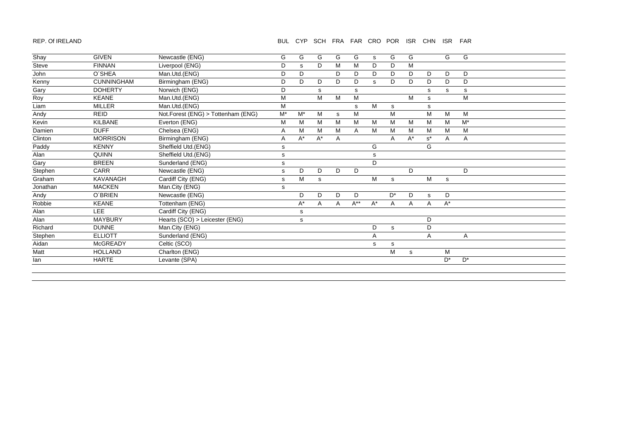#### REP. Of IRELAND

## BUL CYP SCH FRA FAR CRO POR ISR CHN ISR FAR

| Shay     | <b>GIVEN</b>      | Newcastle (ENG)                    | G     | G     | G     | G  | G                         | s     | G     | G     |             | G     | G     |  |
|----------|-------------------|------------------------------------|-------|-------|-------|----|---------------------------|-------|-------|-------|-------------|-------|-------|--|
| Steve    | <b>FINNAN</b>     | Liverpool (ENG)                    | D     | s     | D     | M  | M                         | D     | D     | M     |             |       |       |  |
| John     | O'SHEA            | Man.Utd.(ENG)                      | D     | D     |       | D. | D                         | D     | D     | D     | D           | D     | D     |  |
| Kenny    | <b>CUNNINGHAM</b> | Birmingham (ENG)                   | D     | D     | D     | D  | D                         | s     | D     | D     | D           | D     | D     |  |
| Gary     | <b>DOHERTY</b>    | Norwich (ENG)                      | D     |       | s     |    | s                         |       |       |       | s           | s     | s     |  |
| Roy      | <b>KEANE</b>      | Man.Utd.(ENG)                      | M     |       | M     | M  | M                         |       |       | M     | s           |       | M     |  |
| Liam     | <b>MILLER</b>     | Man.Utd.(ENG)                      | M     |       |       |    | s                         | М     | s     |       | s           |       |       |  |
| Andy     | <b>REID</b>       | Not.Forest (ENG) > Tottenham (ENG) | $M^*$ | $M^*$ | M     | s  | M                         |       | M     |       | M           | M     | M     |  |
| Kevin    | <b>KILBANE</b>    | Everton (ENG)                      | M     | M     | М     | M  | M                         | М     | M     | M     | M           | М     | $M^*$ |  |
| Damien   | <b>DUFF</b>       | Chelsea (ENG)                      | Α     | M     | M     | M  | A                         | М     | M     | M     | M           | M     | M     |  |
| Clinton  | <b>MORRISON</b>   | Birmingham (ENG)                   | Α     | $A^*$ | $A^*$ | A  |                           |       | A     | $A^*$ | $s^*$       | Α     | Α     |  |
| Paddy    | <b>KENNY</b>      | Sheffield Utd.(ENG)                | s     |       |       |    |                           | G     |       |       | G           |       |       |  |
| Alan     | <b>QUINN</b>      | Sheffield Utd.(ENG)                | s     |       |       |    |                           | s     |       |       |             |       |       |  |
| Gary     | <b>BREEN</b>      | Sunderland (ENG)                   | s     |       |       |    |                           | D     |       |       |             |       |       |  |
| Stephen  | CARR              | Newcastle (ENG)                    | s     | D     | D     | D  | D                         |       |       | D     |             |       | D     |  |
| Graham   | KAVANAGH          | Cardiff City (ENG)                 | s     | M     | s     |    |                           | М     | s     |       | M           | s     |       |  |
| Jonathan | <b>MACKEN</b>     | Man.City (ENG)                     | s     |       |       |    |                           |       |       |       |             |       |       |  |
| Andy     | O'BRIEN           | Newcastle (ENG)                    |       | D     | D     | D  | D                         |       | $D^*$ | D     | $\mathbf s$ | D     |       |  |
| Robbie   | <b>KEANE</b>      | Tottenham (ENG)                    |       | A*    | A     | Α  | $\mathsf{A}^{\star\star}$ | $A^*$ | Α     | Α     | Α           | $A^*$ |       |  |
| Alan     | LEE.              | Cardiff City (ENG)                 |       | s     |       |    |                           |       |       |       |             |       |       |  |
| Alan     | <b>MAYBURY</b>    | Hearts (SCO) > Leicester (ENG)     |       | s     |       |    |                           |       |       |       | D           |       |       |  |
| Richard  | <b>DUNNE</b>      | Man.City (ENG)                     |       |       |       |    |                           | D     | s     |       | D           |       |       |  |
| Stephen  | <b>ELLIOTT</b>    | Sunderland (ENG)                   |       |       |       |    |                           | A     |       |       | Α           |       | Α     |  |
| Aidan    | McGREADY          | Celtic (SCO)                       |       |       |       |    |                           | s     | s     |       |             |       |       |  |
| Matt     | <b>HOLLAND</b>    | Charlton (ENG)                     |       |       |       |    |                           |       | М     | s     |             | М     |       |  |
| lan      | <b>HARTE</b>      | Levante (SPA)                      |       |       |       |    |                           |       |       |       |             | $D^*$ | $D^*$ |  |
|          |                   |                                    |       |       |       |    |                           |       |       |       |             |       |       |  |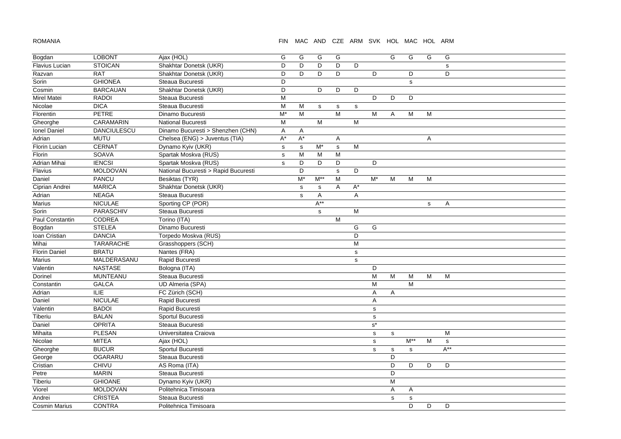ROMANIA

#### FIN MAC AND CZE ARM SVK HOL MAC HOL ARM

| Bogdan                | <b>LOBONT</b>      | Ajax (HOL)                           | G            | G            | G           | G           |             |                      | G           | G            | G | G           |
|-----------------------|--------------------|--------------------------------------|--------------|--------------|-------------|-------------|-------------|----------------------|-------------|--------------|---|-------------|
| <b>Flavius Lucian</b> | <b>STOICAN</b>     | Shakhtar Donetsk (UKR)               | D            | D            | D           | D           | D           |                      |             |              |   | $\mathbf s$ |
| Razvan                | <b>RAT</b>         | Shakhtar Donetsk (UKR)               | D            | D            | D           | D           |             | D                    |             | D            |   | D           |
| Sorin                 | <b>GHIONEA</b>     | Steaua Bucuresti                     | D            |              |             |             |             |                      |             | s            |   |             |
| Cosmin                | <b>BARCAUAN</b>    | Shakhtar Donetsk (UKR)               | D            |              | D           | D           | D           |                      |             |              |   |             |
| Mirel Matei           | <b>RADOI</b>       | Steaua Bucuresti                     | M            |              |             |             |             | D                    | D           | D            |   |             |
| Nicolae               | <b>DICA</b>        | Steaua Bucuresti                     | M            | M            | s           | s           | s           |                      |             |              |   |             |
| Florentin             | <b>PETRE</b>       | Dinamo Bucuresti                     | $M^*$        | M            |             | M           |             | M                    | Α           | M            | M |             |
| Gheorghe              | CARAMARIN          | <b>National Bucuresti</b>            | M            |              | M           |             | M           |                      |             |              |   |             |
| Ionel Daniel          | <b>DANCIULESCU</b> | Dinamo Bucuresti > Shenzhen (CHN)    | Α            | A            |             |             |             |                      |             |              |   |             |
| Adrian                | <b>MUTU</b>        | Chelsea (ENG) > Juventus (TIA)       | $A^*$        | $A^*$        |             | A           |             |                      |             |              | Α |             |
| Florin Lucian         | <b>CERNAT</b>      | Dynamo Kyiv (UKR)                    | $\mathbf{s}$ | $\mathsf{s}$ | $M^*$       | s           | M           |                      |             |              |   |             |
| Florin                | <b>SOAVA</b>       | Spartak Moskva (RUS)                 | $\mathbf s$  | M            | M           | M           |             |                      |             |              |   |             |
| Adrian Mihai          | <b>IENCSI</b>      | Spartak Moskva (RUS)                 | $\mathbf s$  | D            | D           | D           |             | D                    |             |              |   |             |
| Flavius               | MOLDOVAN           | National Bucuresti > Rapid Bucuresti |              | D            |             | $\mathbf s$ | D           |                      |             |              |   |             |
| Daniel                | <b>PANCU</b>       | Besiktas (TYR)                       |              | M*           | $M^*$       | M           |             | M*                   | M           | M            | M |             |
| Ciprian Andrei        | <b>MARICA</b>      | Shakhtar Donetsk (UKR)               |              | $\mathsf{s}$ | s           | A           | $A^*$       |                      |             |              |   |             |
| Adrian                | <b>NEAGA</b>       | Steaua Bucuresti                     |              | $\mathsf{s}$ | Α           |             | A           |                      |             |              |   |             |
| <b>Marius</b>         | <b>NICULAE</b>     | Sporting CP (POR)                    |              |              | $A^{**}$    |             |             |                      |             |              | s | Α           |
| Sorin                 | <b>PARASCHIV</b>   | Steaua Bucuresti                     |              |              | $\mathbf s$ |             | M           |                      |             |              |   |             |
| Paul Constantin       | CODREA             | Torino (ITA)                         |              |              |             | M           |             |                      |             |              |   |             |
| Bogdan                | <b>STELEA</b>      | Dinamo Bucuresti                     |              |              |             |             | G           | G                    |             |              |   |             |
| Ioan Cristian         | <b>DANCIA</b>      | Torpedo Moskva (RUS)                 |              |              |             |             | D           |                      |             |              |   |             |
| Mihai                 | <b>TARARACHE</b>   | Grasshoppers (SCH)                   |              |              |             |             | M           |                      |             |              |   |             |
| <b>Florin Daniel</b>  | <b>BRATU</b>       | Nantes (FRA)                         |              |              |             |             | $\mathbf s$ |                      |             |              |   |             |
| <b>Marius</b>         | MALDERASANU        | Rapid Bucuresti                      |              |              |             |             | $\mathbf s$ |                      |             |              |   |             |
| Valentin              | <b>NASTASE</b>     | Bologna (ITA)                        |              |              |             |             |             | D                    |             |              |   |             |
| Dorinel               | <b>MUNTEANU</b>    | Steaua Bucuresti                     |              |              |             |             |             | M                    | M           | M            | M | M           |
| Constantin            | <b>GALCA</b>       | UD Almeria (SPA)                     |              |              |             |             |             | M                    |             | M            |   |             |
| Adrian                | <b>ILIE</b>        | FC Zürich (SCH)                      |              |              |             |             |             | Α                    | A           |              |   |             |
| Daniel                | <b>NICULAE</b>     | Rapid Bucuresti                      |              |              |             |             |             | A                    |             |              |   |             |
| Valentin              | <b>BADOI</b>       | Rapid Bucuresti                      |              |              |             |             |             | s                    |             |              |   |             |
| Tiberiu               | <b>BALAN</b>       | Sportul Bucuresti                    |              |              |             |             |             | $\mathbf s$          |             |              |   |             |
| Daniel                | <b>OPRITA</b>      | Steaua Bucuresti                     |              |              |             |             |             | $\texttt{s}^{\star}$ |             |              |   |             |
| Mihaita               | <b>PLESAN</b>      | Universitatea Craiova                |              |              |             |             |             | s                    | s           |              |   | M           |
| Nicolae               | <b>MITEA</b>       | Ajax (HOL)                           |              |              |             |             |             | $\mathbf s$          |             | $M^{**}$     | M | $\mathbf s$ |
| Gheorghe              | <b>BUCUR</b>       | Sportul Bucuresti                    |              |              |             |             |             | s                    | $\mathbf S$ | s            |   | $A^{**}$    |
| George                | OGARARU            | Steaua Bucuresti                     |              |              |             |             |             |                      | D           |              |   |             |
| Cristian              | <b>CHIVU</b>       | AS Roma (ITA)                        |              |              |             |             |             |                      | D           | D            | D | D           |
| Petre                 | <b>MARIN</b>       | Steaua Bucuresti                     |              |              |             |             |             |                      | D           |              |   |             |
| Tiberiu               | <b>GHIOANE</b>     | Dynamo Kyiv (UKR)                    |              |              |             |             |             |                      | M           |              |   |             |
| Viorel                | MOLDOVAN           | Politehnica Timisoara                |              |              |             |             |             |                      | Α           | A            |   |             |
| Andrei                | <b>CRISTEA</b>     | Steaua Bucuresti                     |              |              |             |             |             |                      | $\mathbf s$ | $\mathsf{s}$ |   |             |
| <b>Cosmin Marius</b>  | <b>CONTRA</b>      | Politehnica Timisoara                |              |              |             |             |             |                      |             | D            | D | D           |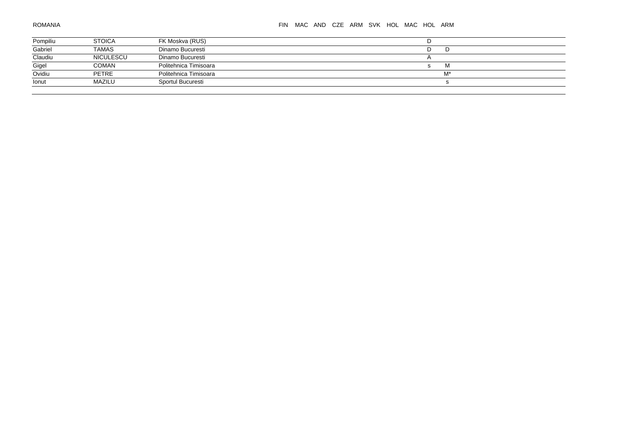#### FIN MAC AND CZE ARM SVK HOL MAC HOL ARM

|                     | <b>STOICA</b> | FK Moskva (RUS)       |    |
|---------------------|---------------|-----------------------|----|
| Pompiliu<br>Gabriel | <b>TAMAS</b>  | Dinamo Bucuresti      | ш  |
| Claudiu             | NICULESCU     | Dinamo Bucuresti      |    |
| Gigel               | <b>COMAN</b>  | Politehnica Timisoara | M  |
| Ovidiu              | <b>PETRE</b>  | Politehnica Timisoara | M* |
| Ionut               | MAZILU        | Sportul Bucuresti     |    |
|                     |               |                       |    |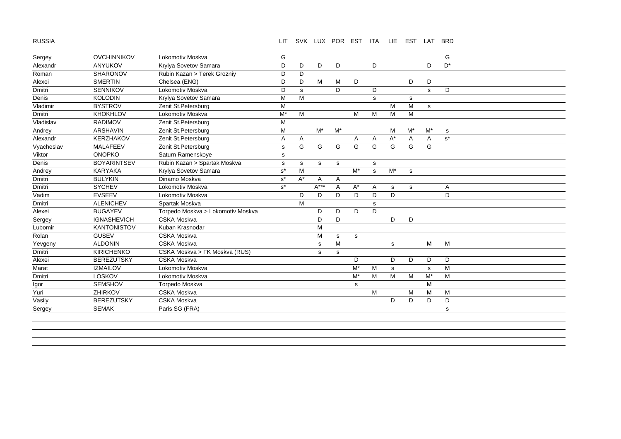RUSSIA

#### LIT SVK LUX POR EST ITA LIE EST LAT BRD

| Sergey     | <b>OVCHINNIKOV</b> | Lokomotiv Moskva                  | G     |       |           |                |       |    |       |             |             | G     |
|------------|--------------------|-----------------------------------|-------|-------|-----------|----------------|-------|----|-------|-------------|-------------|-------|
| Alexandr   | <b>ANYUKOV</b>     | Krylya Sovetov Samara             | D     | D     | D         | D              |       | D. |       |             | D           | $D^*$ |
| Roman      | <b>SHARONOV</b>    | Rubin Kazan > Terek Grozniy       | D     | D     |           |                |       |    |       |             |             |       |
| Alexei     | <b>SMERTIN</b>     | Chelsea (ENG)                     | D     | D     | M         | M              | D     |    |       | D           | D           |       |
| Dmitri     | <b>SENNIKOV</b>    | Lokomotiv Moskva                  | D     | s     |           | D              |       | D  |       |             | s           | D     |
| Denis      | <b>KOLODIN</b>     | Krylya Sovetov Samara             | M     | M     |           |                |       | s  |       | $\mathbf s$ |             |       |
| Vladimir   | <b>BYSTROV</b>     | Zenit St.Petersburg               | M     |       |           |                |       |    | M     | M           | $\mathbf s$ |       |
| Dmitri     | <b>KHOKHLOV</b>    | Lokomotiv Moskva                  | $M^*$ | M     |           |                | M     | M  | M     | M           |             |       |
| Vladislav  | <b>RADIMOV</b>     | Zenit St.Petersburg               | M     |       |           |                |       |    |       |             |             |       |
| Andrey     | <b>ARSHAVIN</b>    | Zenit St.Petersburg               | M     |       | $M^*$     | $M^*$          |       |    | M     | $M^*$       | $M^*$       | s     |
| Alexandr   | <b>KERZHAKOV</b>   | Zenit St.Petersburg               | A     | Α     |           |                | Α     | Α  | $A^*$ | A           | Α           | $s^*$ |
| Vyacheslav | MALAFEEV           | Zenit St.Petersburg               | s     | G     | G         | G              | G     | G  | G     | G           | G           |       |
| Viktor     | <b>ONOPKO</b>      | Saturn Ramenskoye                 | s     |       |           |                |       |    |       |             |             |       |
| Denis      | <b>BOYARINTSEV</b> | Rubin Kazan > Spartak Moskva      | s     | s     | s         | s              |       | s  |       |             |             |       |
| Andrey     | <b>KARYAKA</b>     | Krylya Sovetov Samara             | $s^*$ | M     |           |                | $M^*$ | s  | $M^*$ | s           |             |       |
| Dmitri     | <b>BULYKIN</b>     | Dinamo Moskva                     | $s^*$ | $A^*$ | A         | $\overline{A}$ |       |    |       |             |             |       |
| Dmitri     | <b>SYCHEV</b>      | Lokomotiv Moskva                  | $s^*$ |       | $A***$    | A              | $A^*$ | Α  | s     | s           |             | Α     |
| Vadim      | <b>EVSEEV</b>      | Lokomotiv Moskva                  |       | D     | D         | D              | D     | D  | D     |             |             | D     |
| Dmitri     | <b>ALENICHEV</b>   | Spartak Moskva                    |       | M     |           |                |       | s  |       |             |             |       |
| Alexei     | <b>BUGAYEV</b>     | Torpedo Moskva > Lokomotiv Moskva |       |       | D         | D              | D     | D  |       |             |             |       |
| Sergey     | <b>IGNASHEVICH</b> | <b>CSKA Moskva</b>                |       |       | D         | D              |       |    | D     | D           |             |       |
| Lubomir    | <b>KANTONISTOV</b> | Kuban Krasnodar                   |       |       | M         |                |       |    |       |             |             |       |
| Rolan      | <b>GUSEV</b>       | <b>CSKA Moskva</b>                |       |       | M         | s              | s     |    |       |             |             |       |
| Yevgeny    | <b>ALDONIN</b>     | <b>CSKA Moskva</b>                |       |       | ${\tt S}$ | M              |       |    | s     |             | M           | M     |
| Dmitri     | <b>KIRICHENKO</b>  | CSKA Moskva > FK Moskva (RUS)     |       |       | s         | s              |       |    |       |             |             |       |
| Alexei     | <b>BEREZUTSKY</b>  | <b>CSKA Moskva</b>                |       |       |           |                | D     |    | D     | D           | D           | D     |
| Marat      | <b>IZMAILOV</b>    | Lokomotiv Moskva                  |       |       |           |                | $M^*$ | м  | s     |             | $\mathbf s$ | M     |
| Dmitri     | <b>LOSKOV</b>      | Lokomotiv Moskva                  |       |       |           |                | $M^*$ | M  | M     | M           | $M^*$       | M     |
| Igor       | <b>SEMSHOV</b>     | Torpedo Moskva                    |       |       |           |                | s     |    |       |             | M           |       |
| Yuri       | ZHIRKOV            | <b>CSKA Moskva</b>                |       |       |           |                |       | M  |       | M           | M           | M     |
| Vasily     | <b>BEREZUTSKY</b>  | <b>CSKA Moskva</b>                |       |       |           |                |       |    | D     | D           | D           | D     |
| Sergey     | <b>SEMAK</b>       | Paris SG (FRA)                    |       |       |           |                |       |    |       |             |             | s     |
|            |                    |                                   |       |       |           |                |       |    |       |             |             |       |
|            |                    |                                   |       |       |           |                |       |    |       |             |             |       |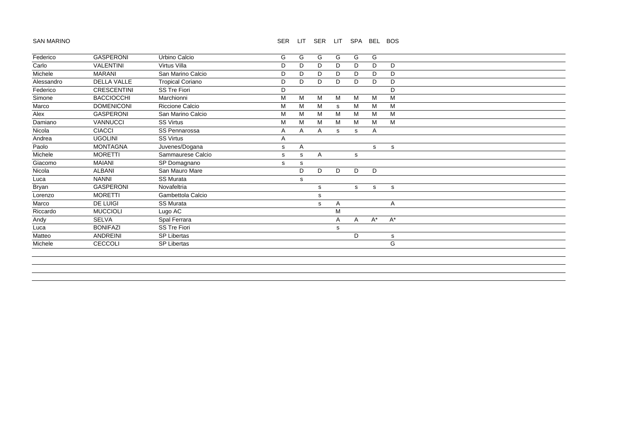#### SAN MARINO

#### SER LIT SER LIT SPA BEL BOS

| Federico   | <b>GASPERONI</b>   | Urbino Calcio           | G | G | G | G | G | G     |       |  |
|------------|--------------------|-------------------------|---|---|---|---|---|-------|-------|--|
| Carlo      | <b>VALENTINI</b>   | Virtus Villa            | D | D | D | D | D | D     | D     |  |
| Michele    | <b>MARANI</b>      | San Marino Calcio       | D | D | D | D | D | D     | D     |  |
| Alessandro | <b>DELLA VALLE</b> | <b>Tropical Coriano</b> | D | D | D | D | D | D     | D     |  |
| Federico   | <b>CRESCENTINI</b> | <b>SS Tre Fiori</b>     | D |   |   |   |   |       | D     |  |
| Simone     | <b>BACCIOCCHI</b>  | Marchionni              | M | M | M | M | M | M     | M     |  |
| Marco      | <b>DOMENICONI</b>  | Riccione Calcio         | M | M | M | s | M | M     | M     |  |
| Alex       | <b>GASPERONI</b>   | San Marino Calcio       | М | м | M | M | M | M     | M     |  |
| Damiano    | <b>VANNUCCI</b>    | <b>SS Virtus</b>        | M | м | M | м | M | M     | M     |  |
| Nicola     | <b>CIACCI</b>      | SS Pennarossa           | A | A | A | s | s | A     |       |  |
| Andrea     | <b>UGOLINI</b>     | <b>SS Virtus</b>        | A |   |   |   |   |       |       |  |
| Paolo      | <b>MONTAGNA</b>    | Juvenes/Dogana          | s | A |   |   |   | S.    | s     |  |
| Michele    | <b>MORETTI</b>     | Sammaurese Calcio       | s | s | A |   | s |       |       |  |
| Giacomo    | MAIANI             | SP Domagnano            | s | s |   |   |   |       |       |  |
| Nicola     | <b>ALBANI</b>      | San Mauro Mare          |   | D | D | D | D | D     |       |  |
| Luca       | <b>NANNI</b>       | <b>SS Murata</b>        |   | s |   |   |   |       |       |  |
| Bryan      | <b>GASPERONI</b>   | Novafeltria             |   |   | s |   | s | s     | s     |  |
| Lorenzo    | <b>MORETTI</b>     | Gambettola Calcio       |   |   | s |   |   |       |       |  |
| Marco      | DE LUIGI           | <b>SS Murata</b>        |   |   | s | A |   |       | A     |  |
| Riccardo   | <b>MUCCIOLI</b>    | Lugo AC                 |   |   |   | M |   |       |       |  |
| Andy       | <b>SELVA</b>       | Spal Ferrara            |   |   |   | A | A | $A^*$ | $A^*$ |  |
| Luca       | <b>BONIFAZI</b>    | <b>SS Tre Fiori</b>     |   |   |   | s |   |       |       |  |
| Matteo     | ANDREINI           | <b>SP Libertas</b>      |   |   |   |   | D |       | s     |  |
| Michele    | CECCOLI            | <b>SP Libertas</b>      |   |   |   |   |   |       | G     |  |
|            |                    |                         |   |   |   |   |   |       |       |  |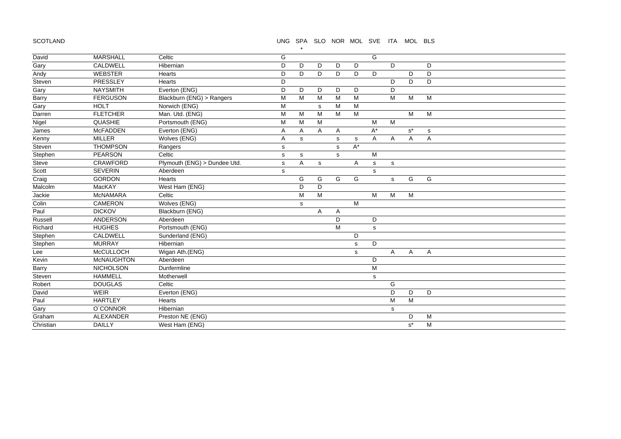SCOTLAND

#### UNG SPA SLO NOR MOL SVE ITA MOL BLS

| David     | <b>MARSHALL</b>   | Celtic                       | G           |   |              |              |       | G     |              |       |           |  |  |
|-----------|-------------------|------------------------------|-------------|---|--------------|--------------|-------|-------|--------------|-------|-----------|--|--|
| Gary      | CALDWELL          | Hibernian                    | D           | D | D            | D            | D     |       | D            |       | D         |  |  |
| Andy      | <b>WEBSTER</b>    | Hearts                       | D           | D | D            | D            | D     | D     |              | D     | D         |  |  |
| Steven    | PRESSLEY          | Hearts                       | D           |   |              |              |       |       | D            | D     | D         |  |  |
| Gary      | <b>NAYSMITH</b>   | Everton (ENG)                | D           | D | D            | D            | D     |       | D            |       |           |  |  |
| Barry     | <b>FERGUSON</b>   | Blackburn (ENG) > Rangers    | M           | M | M            | M            | M     |       | M            | M     | M         |  |  |
| Gary      | <b>HOLT</b>       | Norwich (ENG)                | M           |   | s            | M            | M     |       |              |       |           |  |  |
| Darren    | <b>FLETCHER</b>   | Man. Utd. (ENG)              | M           | M | M            | M            | M     |       |              | M     | M         |  |  |
| Nigel     | <b>QUASHIE</b>    | Portsmouth (ENG)             | M           | M | M            |              |       | M     | M            |       |           |  |  |
| James     | <b>McFADDEN</b>   | Everton (ENG)                | A           | A | $\mathsf{A}$ | $\mathsf{A}$ |       | $A^*$ |              | $s^*$ | ${\tt S}$ |  |  |
| Kenny     | <b>MILLER</b>     | Wolves (ENG)                 | Α           | s |              | s            | s     | Α     | Α            | Α     | Α         |  |  |
| Steven    | <b>THOMPSON</b>   | Rangers                      | s           |   |              | s            | $A^*$ |       |              |       |           |  |  |
| Stephen   | <b>PEARSON</b>    | Celtic                       | $\mathbb S$ | s |              | $\mathbf s$  |       | M     |              |       |           |  |  |
| Steve     | CRAWFORD          | Plymouth (ENG) > Dundee Utd. | s           | A | s            |              | A     | s     | s            |       |           |  |  |
| Scott     | <b>SEVERIN</b>    | Aberdeen                     | s           |   |              |              |       | s     |              |       |           |  |  |
| Craig     | <b>GORDON</b>     | Hearts                       |             | G | G            | G            | G     |       | $\mathsf{s}$ | G     | G         |  |  |
| Malcolm   | MacKAY            | West Ham (ENG)               |             | D | D            |              |       |       |              |       |           |  |  |
| Jackie    | <b>McNAMARA</b>   | Celtic                       |             | M | M            |              |       | M     | M            | M     |           |  |  |
| Colin     | <b>CAMERON</b>    | Wolves (ENG)                 |             | s |              |              | M     |       |              |       |           |  |  |
| Paul      | <b>DICKOV</b>     | Blackburn (ENG)              |             |   | A            | A            |       |       |              |       |           |  |  |
| Russell   | ANDERSON          | Aberdeen                     |             |   |              | D            |       | D     |              |       |           |  |  |
| Richard   | <b>HUGHES</b>     | Portsmouth (ENG)             |             |   |              | M            |       | s     |              |       |           |  |  |
| Stephen   | CALDWELL          | Sunderland (ENG)             |             |   |              |              | D     |       |              |       |           |  |  |
| Stephen   | <b>MURRAY</b>     | Hibernian                    |             |   |              |              | s     | D     |              |       |           |  |  |
| Lee       | <b>McCULLOCH</b>  | Wigan Ath.(ENG)              |             |   |              |              | s     |       | A            | A     | Α         |  |  |
| Kevin     | <b>McNAUGHTON</b> | Aberdeen                     |             |   |              |              |       | D     |              |       |           |  |  |
| Barry     | <b>NICHOLSON</b>  | Dunfermline                  |             |   |              |              |       | M     |              |       |           |  |  |
| Steven    | <b>HAMMELL</b>    | Motherwell                   |             |   |              |              |       | s     |              |       |           |  |  |
| Robert    | <b>DOUGLAS</b>    | Celtic                       |             |   |              |              |       |       | G            |       |           |  |  |
| David     | <b>WEIR</b>       | Everton (ENG)                |             |   |              |              |       |       | D            | D     | D         |  |  |
| Paul      | <b>HARTLEY</b>    | Hearts                       |             |   |              |              |       |       | M            | M     |           |  |  |
| Gary      | <b>O'CONNOR</b>   | Hibernian                    |             |   |              |              |       |       | s            |       |           |  |  |
| Graham    | ALEXANDER         | Preston NE (ENG)             |             |   |              |              |       |       |              | D     | M         |  |  |
| Christian | <b>DAILLY</b>     | West Ham (ENG)               |             |   |              |              |       |       |              | $s^*$ | M         |  |  |

\*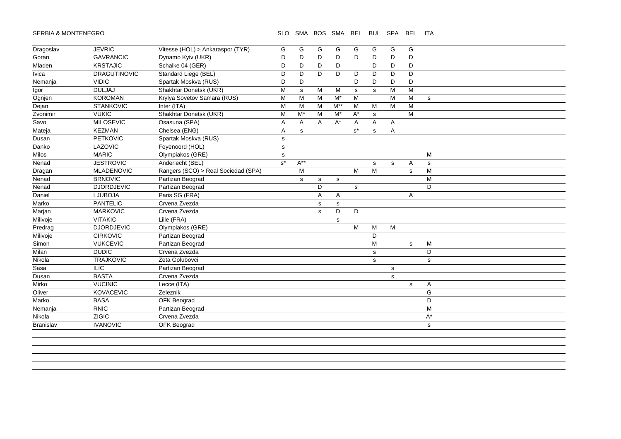#### SERBIA & MONTENEGRO SLO SMA BOS SMA BEL BUL SPA BEL ITA

| Dragoslav        | <b>JEVRIC</b>       | Vitesse (HOL) > Ankaraspor (TYR)    | G            | G        | G           | G     | G     | G           | G           | G           |           |
|------------------|---------------------|-------------------------------------|--------------|----------|-------------|-------|-------|-------------|-------------|-------------|-----------|
| Goran            | <b>GAVRANCIC</b>    | Dynamo Kyiv (UKR)                   | D            | D        | D           | D     | D     | D           | D           | D           |           |
| Mladen           | <b>KRSTAJIC</b>     | Schalke 04 (GER)                    | D            | D        | D           | D     |       | D           | D           | D           |           |
| Ivica            | <b>DRAGUTINOVIC</b> | Standard Liege (BEL)                | D            | D        | D           | D     | D     | D           | D           | D           |           |
| Nemanja          | <b>VIDIC</b>        | Spartak Moskva (RUS)                | D            | D        |             |       | D     | D           | D           | D           |           |
| Igor             | <b>DULJAJ</b>       | Shakhtar Donetsk (UKR)              | M            | s        | M           | M     | s     | $\mathbf s$ | M           | M           |           |
| Ognjen           | <b>KOROMAN</b>      | Krylya Sovetov Samara (RUS)         | M            | M        | M           | $M^*$ | M     |             | M           | M           | s         |
| Dejan            | <b>STANKOVIC</b>    | Inter (ITA)                         | M            | M        | M           | $M^*$ | M     | M           | M           | M           |           |
| Zvonimir         | <b>VUKIC</b>        | Shakhtar Donetsk (UKR)              | M            | $M^*$    | M           | $M^*$ | A*    | s           |             | M           |           |
| Savo             | <b>MILOSEVIC</b>    | Osasuna (SPA)                       | Α            | Α        | A           | $A^*$ | Α     | Α           | A           |             |           |
| Mateja           | <b>KEZMAN</b>       | Chelsea (ENG)                       | A            | s        |             |       | $s^*$ | s           | A           |             |           |
| Dusan            | PETKOVIC            | Spartak Moskva (RUS)                | $\mathbf S$  |          |             |       |       |             |             |             |           |
| Danko            | LAZOVIC             | Feyenoord (HOL)                     | s            |          |             |       |       |             |             |             |           |
| Milos            | <b>MARIC</b>        | Olympiakos (GRE)                    | $\mathsf{s}$ |          |             |       |       |             |             |             | M         |
| Nenad            | <b>JESTROVIC</b>    | Anderlecht (BEL)                    | $s^*$        | $A^{**}$ |             |       |       | s           | $\mathbf s$ | Α           | s         |
| Dragan           | <b>MLADENOVIC</b>   | Rangers (SCO) > Real Sociedad (SPA) |              | M        |             |       | M     | M           |             | s           | M         |
| Nenad            | <b>BRNOVIC</b>      | Partizan Beograd                    |              | s        | s           | s     |       |             |             |             | M         |
| Nenad            | <b>DJORDJEVIC</b>   | Partizan Beograd                    |              |          | D           |       | s     |             |             |             | D         |
| Daniel           | <b>LJUBOJA</b>      | Paris SG (FRA)                      |              |          | Α           | A     |       |             |             | Α           |           |
| Marko            | <b>PANTELIC</b>     | Crvena Zvezda                       |              |          | $\mathbf s$ | s     |       |             |             |             |           |
| Marjan           | <b>MARKOVIC</b>     | Crvena Zvezda                       |              |          | s           | D     | D     |             |             |             |           |
| Milivoje         | <b>VITAKIC</b>      | Lille (FRA)                         |              |          |             | s     |       |             |             |             |           |
| Predrag          | <b>DJORDJEVIC</b>   | Olympiakos (GRE)                    |              |          |             |       | M     | M           | M           |             |           |
| Milivoje         | <b>CIRKOVIC</b>     | Partizan Beograd                    |              |          |             |       |       | D           |             |             |           |
| Simon            | <b>VUKCEVIC</b>     | Partizan Beograd                    |              |          |             |       |       | M           |             | $\mathbf s$ | М         |
| Milan            | <b>DUDIC</b>        | Crvena Zvezda                       |              |          |             |       |       | $\mathbf s$ |             |             | D         |
| Nikola           | <b>TRAJKOVIC</b>    | Zeta Golubovci                      |              |          |             |       |       | $\mathbf s$ |             |             | s         |
| Sasa             | <b>ILIC</b>         | Partizan Beograd                    |              |          |             |       |       |             | s           |             |           |
| Dusan            | <b>BASTA</b>        | Crvena Zvezda                       |              |          |             |       |       |             | $\mathbf s$ |             |           |
| Mirko            | <b>VUCINIC</b>      | Lecce (ITA)                         |              |          |             |       |       |             |             | $\mathbf s$ | Α         |
| Oliver           | <b>KOVACEVIC</b>    | Zeleznik                            |              |          |             |       |       |             |             |             | G         |
| Marko            | <b>BASA</b>         | OFK Beograd                         |              |          |             |       |       |             |             |             | D         |
| Nemanja          | <b>RNIC</b>         | Partizan Beograd                    |              |          |             |       |       |             |             |             | M         |
| Nikola           | <b>ZIGIC</b>        | Crvena Zvezda                       |              |          |             |       |       |             |             |             | A*        |
| <b>Branislav</b> | <b>IVANOVIC</b>     | OFK Beograd                         |              |          |             |       |       |             |             |             | ${\bf s}$ |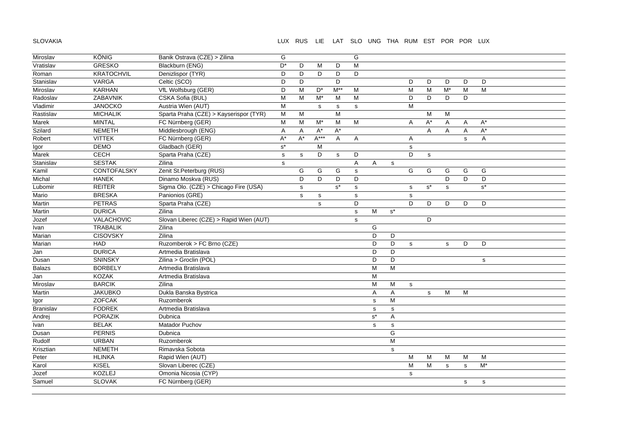SLOVAKIA

## LUX RUS LIE LAT SLO UNG THA RUM EST POR POR LUX

| Miroslav      | <b>KÖNIG</b>      | Banik Ostrava (CZE) > Zilina            | G                    |              |                      |                      | G           |                      |                      |             |       |                  |             |                      |  |
|---------------|-------------------|-----------------------------------------|----------------------|--------------|----------------------|----------------------|-------------|----------------------|----------------------|-------------|-------|------------------|-------------|----------------------|--|
| Vratislav     | <b>GRESKO</b>     | Blackburn (ENG)                         | D*                   | D            | M                    | D                    | M           |                      |                      |             |       |                  |             |                      |  |
| Roman         | <b>KRATOCHVIL</b> | Denizlispor (TYR)                       | D                    | D            | D                    | D                    | D           |                      |                      |             |       |                  |             |                      |  |
| Stanislav     | <b>VARGA</b>      | Celtic (SCO)                            | D                    | D            |                      | D                    |             |                      |                      | D           | D     | D                | D           | D                    |  |
| Miroslav      | <b>KARHAN</b>     | VfL Wolfsburg (GER)                     | D                    | M            | D*                   | $M^*$                | M           |                      |                      | M           | M     | $\overline{M^*}$ | M           | M                    |  |
| Radoslav      | ZABAVNIK          | CSKA Sofia (BUL)                        | M                    | M            | $M^*$                | M                    | M           |                      |                      | D           | D     | D                | D           |                      |  |
| Vladimir      | <b>JANOCKO</b>    | Austria Wien (AUT)                      | M                    |              | s                    | s                    | s           |                      |                      | M           |       |                  |             |                      |  |
| Rastislav     | <b>MICHALIK</b>   | Sparta Praha (CZE) > Kayserispor (TYR)  | M                    | M            |                      | $\overline{M}$       |             |                      |                      |             | M     | M                |             |                      |  |
| Marek         | <b>MINTAL</b>     | FC Nürnberg (GER)                       | M                    | M            | $M^*$                | M                    | M           |                      |                      | Α           | $A^*$ | A                | Α           | $A^*$                |  |
| Szilard       | <b>NEMETH</b>     | Middlesbrough (ENG)                     | Α                    | Α            | $\mathsf{A}^{\star}$ | $\mathsf{A}^{\star}$ |             |                      |                      |             | A     | Α                | Α           | $A^*$                |  |
| Robert        | <b>VITTEK</b>     | FC Nürnberg (GER)                       | A*                   | A*           | $A***$               | A                    | Α           |                      |                      | A           |       |                  | s           | Α                    |  |
| Igor          | <b>DEMO</b>       | Gladbach (GER)                          | $\texttt{s}^{\star}$ |              | M                    |                      |             |                      |                      | s           |       |                  |             |                      |  |
| Marek         | <b>CECH</b>       | Sparta Praha (CZE)                      | $\mathbf{s}$         | $\mathsf{s}$ | D                    | s                    | D           |                      |                      | D           | s     |                  |             |                      |  |
| Stanislav     | <b>SESTAK</b>     | Zilina                                  | $\mathbf s$          |              |                      |                      | $\mathsf A$ | Α                    | $\mathbf s$          |             |       |                  |             |                      |  |
| Kamil         | CONTOFALSKY       | Zenit St.Peterburg (RUS)                |                      | G            | G                    | G                    | s           |                      |                      | G           | G     | G                | G           | G                    |  |
| Michal        | <b>HANEK</b>      | Dinamo Moskva (RUS)                     |                      | D            | D                    | D                    | D           |                      |                      |             |       | D                | D           | D                    |  |
| Lubomir       | <b>REITER</b>     | Sigma Olo. (CZE) > Chicago Fire (USA)   |                      | $\mathsf{s}$ |                      | $s^*$                | s           |                      |                      | $\mathbf s$ | $s^*$ | s                |             | $\texttt{s}^{\star}$ |  |
| Mario         | <b>BRESKA</b>     | Panionios (GRE)                         |                      | $\mathsf{s}$ | ${\sf s}$            |                      | $\mathbf s$ |                      |                      | $\mathbf s$ |       |                  |             |                      |  |
| Martin        | <b>PETRAS</b>     | Sparta Praha (CZE)                      |                      |              | s                    |                      | D           |                      |                      | D           | D     | D                | D           | D                    |  |
| Martin        | <b>DURICA</b>     | Zilina                                  |                      |              |                      |                      | s           | ${\sf M}$            | $\texttt{s}^{\star}$ |             |       |                  |             |                      |  |
| Jozef         | VALACHOVIC        | Slovan Liberec (CZE) > Rapid Wien (AUT) |                      |              |                      |                      | s           |                      |                      |             | D     |                  |             |                      |  |
| Ivan          | <b>TRABALIK</b>   | Zilina                                  |                      |              |                      |                      |             | G                    |                      |             |       |                  |             |                      |  |
| Marian        | <b>CISOVSKY</b>   | Zilina                                  |                      |              |                      |                      |             | D                    | D                    |             |       |                  |             |                      |  |
| Marian        | <b>HAD</b>        | Ruzomberok > FC Brno (CZE)              |                      |              |                      |                      |             | D                    | D                    | $\mathbf s$ |       | s                | D           | D                    |  |
| Jan           | <b>DURICA</b>     | Artmedia Bratislava                     |                      |              |                      |                      |             | D                    | D                    |             |       |                  |             |                      |  |
| Dusan         | <b>SNINSKY</b>    | Zilina > Groclin (POL)                  |                      |              |                      |                      |             | D                    | D                    |             |       |                  |             | $\mathbf s$          |  |
| <b>Balazs</b> | <b>BORBELY</b>    | Artmedia Bratislava                     |                      |              |                      |                      |             | M                    | M                    |             |       |                  |             |                      |  |
| Jan           | <b>KOZAK</b>      | Artmedia Bratislava                     |                      |              |                      |                      |             | M                    |                      |             |       |                  |             |                      |  |
| Miroslav      | <b>BARCIK</b>     | Zilina                                  |                      |              |                      |                      |             | M                    | м                    | $\mathbf s$ |       |                  |             |                      |  |
| Martin        | <b>JAKUBKO</b>    | Dukla Banska Bystrica                   |                      |              |                      |                      |             | Α                    | Α                    |             | s     | ${\sf M}$        | ${\sf M}$   |                      |  |
| Igor          | <b>ZOFCAK</b>     | Ruzomberok                              |                      |              |                      |                      |             | $\mathbf s$          | M                    |             |       |                  |             |                      |  |
| Branislav     | <b>FODREK</b>     | Artmedia Bratislava                     |                      |              |                      |                      |             | $\mathbf s$          | ${\tt S}$            |             |       |                  |             |                      |  |
| Andrej        | <b>PORAZIK</b>    | Dubnica                                 |                      |              |                      |                      |             | $\texttt{s}^{\star}$ | A                    |             |       |                  |             |                      |  |
| Ivan          | <b>BELAK</b>      | Matador Puchov                          |                      |              |                      |                      |             | s                    | ${\tt S}$            |             |       |                  |             |                      |  |
| Dusan         | <b>PERNIS</b>     | Dubnica                                 |                      |              |                      |                      |             |                      | G                    |             |       |                  |             |                      |  |
| Rudolf        | <b>URBAN</b>      | Ruzomberok                              |                      |              |                      |                      |             |                      | M                    |             |       |                  |             |                      |  |
| Krisztian     | <b>NEMETH</b>     | Rimavska Sobota                         |                      |              |                      |                      |             |                      | $\mathbf s$          |             |       |                  |             |                      |  |
| Peter         | <b>HLINKA</b>     | Rapid Wien (AUT)                        |                      |              |                      |                      |             |                      |                      | M           | M     | M                | M           | M                    |  |
| Karol         | KISEL             | Slovan Liberec (CZE)                    |                      |              |                      |                      |             |                      |                      | M           | M     | $\mathbf s$      | $\mathbf s$ | $M^*$                |  |
| Jozef         | KOZLEJ            | Omonia Nicosia (CYP)                    |                      |              |                      |                      |             |                      |                      | $\mathbf s$ |       |                  |             |                      |  |
| Samuel        | <b>SLOVAK</b>     | FC Nürnberg (GER)                       |                      |              |                      |                      |             |                      |                      |             |       |                  | ${\tt S}$   | $\mathbf s$          |  |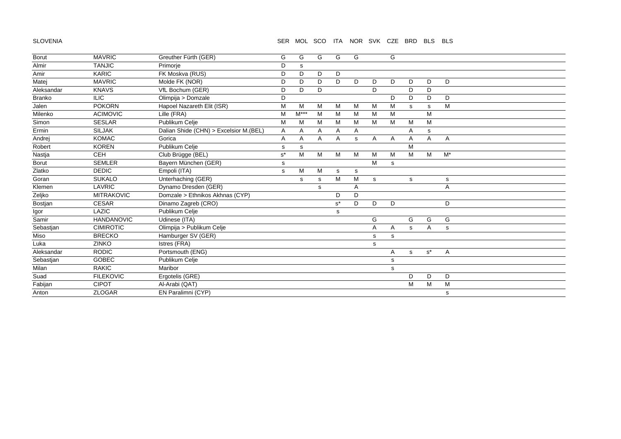#### SLOVENIA

#### SER MOL SCO ITA NOR SVK CZE BRD BLS BLS

| <b>Borut</b>  | <b>MAVRIC</b>     | Greuther Fürth (GER)                   | G     | G      | G | G                    | G |   | G |             |       |             |
|---------------|-------------------|----------------------------------------|-------|--------|---|----------------------|---|---|---|-------------|-------|-------------|
| Almir         | <b>TANJIC</b>     | Primorje                               | D     | s      |   |                      |   |   |   |             |       |             |
| Amir          | <b>KARIC</b>      | FK Moskva (RUS)                        | D     | D      | D | D                    |   |   |   |             |       |             |
| Matej         | <b>MAVRIC</b>     | Molde FK (NOR)                         | D     | D      | D | D.                   | D | D | D | D           | D     | D           |
| Aleksandar    | <b>KNAVS</b>      | VfL Bochum (GER)                       | D     | D      | D |                      |   | D |   | D           | D     |             |
| <b>Branko</b> | <b>ILIC</b>       | Olimpija > Domzale                     | D     |        |   |                      |   |   | D | D           | D     | D           |
| Jalen         | <b>POKORN</b>     | Hapoel Nazareth Elit (ISR)             | M     | м      | M | M                    | м | м | M | s           | s     | M           |
| Milenko       | <b>ACIMOVIC</b>   | Lille (FRA)                            | M     | $M***$ | M | M                    | M | M | M |             | M     |             |
| Simon         | <b>SESLAR</b>     | Publikum Celje                         | M     | M      | M | M                    | M | M | M | M           | M     |             |
| Ermin         | <b>SILJAK</b>     | Dalian Shide (CHN) > Excelsior M.(BEL) | Α     | Α      | Α | Α                    | Α |   |   | Α           | s     |             |
| Andrej        | <b>KOMAC</b>      | Gorica                                 | A     | A      | A | A                    | s | A | Α | Α           | A     | Α           |
| Robert        | <b>KOREN</b>      | Publikum Celje                         | s     | s      |   |                      |   |   |   | M           |       |             |
| Nastja        | <b>CEH</b>        | Club Brügge (BEL)                      | $s^*$ | M      | M | M                    | M | M | M | M           | М     | $M^*$       |
| <b>Borut</b>  | <b>SEMLER</b>     | Bayern München (GER)                   | s     |        |   |                      |   | М | s |             |       |             |
| Zlatko        | <b>DEDIC</b>      | Empoli (ITA)                           | s     | м      | M | s                    | s |   |   |             |       |             |
| Goran         | <b>SUKALO</b>     | Unterhaching (GER)                     |       | s      | s | M                    | M | s |   | s           |       | $\mathbf s$ |
| Klemen        | LAVRIC            | Dynamo Dresden (GER)                   |       |        | s |                      | Α |   |   |             |       | Α           |
| Zeljko        | <b>MITRAKOVIC</b> | Domzale > Ethnikos Akhnas (CYP)        |       |        |   | D                    | D |   |   |             |       |             |
| Bostjan       | <b>CESAR</b>      | Dinamo Zagreb (CRO)                    |       |        |   | $\texttt{s}^{\star}$ | D | D | D |             |       | D           |
| Igor          | LAZIC             | Publikum Celje                         |       |        |   | s                    |   |   |   |             |       |             |
| Samir         | <b>HANDANOVIC</b> | Udinese (ITA)                          |       |        |   |                      |   | G |   | G           | G     | G           |
| Sebastian     | <b>CIMIROTIC</b>  | Olimpija > Publikum Celje              |       |        |   |                      |   | Α | Α | s           | Α     | s           |
| Miso          | <b>BRECKO</b>     | Hamburger SV (GER)                     |       |        |   |                      |   | s | s |             |       |             |
| Luka          | <b>ZINKO</b>      | Istres (FRA)                           |       |        |   |                      |   | s |   |             |       |             |
| Aleksandar    | <b>RODIC</b>      | Portsmouth (ENG)                       |       |        |   |                      |   |   | Α | $\mathbf s$ | $s^*$ | A           |
| Sebastjan     | <b>GOBEC</b>      | Publikum Celje                         |       |        |   |                      |   |   | s |             |       |             |
| Milan         | <b>RAKIC</b>      | Maribor                                |       |        |   |                      |   |   | s |             |       |             |
| Suad          | <b>FILEKOVIC</b>  | Ergotelis (GRE)                        |       |        |   |                      |   |   |   | D           | D     | D           |
| Fabijan       | <b>CIPOT</b>      | Al-Arabi (QAT)                         |       |        |   |                      |   |   |   | M           | M     | М           |
| Anton         | <b>ZLOGAR</b>     | EN Paralimni (CYP)                     |       |        |   |                      |   |   |   |             |       | s           |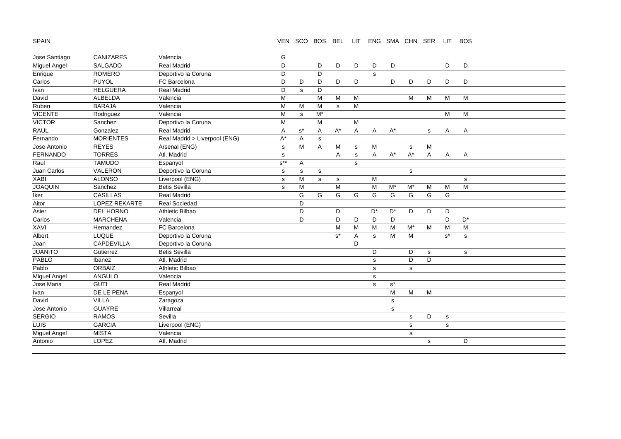SPAIN

## VEN SCO BOS BEL LIT ENG SMA CHN SER LIT BOS

| Jose Santiago       | CANIZARES        | Valencia                      | G           |                      |                |                      |           |                |           |             |           |                      |             |
|---------------------|------------------|-------------------------------|-------------|----------------------|----------------|----------------------|-----------|----------------|-----------|-------------|-----------|----------------------|-------------|
| Miguel Angel        | SALGADO          | Real Madrid                   | D           |                      | D              | D                    | D         | D              | D         |             |           | D                    | D           |
| Enrique             | <b>ROMERO</b>    | Deportivo la Coruna           | D           |                      | D              |                      |           | $\mathbf{s}$   |           |             |           |                      |             |
| Carlos              | <b>PUYOL</b>     | FC Barcelona                  | D           | D                    | D              | D                    | D         |                | D         | D           | D         | D                    | D           |
| Ivan                | <b>HELGUERA</b>  | <b>Real Madrid</b>            | D           | s                    | D              |                      |           |                |           |             |           |                      |             |
| David               | <b>ALBELDA</b>   | Valencia                      | M           |                      | M              | M                    | M         |                |           | M           | M         | M                    | M           |
| Ruben               | <b>BARAJA</b>    | Valencia                      | M           | M                    | M              | $\mathbf s$          | ${\sf M}$ |                |           |             |           |                      |             |
| <b>VICENTE</b>      | Rodriguez        | Valencia                      | M           | $\mathsf{s}$         | $M^*$          |                      |           |                |           |             |           | M                    | M           |
| <b>VICTOR</b>       | Sanchez          | Deportivo la Coruna           | M           |                      | M              |                      | M         |                |           |             |           |                      |             |
| <b>RAUL</b>         | Gonzalez         | <b>Real Madrid</b>            | A           | $\texttt{s}^{\star}$ | Α              | $A^*$                | A         | Α              | $A^*$     |             | s         | Α                    | Α           |
| Fernando            | <b>MORIENTES</b> | Real Madrid > Liverpool (ENG) | A*          | Α                    | ${\tt S}$      |                      |           |                |           |             |           |                      |             |
| Jose Antonio        | <b>REYES</b>     | Arsenal (ENG)                 | $\mathbf s$ | M                    | $\overline{A}$ | M                    | s         | М              |           | $\mathbf s$ | M         |                      |             |
| FERNANDO            | <b>TORRES</b>    | Atl. Madrid                   | $\mathbf s$ |                      |                | A                    | s         | $\overline{A}$ | $A^*$     | $A^*$       | A         | A                    | Α           |
| Raul                | <b>TAMUDO</b>    | Espanyol                      | $s^{**}$    | A                    |                |                      | s         |                |           |             |           |                      |             |
| Juan Carlos         | VALERON          | Deportivo la Coruna           | $\mathbf s$ | $\mathbf S$          | ${\tt S}$      |                      |           |                |           | ${\tt S}$   |           |                      |             |
| <b>XABI</b>         | <b>ALONSO</b>    | Liverpool (ENG)               | $\mathbf s$ | M                    | $\mathbf s$    | $\mathbf s$          |           | M              |           |             |           |                      | $\mathbf s$ |
| <b>JOAQUIN</b>      | Sanchez          | <b>Betis Sevilla</b>          | $\mathbf s$ | M                    |                | M                    |           | M              | $M^*$     | $M^*$       | M         | M                    | M           |
| Iker                | <b>CASILLAS</b>  | <b>Real Madrid</b>            |             | G                    | G              | G                    | G         | G              | G         | G           | G         | $\overline{G}$       |             |
| Aitor               | LOPEZ REKARTE    | Real Sociedad                 |             | D                    |                |                      |           |                |           |             |           |                      |             |
| Asier               | DEL HORNO        | Athletic Bilbao               |             | D                    |                | D                    |           | $D^*$          | $D^*$     | D           | D         | D                    |             |
| Carlos              | <b>MARCHENA</b>  | Valencia                      |             | D                    |                | D                    | D         | D              | D         |             |           | D                    | $D^*$       |
| <b>XAVI</b>         | Hernandez        | FC Barcelona                  |             |                      |                | $\overline{M}$       | M         | M              | M         | $M^*$       | M         | M                    | M           |
| Albert              | <b>LUQUE</b>     | Deportivo la Coruna           |             |                      |                | $\texttt{s}^{\star}$ | Α         | $\mathbf s$    | M         | M           |           | $\mathtt{s}^{\star}$ | s           |
| Joan                | CAPDEVILLA       | Deportivo la Coruna           |             |                      |                |                      | D         |                |           |             |           |                      |             |
| <b>JUANITO</b>      | Gutierrez        | <b>Betis Sevilla</b>          |             |                      |                |                      |           | D              |           | D           | ${\tt S}$ |                      | s           |
| PABLO               | Ibanez           | Atl. Madrid                   |             |                      |                |                      |           | s              |           | D           | D         |                      |             |
| Pablo               | <b>ORBAIZ</b>    | Athletic Bilbao               |             |                      |                |                      |           | s              |           | s           |           |                      |             |
| Miguel Angel        | ANGULO           | Valencia                      |             |                      |                |                      |           | $\mathbf S$    |           |             |           |                      |             |
| Jose Maria          | <b>GUTI</b>      | Real Madrid                   |             |                      |                |                      |           | $\mathbf s$    | $s^*$     |             |           |                      |             |
| Ivan                | DE LE PENA       | Espanyol                      |             |                      |                |                      |           |                | M         | M           | M         |                      |             |
| David               | <b>VILLA</b>     | Zaragoza                      |             |                      |                |                      |           |                | ${\tt S}$ |             |           |                      |             |
| Jose Antonio        | <b>GUAYRE</b>    | Villarreal                    |             |                      |                |                      |           |                | s         |             |           |                      |             |
| <b>SERGIO</b>       | <b>RAMOS</b>     | Sevilla                       |             |                      |                |                      |           |                |           | s           | D         | $\mathbf s$          |             |
| LUIS                | <b>GARCIA</b>    | Liverpool (ENG)               |             |                      |                |                      |           |                |           | s           |           | $\mathbf s$          |             |
| <b>Miguel Angel</b> | <b>MISTA</b>     | Valencia                      |             |                      |                |                      |           |                |           | s           |           |                      |             |
| Antonio             | LOPEZ            | Atl. Madrid                   |             |                      |                |                      |           |                |           |             | s         |                      | D           |
|                     |                  |                               |             |                      |                |                      |           |                |           |             |           |                      |             |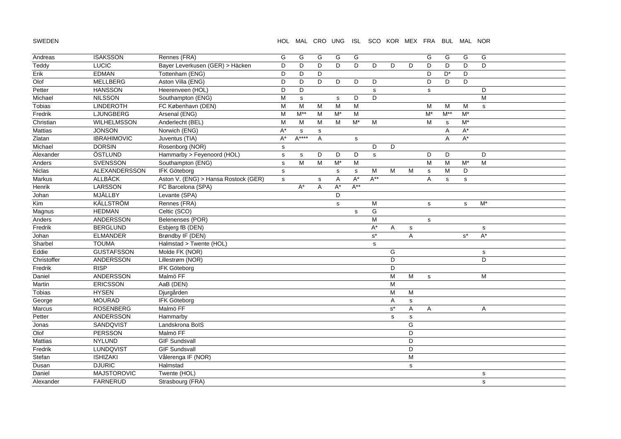SWEDEN

#### HOL MAL CRO UNG ISL SCO KOR MEX FRA BUL MAL NOR

| Andreas     | <b>ISAKSSON</b>    | Rennes (FRA)                         | G            | G            | G              | G         | G         |                      |                      |             | G           | G           | G                | G            |  |
|-------------|--------------------|--------------------------------------|--------------|--------------|----------------|-----------|-----------|----------------------|----------------------|-------------|-------------|-------------|------------------|--------------|--|
| Teddy       | LUCIC              | Bayer Leverkusen (GER) > Häcken      | D            | D            | D              | D         | D         | D                    | D                    | D           | D           | D           | D                | D            |  |
| Erik        | <b>EDMAN</b>       | Tottenham (ENG)                      | D            | D            | D              |           |           |                      |                      |             | D           | $D^*$       | D                |              |  |
| Olof        | <b>MELLBERG</b>    | Aston Villa (ENG)                    | D            | D            | D              | D         | D         | D                    |                      |             | D           | D           | D                |              |  |
| Petter      | <b>HANSSON</b>     | Heerenveen (HOL)                     | D            | D            |                |           |           | s                    |                      |             | s           |             |                  | D            |  |
| Michael     | <b>NILSSON</b>     | Southampton (ENG)                    | M            | $\mathsf{s}$ |                | s         | D         | D                    |                      |             |             |             |                  | M            |  |
| Tobias      | <b>LINDEROTH</b>   | FC København (DEN)                   | M            | M            | M              | M         | M         |                      |                      |             | M           | М           | м                | $\mathbf s$  |  |
| Fredrik     | LJUNGBERG          | Arsenal (ENG)                        | M            | $M^*$        | M              | $M^*$     | M         |                      |                      |             | $M^*$       | $M^{**}$    | $M^*$            |              |  |
| Christian   | <b>WILHELMSSON</b> | Anderlecht (BEL)                     | ${\sf M}$    | M            | M              | M         | $M^*$     | M                    |                      |             | M           | $\mathbf s$ | $M^*$            |              |  |
| Mattias     | <b>JONSON</b>      | Norwich (ENG)                        | $A^*$        | $\mathbf S$  | s              |           |           |                      |                      |             |             | A           | $A^*$            |              |  |
| Zlatan      | <b>IBRAHIMOVIC</b> | Juventus (TIA)                       | $A^*$        | A****        | $\overline{A}$ |           | s         |                      |                      |             |             | A           | $A^*$            |              |  |
| Michael     | <b>DORSIN</b>      | Rosenborg (NOR)                      | s            |              |                |           |           | D                    | D                    |             |             |             |                  |              |  |
| Alexander   | ÖSTLUND            | Hammarby > Feyenoord (HOL)           | $\mathbf S$  | $\mathsf{s}$ | D              | D         | D         | s                    |                      |             | D           | D           |                  | D            |  |
| Anders      | SVENSSON           | Southampton (ENG)                    | $\mathbf s$  | M            | M              | $M^*$     | M         |                      |                      |             | M           | ${\sf M}$   | $\overline{M^*}$ | M            |  |
| Niclas      | ALEXANDERSSON      | IFK Göteborg                         | s            |              |                | ${\tt S}$ | ${\tt S}$ | M                    | M                    | M           | $\mathbf S$ | M           | D                |              |  |
| Markus      | <b>ALLBÄCK</b>     | Aston V. (ENG) > Hansa Rostock (GER) | $\mathbf{s}$ |              | s              | A         | $A^*$     | $A^{**}$             |                      |             | A           | s           | $\mathbf s$      |              |  |
| Henrik      | LARSSON            | FC Barcelona (SPA)                   |              | $A^*$        | Α              | $A^*$     | $A^{**}$  |                      |                      |             |             |             |                  |              |  |
| Johan       | MJÄLLBY            | Levante (SPA)                        |              |              |                | D         |           |                      |                      |             |             |             |                  |              |  |
| Kim         | KÄLLSTRÖM          | Rennes (FRA)                         |              |              |                | s         |           | M                    |                      |             | s           |             | ${\tt S}$        | $M^*$        |  |
| Magnus      | <b>HEDMAN</b>      | Celtic (SCO)                         |              |              |                |           | s         | G                    |                      |             |             |             |                  |              |  |
| Anders      | ANDERSSON          | Belenenses (POR)                     |              |              |                |           |           | M                    |                      |             | $\mathbf s$ |             |                  |              |  |
| Fredrik     | <b>BERGLUND</b>    | Esbjerg fB (DEN)                     |              |              |                |           |           | $A^*$                | A                    | $\mathbf s$ |             |             |                  | s            |  |
| Johan       | <b>ELMANDER</b>    | Brøndby IF (DEN)                     |              |              |                |           |           | $\texttt{s}^{\star}$ |                      | A           |             |             | $s^*$            | $A^*$        |  |
| Sharbel     | <b>TOUMA</b>       | Halmstad > Twente (HOL)              |              |              |                |           |           | s                    |                      |             |             |             |                  |              |  |
| Eddie       | <b>GUSTAFSSON</b>  | Molde FK (NOR)                       |              |              |                |           |           |                      | G                    |             |             |             |                  | ${\tt S}$    |  |
| Christoffer | ANDERSSON          | Lillestrøm (NOR)                     |              |              |                |           |           |                      | D                    |             |             |             |                  | D            |  |
| Fredrik     | <b>RISP</b>        | IFK Göteborg                         |              |              |                |           |           |                      | D                    |             |             |             |                  |              |  |
| Daniel      | <b>ANDERSSON</b>   | Malmö FF                             |              |              |                |           |           |                      | M                    | M           | s           |             |                  | М            |  |
| Martin      | <b>ERICSSON</b>    | AaB (DEN)                            |              |              |                |           |           |                      | M                    |             |             |             |                  |              |  |
| Tobias      | <b>HYSEN</b>       | Djurgården                           |              |              |                |           |           |                      | M                    | M           |             |             |                  |              |  |
| George      | <b>MOURAD</b>      | <b>IFK Göteborg</b>                  |              |              |                |           |           |                      | A                    | $\mathbf s$ |             |             |                  |              |  |
| Marcus      | <b>ROSENBERG</b>   | Malmö FF                             |              |              |                |           |           |                      | $\texttt{s}^{\star}$ | A           | Α           |             |                  | Α            |  |
| Petter      | ANDERSSON          | Hammarby                             |              |              |                |           |           |                      | s                    | $\mathbf s$ |             |             |                  |              |  |
| Jonas       | SANDQVIST          | Landskrona BoIS                      |              |              |                |           |           |                      |                      | G           |             |             |                  |              |  |
| Olof        | PERSSON            | Malmö FF                             |              |              |                |           |           |                      |                      | D           |             |             |                  |              |  |
| Mattias     | <b>NYLUND</b>      | <b>GIF Sundsvall</b>                 |              |              |                |           |           |                      |                      | D           |             |             |                  |              |  |
| Fredrik     | <b>LUNDQVIST</b>   | <b>GIF Sundsvall</b>                 |              |              |                |           |           |                      |                      | D           |             |             |                  |              |  |
| Stefan      | <b>ISHIZAKI</b>    | Vålerenga IF (NOR)                   |              |              |                |           |           |                      |                      | M           |             |             |                  |              |  |
| Dusan       | <b>DJURIC</b>      | Halmstad                             |              |              |                |           |           |                      |                      | s           |             |             |                  |              |  |
| Daniel      | <b>MAJSTOROVIC</b> | Twente (HOL)                         |              |              |                |           |           |                      |                      |             |             |             |                  | $\mathbf S$  |  |
| Alexander   | <b>FARNERUD</b>    | Strasbourg (FRA)                     |              |              |                |           |           |                      |                      |             |             |             |                  | $\mathbf{s}$ |  |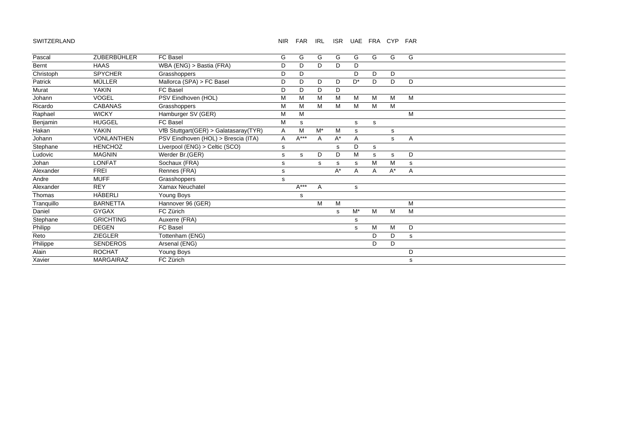#### SWITZERLAND

#### NIR FAR IRL ISR UAE FRA CYP FAR

| Pascal     | ZUBERBÜHLER       | FC Basel                              | G | G      | G            | G     | G     | G           | G     | G |  |
|------------|-------------------|---------------------------------------|---|--------|--------------|-------|-------|-------------|-------|---|--|
|            |                   |                                       |   |        |              |       |       |             |       |   |  |
| Bernt      | <b>HAAS</b>       | WBA (ENG) > Bastia (FRA)              | D | D      | D.           | D     | D     |             |       |   |  |
| Christoph  | <b>SPYCHER</b>    | Grasshoppers                          | D | D      |              |       | D     | D           | D     |   |  |
| Patrick    | <b>MÜLLER</b>     | Mallorca (SPA) > FC Basel             | D | D      | D            | D     | $D^*$ | D           | D     | D |  |
| Murat      | <b>YAKIN</b>      | <b>FC Basel</b>                       | D | D      | D            | D     |       |             |       |   |  |
| Johann     | <b>VOGEL</b>      | PSV Eindhoven (HOL)                   | M | M      | M            | М     | M     | M           | M     | M |  |
| Ricardo    | <b>CABANAS</b>    | Grasshoppers                          | M | M      | M            | M     | M     | M           | M     |   |  |
| Raphael    | <b>WICKY</b>      | Hamburger SV (GER)                    | M | M      |              |       |       |             |       | M |  |
| Benjamin   | <b>HUGGEL</b>     | FC Basel                              | M | s      |              |       | s     | $\mathbf s$ |       |   |  |
| Hakan      | <b>YAKIN</b>      | VfB Stuttgart(GER) > Galatasaray(TYR) | Α | M      | $M^*$        | M     | s     |             | s     |   |  |
| Johann     | <b>VONLANTHEN</b> | PSV Eindhoven (HOL) > Brescia (ITA)   | Α | $A***$ | $\mathsf{A}$ | $A^*$ | A     |             | s     | A |  |
| Stephane   | <b>HENCHOZ</b>    | Liverpool (ENG) > Celtic (SCO)        | s |        |              | s     | D     | s           |       |   |  |
| Ludovic    | <b>MAGNIN</b>     | Werder Br.(GER)                       | s | s      | D            | D     | M     | s           | s     | D |  |
| Johan      | <b>LONFAT</b>     | Sochaux (FRA)                         | s |        | s            | s     | s     | M           | M     | s |  |
| Alexander  | <b>FREI</b>       | Rennes (FRA)                          | s |        |              | $A^*$ | A     | A           | $A^*$ | Α |  |
| Andre      | <b>MUFF</b>       | Grasshoppers                          | s |        |              |       |       |             |       |   |  |
| Alexander  | <b>REY</b>        | Xamax Neuchatel                       |   | $A***$ | Α            |       | s     |             |       |   |  |
| Thomas     | HÄBERLI           | Young Boys                            |   | S      |              |       |       |             |       |   |  |
| Tranquillo | <b>BARNETTA</b>   | Hannover 96 (GER)                     |   |        | M            | M     |       |             |       | M |  |
| Daniel     | <b>GYGAX</b>      | FC Zürich                             |   |        |              | s     | $M^*$ | M           | M     | M |  |
| Stephane   | <b>GRICHTING</b>  | Auxerre (FRA)                         |   |        |              |       | s     |             |       |   |  |
| Philipp    | <b>DEGEN</b>      | FC Basel                              |   |        |              |       | s     | М           | M     | D |  |
| Reto       | <b>ZIEGLER</b>    | Tottenham (ENG)                       |   |        |              |       |       | D           | D     | s |  |
| Philippe   | <b>SENDEROS</b>   | Arsenal (ENG)                         |   |        |              |       |       | D           | D     |   |  |
| Alain      | <b>ROCHAT</b>     | Young Boys                            |   |        |              |       |       |             |       | D |  |
| Xavier     | <b>MARGAIRAZ</b>  | FC Zürich                             |   |        |              |       |       |             |       | s |  |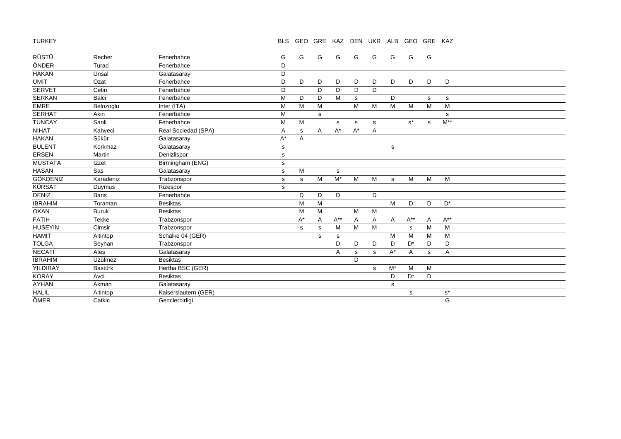TURKEY

## BLS GEO GRE KAZ DEN UKR ALB GEO GRE KAZ

| <b>RÜSTÜ</b>   | Recber         | Fenerbahce           | G            | G     | G | G        | G     | G | G            | G        | G           |                           |
|----------------|----------------|----------------------|--------------|-------|---|----------|-------|---|--------------|----------|-------------|---------------------------|
| ÖNDER          | Turaci         | Fenerbahce           | D            |       |   |          |       |   |              |          |             |                           |
| <b>HAKAN</b>   | Ünsal          | Galatasaray          | D            |       |   |          |       |   |              |          |             |                           |
| <b>ÜMIT</b>    | Özat           | Fenerbahce           | D            | D     | D | D        | D     | D | D            | D        | D           | D                         |
| <b>SERVET</b>  | Cetin          | Fenerbahce           | D            |       | D | D        | D     | D |              |          |             |                           |
| <b>SERKAN</b>  | Balci          | Fenerbahce           | M            | D     | D | M        | s     |   | D            |          | s           | ${\tt S}$                 |
| <b>EMRE</b>    | Belozoglu      | Inter (ITA)          | M            | M     | M |          | M     | M | M            | M        | M           | M                         |
| <b>SERHAT</b>  | Akin           | Fenerbahce           | M            |       | s |          |       |   |              |          |             | s                         |
| <b>TUNCAY</b>  | Sanli          | Fenerbahce           | M            | М     |   | s        | s     | s |              | $s^*$    | s           | $\mathsf{M}^{\ast\ast}$   |
| <b>NIHAT</b>   | Kahveci        | Real Sociedad (SPA)  | A            | s     | A | $A^*$    | $A^*$ | A |              |          |             |                           |
| <b>HAKAN</b>   | Sükür          | Galatasaray          | A*           | A     |   |          |       |   |              |          |             |                           |
| <b>BULENT</b>  | Korkmaz        | Galatasaray          | s            |       |   |          |       |   | s            |          |             |                           |
| <b>ERSEN</b>   | Martin         | Denizlispor          | $\mathsf{s}$ |       |   |          |       |   |              |          |             |                           |
| <b>MUSTAFA</b> | Izzet          | Birmingham (ENG)     | s            |       |   |          |       |   |              |          |             |                           |
| <b>HASAN</b>   | Sas            | Galatasaray          | $\mathsf{s}$ | М     |   | s        |       |   |              |          |             |                           |
| GÖKDENIZ       | Karadeniz      | Trabzonspor          | s            | s     | M | $M^*$    | M     | M | s            | M        | M           | M                         |
| <b>KÜRSAT</b>  | Duymus         | Rizespor             | s            |       |   |          |       |   |              |          |             |                           |
| DENIZ          | <b>Baris</b>   | Fenerbahce           |              | D     | D | D        |       | D |              |          |             |                           |
| <b>IBRAHIM</b> | Toraman        | <b>Besiktas</b>      |              | M     | M |          |       |   | M            | D        | D           | $D^*$                     |
| <b>OKAN</b>    | <b>Buruk</b>   | <b>Besiktas</b>      |              | M     | M |          | M     | M |              |          |             |                           |
| <b>FATIH</b>   | <b>Tekke</b>   | Trabzonspor          |              | $A^*$ | A | $A^{**}$ | A     | A | $\mathsf{A}$ | $A^{**}$ | Α           | $\mathsf{A}^{\star\star}$ |
| <b>HUSEYIN</b> | Cimsir         | Trabzonspor          |              | s     | s | M        | M     | M |              | s        | M           | M                         |
| <b>HAMIT</b>   | Altintop       | Schalke 04 (GER)     |              |       | s | s        |       |   | M            | M        | M           | M                         |
| <b>TOLGA</b>   | Seyhan         | Trabzonspor          |              |       |   | D        | D     | D | D            | $D^*$    | D           | D                         |
| <b>NECATI</b>  | Ates           | Galatasaray          |              |       |   | Α        | s     | s | $A^*$        | Α        | $\mathbf s$ | Α                         |
| <b>IBRAHIM</b> | Üzülmez        | <b>Besiktas</b>      |              |       |   |          | D     |   |              |          |             |                           |
| YILDIRAY       | <b>Bastürk</b> | Hertha BSC (GER)     |              |       |   |          |       | s | $M^*$        | M        | M           |                           |
| <b>KORAY</b>   | Avci           | <b>Besiktas</b>      |              |       |   |          |       |   | D            | $D^*$    | D           |                           |
| <b>AYHAN</b>   | Akman          | Galatasaray          |              |       |   |          |       |   | s            |          |             |                           |
| <b>HALIL</b>   | Altintop       | Kaiserslautern (GER) |              |       |   |          |       |   |              | s        |             | $s^*$                     |
| ÖMER           | Catkic         | Genclerbirligi       |              |       |   |          |       |   |              |          |             | G                         |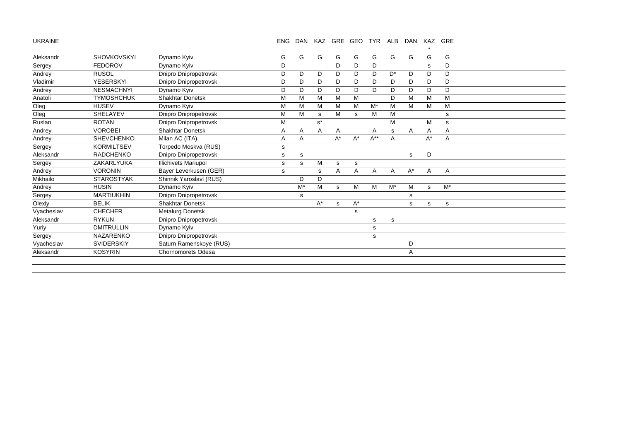UKRAINE

## ENG DAN KAZ GRE GEO TYR ALB DAN KAZ GRE

 $\star$ 

| G            |
|--------------|
| D            |
| D            |
| D            |
| D            |
| М            |
| M            |
| s            |
| s            |
| Α            |
| Α            |
|              |
|              |
|              |
| $\mathsf{A}$ |
|              |
| $M^*$        |
|              |
| s            |
|              |
|              |
|              |
|              |
|              |
|              |
|              |